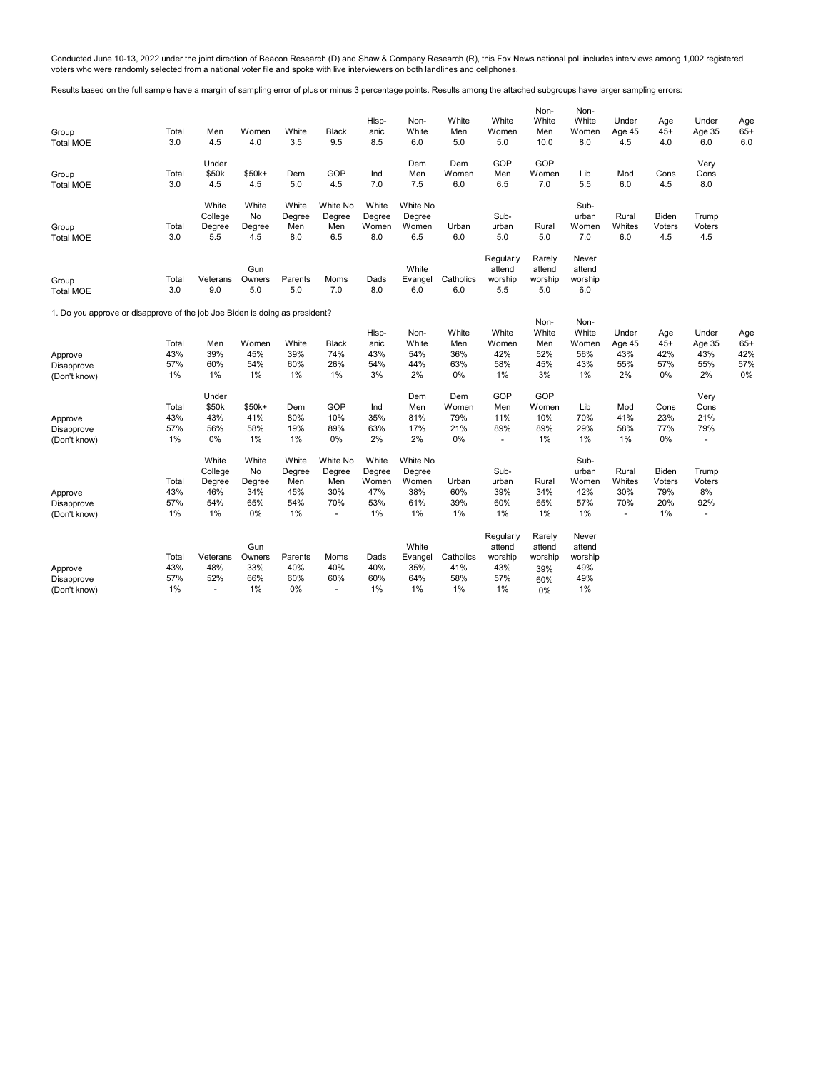Conducted June 10-13, 2022 under the joint direction of Beacon Research (D) and Shaw & Company Research (R), this Fox News national poll includes interviews among 1,002 registered<br>voters who were randomly selected from a n

Results based on the full sample have a margin of sampling error of plus or minus 3 percentage points. Results among the attached subgroups have larger sampling errors:

| Group<br><b>Total MOE</b>                                                   | Total<br>3.0 | Men<br>4.5        | Women<br>4.0 | White<br>3.5  | <b>Black</b><br>9.5 | Hisp-<br>anic<br>8.5 | Non-<br>White<br>6.0 | White<br>Men<br>5.0 | White<br>Women<br>5.0 | Non-<br>White<br>Men<br>10.0 | Non-<br>White<br>Women<br>8.0 | Under<br>Age 45<br>4.5 | Age<br>$45+$<br>4.0 | Under<br>Age 35<br>6.0 | Age<br>$65+$<br>6.0 |
|-----------------------------------------------------------------------------|--------------|-------------------|--------------|---------------|---------------------|----------------------|----------------------|---------------------|-----------------------|------------------------------|-------------------------------|------------------------|---------------------|------------------------|---------------------|
| Group                                                                       | Total        | Under<br>\$50k    | \$50k+       | Dem           | GOP                 | Ind                  | Dem<br>Men           | Dem<br>Women        | GOP<br>Men            | GOP<br>Women                 | Lib                           | Mod                    | Cons                | Very<br>Cons           |                     |
| <b>Total MOE</b>                                                            | 3.0          | 4.5               | 4.5          | 5.0           | 4.5                 | 7.0                  | 7.5                  | 6.0                 | 6.5                   | 7.0                          | 5.5                           | 6.0                    | 4.5                 | 8.0                    |                     |
|                                                                             |              | White             | White        | White         | White No            | White                | White No             |                     |                       |                              | Sub-                          |                        |                     |                        |                     |
|                                                                             | Total        | College<br>Degree | No<br>Degree | Degree<br>Men | Degree<br>Men       | Degree<br>Women      | Degree<br>Women      | Urban               | Sub-<br>urban         | Rural                        | urban<br>Women                | Rural<br>Whites        | Biden<br>Voters     | Trump<br>Voters        |                     |
| Group<br><b>Total MOE</b>                                                   | 3.0          | 5.5               | 4.5          | 8.0           | 6.5                 | 8.0                  | 6.5                  | 6.0                 | 5.0                   | 5.0                          | 7.0                           | 6.0                    | 4.5                 | 4.5                    |                     |
|                                                                             |              |                   |              |               |                     |                      |                      |                     |                       |                              |                               |                        |                     |                        |                     |
|                                                                             |              |                   | Gun          |               |                     |                      | White                |                     | Regularly<br>attend   | Rarely<br>attend             | Never<br>attend               |                        |                     |                        |                     |
| Group                                                                       | Total        | Veterans          | Owners       | Parents       | Moms                | Dads                 | Evangel              | Catholics           | worship               | worship                      | worship                       |                        |                     |                        |                     |
| <b>Total MOE</b>                                                            | 3.0          | 9.0               | 5.0          | 5.0           | 7.0                 | 8.0                  | 6.0                  | 6.0                 | 5.5                   | 5.0                          | 6.0                           |                        |                     |                        |                     |
| 1. Do you approve or disapprove of the job Joe Biden is doing as president? |              |                   |              |               |                     |                      |                      |                     |                       |                              |                               |                        |                     |                        |                     |
|                                                                             |              |                   |              |               |                     |                      |                      |                     |                       | Non-                         | Non-                          |                        |                     |                        |                     |
|                                                                             |              |                   |              |               |                     | Hisp-                | Non-                 | White               | White                 | White                        | White                         | Under                  | Age                 | Under                  | Age                 |
|                                                                             | Total        | Men               | Women        | White         | <b>Black</b>        | anic                 | White                | Men                 | Women                 | Men                          | Women                         | Age 45                 | $45+$               | Age 35                 | $65+$               |
| Approve                                                                     | 43%          | 39%               | 45%          | 39%           | 74%                 | 43%                  | 54%                  | 36%                 | 42%                   | 52%                          | 56%                           | 43%                    | 42%                 | 43%                    | 42%                 |
| Disapprove                                                                  | 57%          | 60%               | 54%          | 60%           | 26%                 | 54%                  | 44%                  | 63%                 | 58%                   | 45%                          | 43%                           | 55%                    | 57%                 | 55%                    | 57%                 |
| (Don't know)                                                                | 1%           | $1\%$             | 1%           | 1%            | 1%                  | 3%                   | 2%                   | 0%                  | 1%                    | 3%                           | $1\%$                         | 2%                     | 0%                  | 2%                     | 0%                  |
|                                                                             |              | Under             |              |               |                     |                      | Dem                  | Dem                 | GOP                   | GOP                          |                               |                        |                     | Very                   |                     |
|                                                                             | Total        | \$50k             | \$50k+       | Dem           | GOP                 | Ind                  | Men                  | Women               | Men                   | Women                        | Lib                           | Mod                    | Cons                | Cons                   |                     |
| Approve                                                                     | 43%          | 43%               | 41%          | 80%           | 10%                 | 35%                  | 81%                  | 79%                 | 11%                   | 10%                          | 70%                           | 41%                    | 23%                 | 21%                    |                     |
| Disapprove                                                                  | 57%          | 56%               | 58%          | 19%           | 89%                 | 63%                  | 17%                  | 21%                 | 89%                   | 89%                          | 29%                           | 58%                    | 77%                 | 79%                    |                     |
| (Don't know)                                                                | 1%           | $0\%$             | 1%           | 1%            | 0%                  | 2%                   | 2%                   | 0%                  | $\sim$                | 1%                           | $1\%$                         | 1%                     | 0%                  | ٠                      |                     |
|                                                                             |              | White             | White        | White         | White No            | White                | White No             |                     |                       |                              | Sub-                          |                        |                     |                        |                     |
|                                                                             |              | College           | No           | Degree        | Degree              | Degree               | Degree               |                     | Sub-                  |                              | urban                         | Rural                  | Biden               | Trump                  |                     |
|                                                                             | Total        | Degree            | Degree       | Men           | Men                 | Women                | Women                | Urban               | urban                 | Rural                        | Women                         | Whites                 | Voters              | Voters                 |                     |
| Approve                                                                     | 43%          | 46%               | 34%          | 45%           | 30%                 | 47%                  | 38%                  | 60%                 | 39%                   | 34%                          | 42%                           | 30%                    | 79%                 | 8%                     |                     |
| Disapprove                                                                  | 57%          | 54%               | 65%          | 54%           | 70%                 | 53%                  | 61%                  | 39%                 | 60%                   | 65%                          | 57%                           | 70%                    | 20%                 | 92%                    |                     |
| (Don't know)                                                                | 1%           | $1\%$             | 0%           | 1%            | ä,                  | 1%                   | $1\%$                | 1%                  | $1\%$                 | 1%                           | 1%                            | $\overline{a}$         | 1%                  | ÷.                     |                     |
|                                                                             |              |                   |              |               |                     |                      |                      |                     | Regularly             | Rarely                       | Never                         |                        |                     |                        |                     |
|                                                                             |              |                   | Gun          |               |                     |                      | White                |                     | attend                | attend                       | attend                        |                        |                     |                        |                     |
|                                                                             | Total        | Veterans          | Owners       | Parents       | Moms                | Dads                 | Evangel              | Catholics           | worship               | worship                      | worship                       |                        |                     |                        |                     |
| Approve                                                                     | 43%          | 48%               | 33%          | 40%           | 40%                 | 40%                  | 35%                  | 41%                 | 43%                   | 39%                          | 49%                           |                        |                     |                        |                     |
| Disapprove                                                                  | 57%          | 52%               | 66%          | 60%           | 60%                 | 60%                  | 64%                  | 58%                 | 57%                   | 60%                          | 49%                           |                        |                     |                        |                     |
| (Don't know)                                                                | 1%           | $\blacksquare$    | 1%           | 0%            | ٠                   | $1\%$                | 1%                   | 1%                  | 1%                    | 0%                           | 1%                            |                        |                     |                        |                     |
|                                                                             |              |                   |              |               |                     |                      |                      |                     |                       |                              |                               |                        |                     |                        |                     |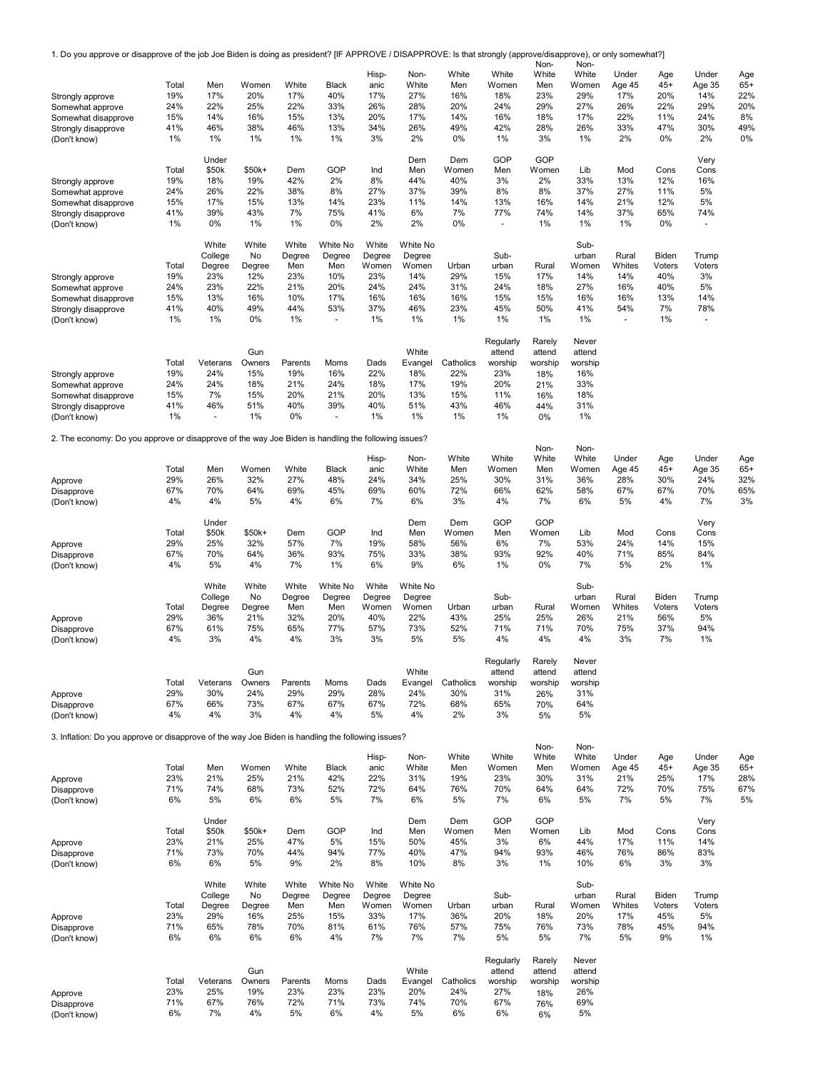1. Do you approve or disapprove of the job Joe Biden is doing as president? [IF APPROVE / DISAPPROVE: Is that strongly (approve/disapprove), or only somewhat?] Non-Non-

|                                                                                                     |              |                 |               |                |                | Hisp-       | Non-           | White            | White                    | <b>IVOLL</b><br>White | <b>IVOLF</b><br>White | Under          | Age    | Under        | Age   |
|-----------------------------------------------------------------------------------------------------|--------------|-----------------|---------------|----------------|----------------|-------------|----------------|------------------|--------------------------|-----------------------|-----------------------|----------------|--------|--------------|-------|
|                                                                                                     | Total        | Men             | Women         | White          | <b>Black</b>   | anic        | White          | Men              | Women                    | Men                   | Women                 | Age 45         | $45+$  | Age 35       | $65+$ |
| Strongly approve                                                                                    | 19%          | 17%             | 20%           | 17%            | 40%            | 17%         | 27%            | 16%              | 18%                      | 23%                   | 29%                   | 17%            | 20%    | 14%          | 22%   |
| Somewhat approve                                                                                    | 24%          | 22%             | 25%           | 22%            | 33%            | 26%         | 28%            | 20%              | 24%                      | 29%                   | 27%                   | 26%            | 22%    | 29%          | 20%   |
| Somewhat disapprove                                                                                 | 15%          | 14%             | 16%           | 15%            | 13%            | 20%         | 17%            | 14%              | 16%                      | 18%                   | 17%                   | 22%            | 11%    | 24%          | 8%    |
| Strongly disapprove                                                                                 | 41%          | 46%             | 38%           | 46%            | 13%            | 34%         | 26%            | 49%              | 42%                      | 28%                   | 26%                   | 33%            | 47%    | 30%          | 49%   |
| (Don't know)                                                                                        | $1\%$        | $1\%$           | 1%            | 1%             | 1%             | 3%          | 2%             | 0%               | 1%                       | 3%                    | 1%                    | 2%             | 0%     | 2%           | 0%    |
|                                                                                                     |              | Under           |               |                |                |             | Dem            | Dem              | GOP                      | GOP                   |                       |                |        | Very         |       |
|                                                                                                     | Total        | \$50k           | \$50k+        | Dem            | GOP            | Ind         | Men            | Women            | Men                      | Women                 | Lib                   | Mod            | Cons   | Cons         |       |
| Strongly approve                                                                                    | 19%          | 18%             | 19%           | 42%            | 2%             | 8%          | 44%            | 40%              | 3%                       | 2%                    | 33%                   | 13%            | 12%    | 16%          |       |
| Somewhat approve                                                                                    | 24%          | 26%             | 22%           | 38%            | 8%             | 27%         | 37%            | 39%              | 8%                       | 8%                    | 37%                   | 27%            | 11%    | 5%           |       |
| Somewhat disapprove                                                                                 | 15%          | 17%             | 15%           | 13%            | 14%            | 23%         | 11%            | 14%              | 13%                      | 16%                   | 14%                   | 21%            | 12%    | 5%           |       |
| Strongly disapprove                                                                                 | 41%          | 39%             | 43%           | 7%             | 75%            | 41%         | 6%             | 7%               | 77%                      | 74%                   | 14%                   | 37%            | 65%    | 74%          |       |
| (Don't know)                                                                                        | 1%           | $0\%$           | 1%            | 1%             | 0%             | 2%          | 2%             | 0%               | $\overline{\phantom{a}}$ | 1%                    | 1%                    | 1%             | 0%     | ä,           |       |
|                                                                                                     |              | White           | White         | White          | White No       | White       | White No       |                  |                          |                       | Sub-                  |                |        |              |       |
|                                                                                                     |              | College         | No            | Degree         | Degree         | Degree      | Degree         |                  | Sub-                     |                       | urban                 | Rural          | Biden  | Trump        |       |
|                                                                                                     | Total        | Degree          | Degree        | Men            | Men            | Women       | Women          | Urban            | urban                    | Rural                 | Women                 | Whites         | Voters | Voters       |       |
| Strongly approve                                                                                    | 19%          | 23%             | 12%           | 23%            | 10%            | 23%         | 14%            | 29%              | 15%                      | 17%                   | 14%                   | 14%            | 40%    | 3%           |       |
| Somewhat approve                                                                                    | 24%          | 23%             | 22%           | 21%            | 20%            | 24%         | 24%            | 31%              | 24%                      | 18%                   | 27%                   | 16%            | 40%    | 5%           |       |
| Somewhat disapprove                                                                                 | 15%          | 13%             | 16%           | 10%            | 17%            | 16%         | 16%            | 16%              | 15%                      | 15%                   | 16%                   | 16%            | 13%    | 14%          |       |
| Strongly disapprove                                                                                 | 41%          | 40%             | 49%           | 44%            | 53%            | 37%         | 46%            | 23%              | 45%                      | 50%                   | 41%                   | 54%            | 7%     | 78%          |       |
| (Don't know)                                                                                        | $1\%$        | $1\%$           | 0%            | $1\%$          | ä,             | 1%          | $1\%$          | 1%               | 1%                       | 1%                    | 1%                    | $\blacksquare$ | 1%     | ä,           |       |
|                                                                                                     |              |                 |               |                |                |             |                |                  | Regularly                | Rarely                | Never                 |                |        |              |       |
|                                                                                                     |              |                 | Gun           |                |                |             | White          |                  | attend                   | attend                | attend                |                |        |              |       |
|                                                                                                     | Total        | Veterans        | Owners        | Parents        | Moms           | Dads        | Evangel        | Catholics        | worship                  | worship               | worship               |                |        |              |       |
| Strongly approve                                                                                    | 19%          | 24%             | 15%           | 19%            | 16%            | 22%         | 18%            | 22%              | 23%                      | 18%                   | 16%                   |                |        |              |       |
| Somewhat approve                                                                                    | 24%          | 24%             | 18%           | 21%            | 24%            | 18%         | 17%            | 19%              | 20%                      | 21%                   | 33%                   |                |        |              |       |
| Somewhat disapprove                                                                                 | 15%          | 7%              | 15%           | 20%            | 21%            | 20%         | 13%            | 15%              | 11%                      | 16%                   | 18%                   |                |        |              |       |
| Strongly disapprove                                                                                 | 41%          | 46%             | 51%           | 40%            | 39%            | 40%         | 51%            | 43%              | 46%                      | 44%                   | 31%                   |                |        |              |       |
| (Don't know)                                                                                        | 1%           | $\omega$        | 1%            | 0%             | $\blacksquare$ | 1%          | 1%             | 1%               | $1\%$                    | 0%                    | 1%                    |                |        |              |       |
|                                                                                                     |              |                 |               |                |                |             |                |                  |                          |                       |                       |                |        |              |       |
| 2. The economy: Do you approve or disapprove of the way Joe Biden is handling the following issues? |              |                 |               |                |                |             |                |                  |                          |                       |                       |                |        |              |       |
|                                                                                                     |              |                 |               |                |                | Hisp-       | Non-           | White            | White                    | Non-<br>White         | Non-<br>White         | Under          | Age    | Under        | Age   |
|                                                                                                     | Total        | Men             | Women         | White          | Black          | anic        | White          | Men              | Women                    | Men                   | Women                 | Age 45         | $45+$  | Age 35       | $65+$ |
| Approve                                                                                             | 29%          | 26%             | 32%           | 27%            | 48%            | 24%         | 34%            | 25%              | 30%                      | 31%                   | 36%                   | 28%            | 30%    | 24%          | 32%   |
| Disapprove                                                                                          | 67%          | 70%             | 64%           | 69%            | 45%            | 69%         | 60%            | 72%              | 66%                      | 62%                   | 58%                   | 67%            | 67%    | 70%          | 65%   |
| (Don't know)                                                                                        | 4%           | 4%              | 5%            | 4%             | 6%             | 7%          | 6%             | 3%               | 4%                       | 7%                    | 6%                    | 5%             | 4%     | 7%           | 3%    |
|                                                                                                     |              |                 |               |                |                |             |                |                  |                          |                       |                       |                |        |              |       |
|                                                                                                     |              | Under           |               |                |                |             | Dem            | Dem              | GOP                      | GOP                   |                       |                |        | Very         |       |
|                                                                                                     | Total        | \$50k           | \$50k+        | Dem            | GOP            | Ind         | Men            | Women            | Men                      | Women                 | Lib                   | Mod            | Cons   | Cons         |       |
| Approve                                                                                             | 29%          | 25%             | 32%           | 57%            | 7%             | 19%         | 58%            | 56%              | 6%                       | 7%                    | 53%                   | 24%            | 14%    | 15%          |       |
| Disapprove                                                                                          | 67%          | 70%             | 64%           | 36%            | 93%            | 75%         | 33%            | 38%              | 93%                      | 92%                   | 40%                   | 71%            | 85%    | 84%          |       |
| (Don't know)                                                                                        | 4%           | 5%              | 4%            | 7%             | 1%             | 6%          | 9%             | 6%               | 1%                       | 0%                    | 7%                    | 5%             | 2%     | 1%           |       |
|                                                                                                     |              | White           | White         | White          | White No       | White       | White No       |                  |                          |                       | Sub-                  |                |        |              |       |
|                                                                                                     |              | College         | No            | Degree         | Degree         | Degree      | Degree         |                  | Sub-                     |                       | urban                 | Rural          | Biden  | Trump        |       |
|                                                                                                     | Total        | Degree          | Degree        | Men            | Men            | Women       | Women          | Urban            | urban                    | Rural                 | Women                 | Whites         | Voters | Voters       |       |
| Approve                                                                                             | 29%          | 36%             | 21%           | 32%            | 20%            | 40%         | 22%            | 43%              | 25%                      | 25%                   | 26%                   | 21%            | 56%    | 5%           |       |
| Disapprove                                                                                          | 67%          | 61%             | 75%           | 65%            | 77%            | 57%         | 73%            | 52%              | 71%                      | 71%                   | 70%                   | 75%            | 37%    | 94%          |       |
| (Don't know)                                                                                        | 4%           | 3%              | 4%            | 4%             | 3%             | 3%          | 5%             | 5%               | 4%                       | 4%                    | 4%                    | 3%             | 7%     | 1%           |       |
|                                                                                                     |              |                 |               |                |                |             |                |                  |                          |                       |                       |                |        |              |       |
|                                                                                                     |              |                 |               |                |                |             |                |                  | Regularly                | Rarely                | Never                 |                |        |              |       |
|                                                                                                     |              |                 | Gun           |                |                |             | White          |                  | attend                   | attend                | attend                |                |        |              |       |
|                                                                                                     | Total        | Veterans        | Owners        | Parents        | Moms           | Dads        | Evangel        | Catholics        | worship                  | worship               | worship               |                |        |              |       |
| Approve                                                                                             | 29%          | 30%             | 24%           | 29%            | 29%            | 28%         | 24%            | 30%              | 31%                      | 26%                   | 31%                   |                |        |              |       |
| Disapprove                                                                                          | 67%<br>4%    | 66%<br>4%       | 73%<br>3%     | 67%<br>4%      | 67%<br>4%      | 67%<br>5%   | 72%<br>4%      | 68%<br>2%        | 65%<br>3%                | 70%                   | 64%<br>5%             |                |        |              |       |
| (Don't know)                                                                                        |              |                 |               |                |                |             |                |                  |                          | 5%                    |                       |                |        |              |       |
| 3. Inflation: Do you approve or disapprove of the way Joe Biden is handling the following issues?   |              |                 |               |                |                |             |                |                  |                          |                       |                       |                |        |              |       |
|                                                                                                     |              |                 |               |                |                |             |                |                  |                          | Non-                  | Non-                  |                |        |              |       |
|                                                                                                     |              |                 |               |                |                | Hisp-       | Non-           | White            | White                    | White                 | White                 | Under          | Age    | Under        | Age   |
|                                                                                                     | Total        | Men             | Women         | White          | Black          | anic        | White          | Men              | Women                    | Men                   | Women                 | Age 45         | $45+$  | Age 35       | $65+$ |
| Approve                                                                                             | 23%          | 21%             | 25%           | 21%            | 42%            | 22%         | 31%            | 19%              | 23%                      | 30%                   | 31%                   | 21%            | 25%    | 17%          | 28%   |
| Disapprove                                                                                          | 71%          | 74%             | 68%           | 73%            | 52%            | 72%         | 64%            | 76%              | 70%                      | 64%                   | 64%                   | 72%            | 70%    | 75%          | 67%   |
| (Don't know)                                                                                        | 6%           | 5%              | 6%            | 6%             | 5%             | 7%          | 6%             | 5%               | 7%                       | 6%                    | 5%                    | 7%             | 5%     | 7%           | 5%    |
|                                                                                                     |              |                 |               |                |                |             |                | Dem              | GOP                      | GOP                   |                       |                |        |              |       |
|                                                                                                     | Total        | Under<br>\$50k  | \$50k+        | Dem            | GOP            | Ind         | Dem<br>Men     | Women            | Men                      | Women                 | Lib                   | Mod            | Cons   | Very<br>Cons |       |
| Approve                                                                                             | 23%          | 21%             | 25%           | 47%            | 5%             | 15%         | 50%            | 45%              | 3%                       | 6%                    | 44%                   | 17%            | 11%    | 14%          |       |
| Disapprove                                                                                          | 71%          | 73%             | 70%           | 44%            | 94%            | 77%         | 40%            | 47%              | 94%                      | 93%                   | 46%                   | 76%            | 86%    | 83%          |       |
| (Don't know)                                                                                        | 6%           | 6%              | 5%            | 9%             | 2%             | 8%          | 10%            | 8%               | 3%                       | 1%                    | 10%                   | 6%             | 3%     | 3%           |       |
|                                                                                                     |              |                 |               |                |                |             |                |                  |                          |                       |                       |                |        |              |       |
|                                                                                                     |              | White           | White         | White          | White No       | White       | White No       |                  |                          |                       | Sub-                  |                |        |              |       |
|                                                                                                     |              | College         | No            | Degree         | Degree         | Degree      | Degree         |                  | Sub-                     |                       | urban                 | Rural          | Biden  | Trump        |       |
|                                                                                                     | Total        | Degree          | Degree        | Men            | Men            | Women       | Women          | Urban            | urban                    | Rural                 | Women                 | Whites         | Voters | Voters       |       |
| Approve                                                                                             | 23%          | 29%             | 16%           | 25%            | 15%            | 33%         | 17%            | 36%              | 20%                      | 18%                   | 20%                   | 17%            | 45%    | 5%           |       |
| Disapprove                                                                                          | 71%          | 65%             | 78%           | 70%            | 81%            | 61%         | 76%            | 57%              | 75%                      | 76%                   | 73%                   | 78%            | 45%    | 94%          |       |
| (Don't know)                                                                                        | 6%           | 6%              | 6%            | 6%             | 4%             | 7%          | 7%             | 7%               | 5%                       | 5%                    | 7%                    | 5%             | 9%     | 1%           |       |
|                                                                                                     |              |                 |               |                |                |             |                |                  |                          |                       |                       |                |        |              |       |
|                                                                                                     |              |                 |               |                |                |             |                |                  | Regularly                | Rarely                | Never                 |                |        |              |       |
|                                                                                                     |              |                 | Gun           |                |                |             | White          |                  | attend                   | attend                | attend                |                |        |              |       |
|                                                                                                     | Total<br>23% | Veterans<br>25% | Owners<br>19% | Parents<br>23% | Moms<br>23%    | Dads<br>23% | Evangel<br>20% | Catholics<br>24% | worship<br>27%           | worship               | worship<br>26%        |                |        |              |       |
| Approve<br>Disapprove                                                                               | 71%          | 67%             | 76%           | 72%            | 71%            | 73%         | 74%            | 70%              | 67%                      | 18%<br>76%            | 69%                   |                |        |              |       |
| (Don't know)                                                                                        | 6%           | 7%              | 4%            | 5%             | 6%             | 4%          | 5%             | 6%               | 6%                       | 6%                    | 5%                    |                |        |              |       |
|                                                                                                     |              |                 |               |                |                |             |                |                  |                          |                       |                       |                |        |              |       |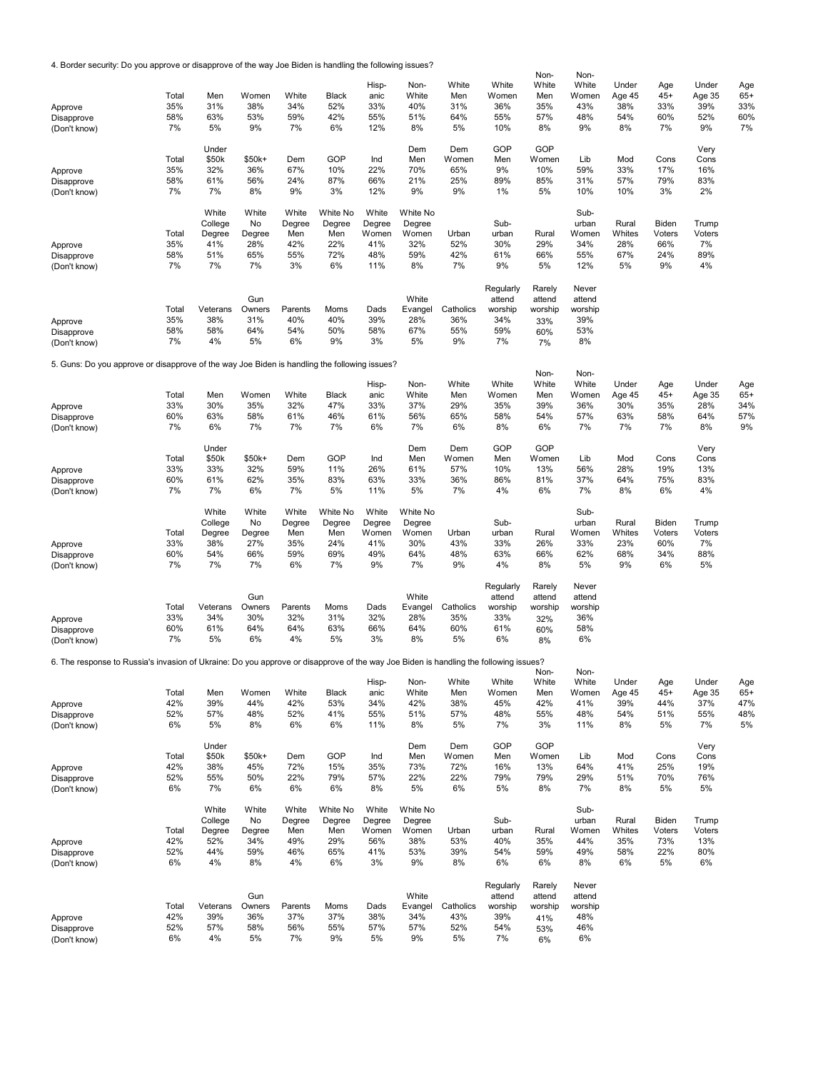4. Border security: Do you approve or disapprove of the way Joe Biden is handling the following issues?

|                            |                                                                                                                                      |            |            |            |            |              |               |                 |              |                | Non-         | Non-           |               |              |               |              |
|----------------------------|--------------------------------------------------------------------------------------------------------------------------------------|------------|------------|------------|------------|--------------|---------------|-----------------|--------------|----------------|--------------|----------------|---------------|--------------|---------------|--------------|
|                            |                                                                                                                                      |            |            |            |            |              | Hisp-         | Non-            | White        | White          | White        | White          | Under         | Age          | Under         | Age          |
|                            |                                                                                                                                      | Total      | Men        | Women      | White      | <b>Black</b> | anic          | White           | Men          | Women          | Men          | Women          | Age 45        | $45+$        | Age 35        | $65+$        |
| Approve                    |                                                                                                                                      | 35%        | 31%        | 38%        | 34%        | 52%          | 33%           | 40%             | 31%          | 36%            | 35%          | 43%            | 38%           | 33%          | 39%           | 33%          |
| Disapprove                 |                                                                                                                                      | 58%        | 63%        | 53%        | 59%        | 42%          | 55%           | 51%             | 64%          | 55%            | 57%          | 48%            | 54%           | 60%          | 52%           | 60%          |
| (Don't know)               |                                                                                                                                      | 7%         | 5%         | 9%         | 7%         | 6%           | 12%           | 8%              | 5%           | 10%            | 8%           | 9%             | 8%            | 7%           | 9%            | 7%           |
|                            |                                                                                                                                      |            | Under      |            |            |              |               | Dem             | Dem          | GOP            | GOP          |                |               |              | Very          |              |
|                            |                                                                                                                                      | Total      | \$50k      | \$50k+     | Dem        | GOP          | Ind           | Men             | Women        | Men            | Women        | Lib            | Mod           | Cons         | Cons          |              |
| Approve                    |                                                                                                                                      | 35%        | 32%        | 36%        | 67%        | 10%          | 22%           | 70%             | 65%          | 9%             | 10%          | 59%            | 33%           | 17%          | 16%           |              |
| Disapprove                 |                                                                                                                                      | 58%        | 61%        | 56%        | 24%        | 87%          | 66%           | 21%             | 25%          | 89%            | 85%          | 31%            | 57%           | 79%          | 83%           |              |
| (Don't know)               |                                                                                                                                      | 7%         | 7%         | 8%         | 9%         | 3%           | 12%           | 9%              | 9%           | 1%             | 5%           | 10%            | 10%           | 3%           | 2%            |              |
|                            |                                                                                                                                      |            |            |            |            |              |               |                 |              |                |              |                |               |              |               |              |
|                            |                                                                                                                                      |            | White      | White      | White      | White No     | White         | <b>White No</b> |              |                |              | Sub-           |               |              |               |              |
|                            |                                                                                                                                      |            | College    | No         | Degree     | Degree       | Degree        | Degree          |              | Sub-           |              | urban          | Rural         | Biden        | Trump         |              |
|                            |                                                                                                                                      | Total      | Degree     | Degree     | Men        | Men          | Women         | Women           | Urban        | urban          | Rural        | Women          | Whites        | Voters       | Voters        |              |
| Approve                    |                                                                                                                                      | 35%<br>58% | 41%<br>51% | 28%<br>65% | 42%<br>55% | 22%<br>72%   | 41%<br>48%    | 32%<br>59%      | 52%<br>42%   | 30%<br>61%     | 29%<br>66%   | 34%<br>55%     | 28%<br>67%    | 66%<br>24%   | 7%<br>89%     |              |
| Disapprove<br>(Don't know) |                                                                                                                                      | 7%         | 7%         | 7%         | 3%         | 6%           | 11%           | 8%              | 7%           | 9%             | 5%           | 12%            | 5%            | 9%           | 4%            |              |
|                            |                                                                                                                                      |            |            |            |            |              |               |                 |              |                |              |                |               |              |               |              |
|                            |                                                                                                                                      |            |            |            |            |              |               |                 |              | Regularly      | Rarely       | Never          |               |              |               |              |
|                            |                                                                                                                                      |            |            | Gun        |            |              |               | White           |              | attend         | attend       | attend         |               |              |               |              |
|                            |                                                                                                                                      | Total      | Veterans   | Owners     | Parents    | Moms         | Dads          | Evangel         | Catholics    | worship        | worship      | worship        |               |              |               |              |
| Approve                    |                                                                                                                                      | 35%        | 38%        | 31%        | 40%        | 40%          | 39%           | 28%             | 36%          | 34%            | 33%          | 39%            |               |              |               |              |
| Disapprove                 |                                                                                                                                      | 58%        | 58%        | 64%        | 54%        | 50%          | 58%           | 67%             | 55%          | 59%            | 60%          | 53%            |               |              |               |              |
| (Don't know)               |                                                                                                                                      | 7%         | 4%         | 5%         | 6%         | 9%           | 3%            | 5%              | 9%           | 7%             | 7%           | 8%             |               |              |               |              |
|                            |                                                                                                                                      |            |            |            |            |              |               |                 |              |                |              |                |               |              |               |              |
|                            | 5. Guns: Do you approve or disapprove of the way Joe Biden is handling the following issues?                                         |            |            |            |            |              |               |                 |              |                |              |                |               |              |               |              |
|                            |                                                                                                                                      |            |            |            |            |              |               |                 |              |                | Non-         | Non-           |               |              |               |              |
|                            |                                                                                                                                      | Total      | Men        | Women      | White      | <b>Black</b> | Hisp-<br>anic | Non-<br>White   | White<br>Men | White<br>Women | White<br>Men | White<br>Women | Under         | Age<br>$45+$ | Under         | Age<br>$65+$ |
|                            |                                                                                                                                      | 33%        | 30%        | 35%        | 32%        | 47%          | 33%           | 37%             | 29%          | 35%            | 39%          | 36%            | Age 45<br>30% | 35%          | Age 35<br>28% | 34%          |
| Approve<br>Disapprove      |                                                                                                                                      | 60%        | 63%        | 58%        | 61%        | 46%          | 61%           | 56%             | 65%          | 58%            | 54%          | 57%            | 63%           | 58%          | 64%           | 57%          |
| (Don't know)               |                                                                                                                                      | 7%         | 6%         | 7%         | 7%         | 7%           | 6%            | 7%              | 6%           | 8%             | 6%           | 7%             | 7%            | 7%           | 8%            | 9%           |
|                            |                                                                                                                                      |            |            |            |            |              |               |                 |              |                |              |                |               |              |               |              |
|                            |                                                                                                                                      |            | Under      |            |            |              |               | Dem             | Dem          | GOP            | GOP          |                |               |              | Very          |              |
|                            |                                                                                                                                      | Total      | \$50k      | \$50k+     | Dem        | GOP          | Ind           | Men             | Women        | Men            | Women        | Lib            | Mod           | Cons         | Cons          |              |
| Approve                    |                                                                                                                                      | 33%        | 33%        | 32%        | 59%        | 11%          | 26%           | 61%             | 57%          | 10%            | 13%          | 56%            | 28%           | 19%          | 13%           |              |
| Disapprove                 |                                                                                                                                      | 60%        | 61%        | 62%        | 35%        | 83%          | 63%           | 33%             | 36%          | 86%            | 81%          | 37%            | 64%           | 75%          | 83%           |              |
| (Don't know)               |                                                                                                                                      | 7%         | 7%         | 6%         | 7%         | 5%           | 11%           | 5%              | 7%           | 4%             | 6%           | 7%             | 8%            | 6%           | 4%            |              |
|                            |                                                                                                                                      |            |            |            |            |              |               |                 |              |                |              |                |               |              |               |              |
|                            |                                                                                                                                      |            |            |            |            |              |               |                 |              |                |              |                |               |              |               |              |
|                            |                                                                                                                                      |            | White      | White      | White      | White No     | White         | White No        |              |                |              | Sub-           |               |              |               |              |
|                            |                                                                                                                                      |            | College    | No         | Degree     | Degree       | Degree        | Degree          |              | Sub-           |              | urban          | Rural         | Biden        | Trump         |              |
|                            |                                                                                                                                      | Total      | Degree     | Degree     | Men        | Men          | Women         | Women           | Urban        | urban          | Rural        | Women          | Whites        | Voters       | Voters        |              |
| Approve                    |                                                                                                                                      | 33%        | 38%        | 27%        | 35%        | 24%          | 41%           | 30%             | 43%          | 33%            | 26%          | 33%            | 23%           | 60%          | 7%            |              |
| Disapprove                 |                                                                                                                                      | 60%        | 54%<br>7%  | 66%<br>7%  | 59%<br>6%  | 69%<br>7%    | 49%<br>9%     | 64%<br>7%       | 48%<br>9%    | 63%<br>4%      | 66%<br>8%    | 62%<br>5%      | 68%<br>9%     | 34%<br>6%    | 88%           |              |
| (Don't know)               |                                                                                                                                      | 7%         |            |            |            |              |               |                 |              |                |              |                |               |              | 5%            |              |
|                            |                                                                                                                                      |            |            |            |            |              |               |                 |              | Regularly      | Rarely       | Never          |               |              |               |              |
|                            |                                                                                                                                      |            |            | Gun        |            |              |               | White           |              | attend         | attend       | attend         |               |              |               |              |
|                            |                                                                                                                                      | Total      | Veterans   | Owners     | Parents    | Moms         | Dads          | Evangel         | Catholics    | worship        | worship      | worship        |               |              |               |              |
| Approve                    |                                                                                                                                      | 33%        | 34%        | 30%        | 32%        | 31%          | 32%           | 28%             | 35%          | 33%            | 32%          | 36%            |               |              |               |              |
| Disapprove                 |                                                                                                                                      | 60%        | 61%        | 64%        | 64%        | 63%          | 66%           | 64%             | 60%          | 61%            | 60%          | 58%            |               |              |               |              |
| (Don't know)               |                                                                                                                                      | 7%         | 5%         | 6%         | 4%         | 5%           | 3%            | 8%              | 5%           | 6%             | 8%           | 6%             |               |              |               |              |
|                            |                                                                                                                                      |            |            |            |            |              |               |                 |              |                |              |                |               |              |               |              |
|                            | 6. The response to Russia's invasion of Ukraine: Do you approve or disapprove of the way Joe Biden is handling the following issues? |            |            |            |            |              |               |                 |              |                | Non-         | Non-           |               |              |               |              |
|                            |                                                                                                                                      |            |            |            |            |              | Hisp-         | Non-            | White        | White          | White        | White          | Under         | Age          | Under         | Age          |
|                            |                                                                                                                                      | Total      | Men        | Women      | White      | <b>Black</b> | anic          | White           | Men          | Women          | Men          | Women          | Age 45        | $45+$        | Age 35        | $65+$        |
| Approve                    |                                                                                                                                      | 42%        | 39%        | 44%        | 42%        | 53%          | 34%           | 42%             | 38%          | 45%            | 42%          | 41%            | 39%           | 44%          | 37%           | 47%          |
| Disapprove                 |                                                                                                                                      | 52%        | 57%        | 48%        | 52%        | 41%          | 55%           | 51%             | 57%          | 48%            | 55%          | 48%            | 54%           | 51%          | 55%           | 48%          |
| (Don't know)               |                                                                                                                                      | 6%         | 5%         | 8%         | 6%         | 6%           | 11%           | 8%              | 5%           | 7%             | 3%           | 11%            | 8%            | 5%           | 7%            | 5%           |
|                            |                                                                                                                                      |            |            |            |            |              |               |                 |              |                |              |                |               |              |               |              |
|                            |                                                                                                                                      |            | Under      |            |            |              |               | Dem             | Dem          | GOP            | GOP          |                |               |              | Very          |              |
|                            |                                                                                                                                      | Total      | \$50k      | \$50k+     | Dem        | GOP          | Ind           | Men             | Women        | Men            | Women        | Lib            | Mod           | Cons         | Cons          |              |
| Approve                    |                                                                                                                                      | 42%        | 38%        | 45%        | 72%        | 15%          | 35%           | 73%             | 72%          | 16%            | 13%          | 64%            | 41%           | 25%          | 19%           |              |
| Disapprove                 |                                                                                                                                      | 52%<br>6%  | 55%<br>7%  | 50%<br>6%  | 22%<br>6%  | 79%<br>6%    | 57%<br>8%     | 22%<br>5%       | 22%<br>6%    | 79%<br>5%      | 79%<br>8%    | 29%<br>7%      | 51%<br>8%     | 70%<br>5%    | 76%<br>5%     |              |
| (Don't know)               |                                                                                                                                      |            |            |            |            |              |               |                 |              |                |              |                |               |              |               |              |
|                            |                                                                                                                                      |            | White      | White      | White      | White No     | White         | White No        |              |                |              | Sub-           |               |              |               |              |
|                            |                                                                                                                                      |            | College    | No         | Degree     | Degree       | Degree        | Degree          |              | Sub-           |              | urban          | Rural         | Biden        | Trump         |              |
|                            |                                                                                                                                      | Total      | Degree     | Degree     | Men        | Men          | Women         | Women           | Urban        | urban          | Rural        | Women          | Whites        | Voters       | Voters        |              |
| Approve                    |                                                                                                                                      | 42%        | 52%        | 34%        | 49%        | 29%          | 56%           | 38%             | 53%          | 40%            | 35%          | 44%            | 35%           | 73%          | 13%           |              |
| Disapprove                 |                                                                                                                                      | 52%        | 44%        | 59%        | 46%        | 65%          | 41%           | 53%             | 39%          | 54%            | 59%          | 49%            | 58%           | 22%          | 80%           |              |
| (Don't know)               |                                                                                                                                      | 6%         | 4%         | 8%         | 4%         | 6%           | 3%            | 9%              | 8%           | 6%             | 6%           | 8%             | 6%            | 5%           | 6%            |              |
|                            |                                                                                                                                      |            |            |            |            |              |               |                 |              |                |              |                |               |              |               |              |
|                            |                                                                                                                                      |            |            |            |            |              |               |                 |              | Regularly      | Rarely       | Never          |               |              |               |              |
|                            |                                                                                                                                      |            |            | Gun        |            |              |               | White           |              | attend         | attend       | attend         |               |              |               |              |
|                            |                                                                                                                                      | Total      | Veterans   | Owners     | Parents    | Moms         | Dads          | Evangel         | Catholics    | worship        | worship      | worship        |               |              |               |              |
| Approve<br>Disapprove      |                                                                                                                                      | 42%<br>52% | 39%<br>57% | 36%<br>58% | 37%<br>56% | 37%<br>55%   | 38%<br>57%    | 34%<br>57%      | 43%<br>52%   | 39%<br>54%     | 41%<br>53%   | 48%<br>46%     |               |              |               |              |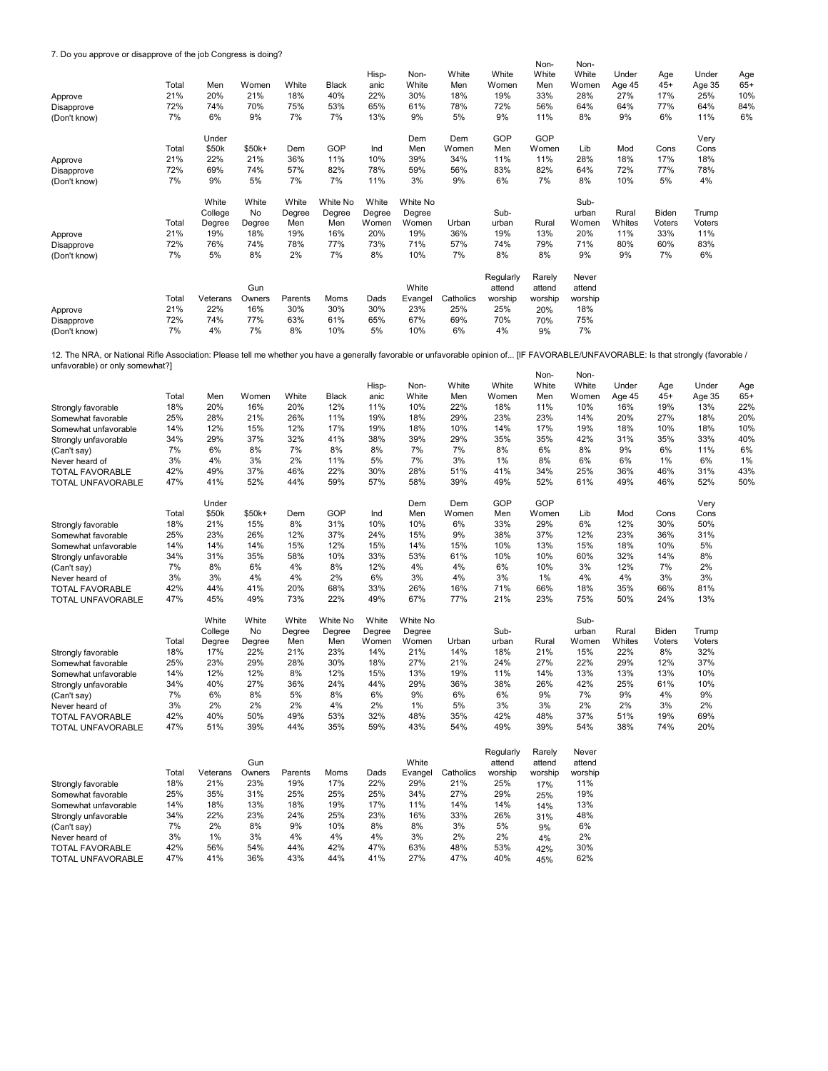## 7. Do you approve or disapprove of the job Congress is doing?

|              | - - - - - - - - - |          |        |         |              |               |               |              |                | Non-         | Non-           |                 |              |                 |              |
|--------------|-------------------|----------|--------|---------|--------------|---------------|---------------|--------------|----------------|--------------|----------------|-----------------|--------------|-----------------|--------------|
|              | Total             | Men      | Women  | White   | <b>Black</b> | Hisp-<br>anic | Non-<br>White | White<br>Men | White<br>Women | White<br>Men | White<br>Women | Under<br>Age 45 | Age<br>$45+$ | Under<br>Age 35 | Age<br>$65+$ |
| Approve      | 21%               | 20%      | 21%    | 18%     | 40%          | 22%           | 30%           | 18%          | 19%            | 33%          | 28%            | 27%             | 17%          | 25%             | 10%          |
| Disapprove   | 72%               | 74%      | 70%    | 75%     | 53%          | 65%           | 61%           | 78%          | 72%            | 56%          | 64%            | 64%             | 77%          | 64%             | 84%          |
| (Don't know) | 7%                | 6%       | 9%     | 7%      | 7%           | 13%           | 9%            | 5%           | 9%             | 11%          | 8%             | 9%              | 6%           | 11%             | 6%           |
|              |                   | Under    |        |         |              |               | Dem           | Dem          | GOP            | GOP          |                |                 |              | Very            |              |
|              | Total             | \$50k    | \$50k+ | Dem     | GOP          | Ind           | Men           | Women        | Men            | Women        | Lib            | Mod             | Cons         | Cons            |              |
| Approve      | 21%               | 22%      | 21%    | 36%     | 11%          | 10%           | 39%           | 34%          | 11%            | 11%          | 28%            | 18%             | 17%          | 18%             |              |
| Disapprove   | 72%               | 69%      | 74%    | 57%     | 82%          | 78%           | 59%           | 56%          | 83%            | 82%          | 64%            | 72%             | 77%          | 78%             |              |
| (Don't know) | 7%                | 9%       | 5%     | 7%      | 7%           | 11%           | 3%            | 9%           | 6%             | 7%           | 8%             | 10%             | 5%           | 4%              |              |
|              |                   | White    | White  | White   | White No     | White         | White No      |              |                |              | Sub-           |                 |              |                 |              |
|              |                   | College  | No     | Degree  | Degree       | Degree        | Degree        |              | Sub-           |              | urban          | Rural           | Biden        | Trump           |              |
|              | Total             | Degree   | Degree | Men     | Men          | Women         | Women         | Urban        | urban          | Rural        | Women          | Whites          | Voters       | Voters          |              |
| Approve      | 21%               | 19%      | 18%    | 19%     | 16%          | 20%           | 19%           | 36%          | 19%            | 13%          | 20%            | 11%             | 33%          | 11%             |              |
| Disapprove   | 72%               | 76%      | 74%    | 78%     | 77%          | 73%           | 71%           | 57%          | 74%            | 79%          | 71%            | 80%             | 60%          | 83%             |              |
| (Don't know) | 7%                | 5%       | 8%     | 2%      | 7%           | 8%            | 10%           | 7%           | 8%             | 8%           | 9%             | 9%              | 7%           | 6%              |              |
|              |                   |          |        |         |              |               |               |              | Regularly      | Rarely       | Never          |                 |              |                 |              |
|              |                   |          | Gun    |         |              |               | White         |              | attend         | attend       | attend         |                 |              |                 |              |
|              | Total             | Veterans | Owners | Parents | Moms         | Dads          | Evangel       | Catholics    | worship        | worship      | worship        |                 |              |                 |              |
| Approve      | 21%               | 22%      | 16%    | 30%     | 30%          | 30%           | 23%           | 25%          | 25%            | 20%          | 18%            |                 |              |                 |              |
| Disapprove   | 72%               | 74%      | 77%    | 63%     | 61%          | 65%           | 67%           | 69%          | 70%            | 70%          | 75%            |                 |              |                 |              |
| (Don't know) | 7%                | 4%       | 7%     | 8%      | 10%          | 5%            | 10%           | 6%           | 4%             | 9%           | 7%             |                 |              |                 |              |

Non-Non-12. The NRA, or National Rifle Association: Please tell me whether you have a generally favorable or unfavorable opinion of... [IF FAVORABLE/UNFAVORABLE: Is that strongly (favorable /<br>unfavorable) or only somewhat?]

|                                          | Total | Men      | Women  | White   | <b>Black</b> | Hisp-<br>anic | Non-<br>White | White<br>Men | White<br>Women | White<br>Men | White<br>Women | Under         | Age<br>$45+$ | Under         | Age<br>$65+$ |
|------------------------------------------|-------|----------|--------|---------|--------------|---------------|---------------|--------------|----------------|--------------|----------------|---------------|--------------|---------------|--------------|
|                                          | 18%   | 20%      | 16%    | 20%     | 12%          | 11%           | 10%           | 22%          | 18%            | 11%          | 10%            | Age 45<br>16% | 19%          | Age 35<br>13% | 22%          |
| Strongly favorable<br>Somewhat favorable | 25%   | 28%      | 21%    | 26%     | 11%          | 19%           | 18%           | 29%          | 23%            | 23%          | 14%            | 20%           | 27%          | 18%           | 20%          |
|                                          | 14%   | 12%      | 15%    | 12%     | 17%          | 19%           | 18%           | 10%          | 14%            | 17%          | 19%            | 18%           | 10%          | 18%           | 10%          |
| Somewhat unfavorable                     | 34%   | 29%      | 37%    | 32%     | 41%          | 38%           | 39%           | 29%          | 35%            | 35%          | 42%            | 31%           | 35%          | 33%           | 40%          |
| Strongly unfavorable                     | 7%    | 6%       | 8%     | 7%      | 8%           | 8%            | 7%            | 7%           | 8%             | 6%           | 8%             | 9%            | 6%           | 11%           | 6%           |
| (Can't say)                              |       | 4%       | 3%     |         |              | 5%            | 7%            | 3%           | 1%             | 8%           | 6%             |               | 1%           | 6%            |              |
| Never heard of                           | 3%    |          |        | 2%      | 11%          |               |               |              |                |              |                | 6%            |              |               | 1%           |
| <b>TOTAL FAVORABLE</b>                   | 42%   | 49%      | 37%    | 46%     | 22%          | 30%           | 28%           | 51%          | 41%            | 34%          | 25%            | 36%           | 46%          | 31%           | 43%          |
| TOTAL UNFAVORABLE                        | 47%   | 41%      | 52%    | 44%     | 59%          | 57%           | 58%           | 39%          | 49%            | 52%          | 61%            | 49%           | 46%          | 52%           | 50%          |
|                                          |       | Under    |        |         |              |               | Dem           | Dem          | GOP            | GOP          |                |               |              | Very          |              |
|                                          | Total | \$50k    | \$50k+ | Dem     | GOP          | Ind           | Men           | Women        | Men            | Women        | Lib            | Mod           | Cons         | Cons          |              |
| Strongly favorable                       | 18%   | 21%      | 15%    | 8%      | 31%          | 10%           | 10%           | 6%           | 33%            | 29%          | 6%             | 12%           | 30%          | 50%           |              |
| Somewhat favorable                       | 25%   | 23%      | 26%    | 12%     | 37%          | 24%           | 15%           | 9%           | 38%            | 37%          | 12%            | 23%           | 36%          | 31%           |              |
| Somewhat unfavorable                     | 14%   | 14%      | 14%    | 15%     | 12%          | 15%           | 14%           | 15%          | 10%            | 13%          | 15%            | 18%           | 10%          | 5%            |              |
| Strongly unfavorable                     | 34%   | 31%      | 35%    | 58%     | 10%          | 33%           | 53%           | 61%          | 10%            | 10%          | 60%            | 32%           | 14%          | 8%            |              |
| (Can't say)                              | 7%    | 8%       | 6%     | 4%      | 8%           | 12%           | 4%            | 4%           | 6%             | 10%          | 3%             | 12%           | 7%           | 2%            |              |
| Never heard of                           | 3%    | 3%       | 4%     | 4%      | 2%           | 6%            | 3%            | 4%           | 3%             | $1\%$        | 4%             | 4%            | 3%           | 3%            |              |
| <b>TOTAL FAVORABLE</b>                   | 42%   | 44%      | 41%    | 20%     | 68%          | 33%           | 26%           | 16%          | 71%            | 66%          | 18%            | 35%           | 66%          | 81%           |              |
| TOTAL UNFAVORABLE                        | 47%   | 45%      | 49%    | 73%     | 22%          | 49%           | 67%           | 77%          | 21%            | 23%          | 75%            | 50%           | 24%          | 13%           |              |
|                                          |       | White    | White  | White   | White No     | White         | White No      |              |                |              | Sub-           |               |              |               |              |
|                                          |       | College  | No     | Degree  | Degree       | Degree        | Degree        |              | Sub-           |              | urban          | Rural         | Biden        | Trump         |              |
|                                          | Total | Degree   | Degree | Men     | Men          | Women         | Women         | Urban        | urban          | Rural        | Women          | Whites        | Voters       | Voters        |              |
| Strongly favorable                       | 18%   | 17%      | 22%    | 21%     | 23%          | 14%           | 21%           | 14%          | 18%            | 21%          | 15%            | 22%           | 8%           | 32%           |              |
| Somewhat favorable                       | 25%   | 23%      | 29%    | 28%     | 30%          | 18%           | 27%           | 21%          | 24%            | 27%          | 22%            | 29%           | 12%          | 37%           |              |
| Somewhat unfavorable                     | 14%   | 12%      | 12%    | 8%      | 12%          | 15%           | 13%           | 19%          | 11%            | 14%          | 13%            | 13%           | 13%          | 10%           |              |
| Strongly unfavorable                     | 34%   | 40%      | 27%    | 36%     | 24%          | 44%           | 29%           | 36%          | 38%            | 26%          | 42%            | 25%           | 61%          | 10%           |              |
| (Can't say)                              | 7%    | 6%       | 8%     | 5%      | 8%           | 6%            | 9%            | 6%           | 6%             | 9%           | 7%             | 9%            | 4%           | 9%            |              |
| Never heard of                           | 3%    | 2%       | 2%     | 2%      | 4%           | 2%            | 1%            | 5%           | 3%             | 3%           | 2%             | 2%            | 3%           | 2%            |              |
| <b>TOTAL FAVORABLE</b>                   | 42%   | 40%      | 50%    | 49%     | 53%          | 32%           | 48%           | 35%          | 42%            | 48%          | 37%            | 51%           | 19%          | 69%           |              |
| <b>TOTAL UNFAVORABLE</b>                 | 47%   | 51%      | 39%    | 44%     | 35%          | 59%           | 43%           | 54%          | 49%            | 39%          | 54%            | 38%           | 74%          | 20%           |              |
|                                          |       |          |        |         |              |               |               |              |                |              |                |               |              |               |              |
|                                          |       |          | Gun    |         |              |               | White         |              | Regularly      | Rarely       | Never          |               |              |               |              |
|                                          |       |          |        |         |              |               |               |              | attend         | attend       | attend         |               |              |               |              |
|                                          | Total | Veterans | Owners | Parents | Moms         | Dads          | Evangel       | Catholics    | worship        | worship      | worship        |               |              |               |              |
| Strongly favorable                       | 18%   | 21%      | 23%    | 19%     | 17%          | 22%           | 29%           | 21%          | 25%            | 17%          | 11%            |               |              |               |              |
| Somewhat favorable                       | 25%   | 35%      | 31%    | 25%     | 25%          | 25%           | 34%           | 27%          | 29%            | 25%          | 19%            |               |              |               |              |
| Somewhat unfavorable                     | 14%   | 18%      | 13%    | 18%     | 19%          | 17%           | 11%           | 14%          | 14%            | 14%          | 13%            |               |              |               |              |
| Strongly unfavorable                     | 34%   | 22%      | 23%    | 24%     | 25%          | 23%           | 16%           | 33%          | 26%            | 31%          | 48%            |               |              |               |              |
| (Can't say)                              | 7%    | 2%       | 8%     | 9%      | 10%          | 8%            | 8%            | 3%           | 5%             | 9%           | 6%             |               |              |               |              |
| Never heard of                           | 3%    | 1%       | 3%     | 4%      | 4%           | 4%            | 3%            | 2%           | 2%             | 4%           | 2%             |               |              |               |              |
| <b>TOTAL FAVORABLE</b>                   | 42%   | 56%      | 54%    | 44%     | 42%          | 47%           | 63%           | 48%          | 53%            | 42%          | 30%            |               |              |               |              |
| TOTAL UNFAVORABLE                        | 47%   | 41%      | 36%    | 43%     | 44%          | 41%           | 27%           | 47%          | 40%            | 45%          | 62%            |               |              |               |              |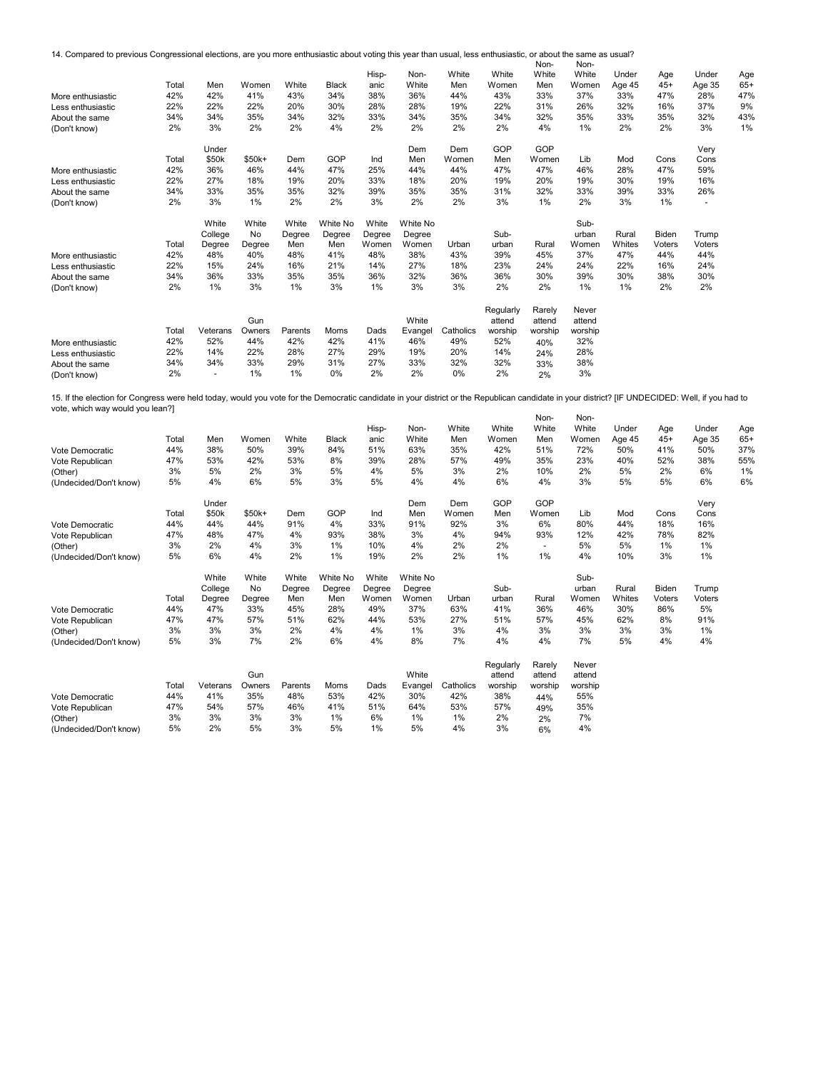14. Compared to previous Congressional elections, are you more enthusiastic about voting this year than usual, less enthusiastic, or about the same as usual?

|                   |       |                   |         |         |              |        |          |           |           | Non-    | Non-    |        |        |        |       |
|-------------------|-------|-------------------|---------|---------|--------------|--------|----------|-----------|-----------|---------|---------|--------|--------|--------|-------|
|                   |       |                   |         |         |              | Hisp-  | Non-     | White     | White     | White   | White   | Under  | Age    | Under  | Age   |
|                   | Total | Men               | Women   | White   | <b>Black</b> | anic   | White    | Men       | Women     | Men     | Women   | Age 45 | $45+$  | Age 35 | $65+$ |
| More enthusiastic | 42%   | 42%               | 41%     | 43%     | 34%          | 38%    | 36%      | 44%       | 43%       | 33%     | 37%     | 33%    | 47%    | 28%    | 47%   |
| Less enthusiastic | 22%   | 22%               | 22%     | 20%     | 30%          | 28%    | 28%      | 19%       | 22%       | 31%     | 26%     | 32%    | 16%    | 37%    | 9%    |
| About the same    | 34%   | 34%               | 35%     | 34%     | 32%          | 33%    | 34%      | 35%       | 34%       | 32%     | 35%     | 33%    | 35%    | 32%    | 43%   |
| (Don't know)      | 2%    | 3%                | 2%      | 2%      | 4%           | 2%     | 2%       | 2%        | 2%        | 4%      | 1%      | 2%     | 2%     | 3%     | 1%    |
|                   |       | Under             |         |         |              |        | Dem      | Dem       | GOP       | GOP     |         |        |        | Very   |       |
|                   | Total | \$50 <sub>k</sub> | $$50k+$ | Dem     | GOP          | Ind    | Men      | Women     | Men       | Women   | Lib     | Mod    | Cons   | Cons   |       |
| More enthusiastic | 42%   | 36%               | 46%     | 44%     | 47%          | 25%    | 44%      | 44%       | 47%       | 47%     | 46%     | 28%    | 47%    | 59%    |       |
| Less enthusiastic | 22%   | 27%               | 18%     | 19%     | 20%          | 33%    | 18%      | 20%       | 19%       | 20%     | 19%     | 30%    | 19%    | 16%    |       |
| About the same    | 34%   | 33%               | 35%     | 35%     | 32%          | 39%    | 35%      | 35%       | 31%       | 32%     | 33%     | 39%    | 33%    | 26%    |       |
| (Don't know)      | 2%    | 3%                | 1%      | 2%      | 2%           | 3%     | 2%       | 2%        | 3%        | 1%      | 2%      | 3%     | 1%     | $\sim$ |       |
|                   |       | White             | White   | White   | White No     | White  | White No |           |           |         | Sub-    |        |        |        |       |
|                   |       | College           | No      | Degree  | Degree       | Degree | Degree   |           | Sub-      |         | urban   | Rural  | Biden  | Trump  |       |
|                   | Total | Degree            | Degree  | Men     | Men          | Women  | Women    | Urban     | urban     | Rural   | Women   | Whites | Voters | Voters |       |
| More enthusiastic | 42%   | 48%               | 40%     | 48%     | 41%          | 48%    | 38%      | 43%       | 39%       | 45%     | 37%     | 47%    | 44%    | 44%    |       |
| Less enthusiastic | 22%   | 15%               | 24%     | 16%     | 21%          | 14%    | 27%      | 18%       | 23%       | 24%     | 24%     | 22%    | 16%    | 24%    |       |
| About the same    | 34%   | 36%               | 33%     | 35%     | 35%          | 36%    | 32%      | 36%       | 36%       | 30%     | 39%     | 30%    | 38%    | 30%    |       |
| (Don't know)      | 2%    | 1%                | 3%      | 1%      | 3%           | 1%     | 3%       | 3%        | 2%        | 2%      | 1%      | 1%     | 2%     | 2%     |       |
|                   |       |                   |         |         |              |        |          |           | Regularly | Rarely  | Never   |        |        |        |       |
|                   |       |                   | Gun     |         |              |        | White    |           | attend    | attend  | attend  |        |        |        |       |
|                   | Total | Veterans          | Owners  | Parents | Moms         | Dads   | Evangel  | Catholics | worship   | worship | worship |        |        |        |       |
| More enthusiastic | 42%   | 52%               | 44%     | 42%     | 42%          | 41%    | 46%      | 49%       | 52%       | 40%     | 32%     |        |        |        |       |
| Less enthusiastic | 22%   | 14%               | 22%     | 28%     | 27%          | 29%    | 19%      | 20%       | 14%       | 24%     | 28%     |        |        |        |       |
| About the same    | 34%   | 34%               | 33%     | 29%     | 31%          | 27%    | 33%      | 32%       | 32%       | 33%     | 38%     |        |        |        |       |
| (Don't know)      | 2%    | $\blacksquare$    | 1%      | 1%      | 0%           | 2%     | 2%       | 0%        | 2%        | 2%      | 3%      |        |        |        |       |
|                   |       |                   |         |         |              |        |          |           |           |         |         |        |        |        |       |

15. If the election for Congress were held today, would you vote for the Democratic candidate in your district or the Republican candidate in your district? [IF UNDECIDED: Well, if you had to vote, which way would you lean?]

|                        |       |          |        |         |              |        |          |           |           | Non-                     | Non-    |        |        |        |       |
|------------------------|-------|----------|--------|---------|--------------|--------|----------|-----------|-----------|--------------------------|---------|--------|--------|--------|-------|
|                        |       |          |        |         |              | Hisp-  | Non-     | White     | White     | White                    | White   | Under  | Age    | Under  | Age   |
|                        | Total | Men      | Women  | White   | <b>Black</b> | anic   | White    | Men       | Women     | Men                      | Women   | Age 45 | $45+$  | Age 35 | $65+$ |
| Vote Democratic        | 44%   | 38%      | 50%    | 39%     | 84%          | 51%    | 63%      | 35%       | 42%       | 51%                      | 72%     | 50%    | 41%    | 50%    | 37%   |
| Vote Republican        | 47%   | 53%      | 42%    | 53%     | 8%           | 39%    | 28%      | 57%       | 49%       | 35%                      | 23%     | 40%    | 52%    | 38%    | 55%   |
| (Other)                | 3%    | 5%       | 2%     | 3%      | 5%           | 4%     | 5%       | 3%        | 2%        | 10%                      | 2%      | 5%     | 2%     | 6%     | 1%    |
| (Undecided/Don't know) | 5%    | 4%       | 6%     | 5%      | 3%           | 5%     | 4%       | 4%        | 6%        | 4%                       | 3%      | 5%     | 5%     | 6%     | 6%    |
|                        |       | Under    |        |         |              |        | Dem      | Dem       | GOP       | GOP                      |         |        |        | Very   |       |
|                        | Total | \$50k    | \$50k+ | Dem     | GOP          | Ind    | Men      | Women     | Men       | Women                    | Lib     | Mod    | Cons   | Cons   |       |
| Vote Democratic        | 44%   | 44%      | 44%    | 91%     | 4%           | 33%    | 91%      | 92%       | 3%        | 6%                       | 80%     | 44%    | 18%    | 16%    |       |
| Vote Republican        | 47%   | 48%      | 47%    | 4%      | 93%          | 38%    | 3%       | 4%        | 94%       | 93%                      | 12%     | 42%    | 78%    | 82%    |       |
| (Other)                | 3%    | 2%       | 4%     | 3%      | 1%           | 10%    | 4%       | 2%        | 2%        | $\overline{\phantom{a}}$ | 5%      | 5%     | 1%     | 1%     |       |
| (Undecided/Don't know) | 5%    | 6%       | 4%     | 2%      | 1%           | 19%    | 2%       | 2%        | 1%        | 1%                       | 4%      | 10%    | 3%     | 1%     |       |
|                        |       | White    | White  | White   | White No     | White  | White No |           |           |                          | Sub-    |        |        |        |       |
|                        |       | College  | No     | Degree  | Degree       | Degree | Degree   |           | Sub-      |                          | urban   | Rural  | Biden  | Trump  |       |
|                        | Total | Degree   | Degree | Men     | Men          | Women  | Women    | Urban     | urban     | Rural                    | Women   | Whites | Voters | Voters |       |
| Vote Democratic        | 44%   | 47%      | 33%    | 45%     | 28%          | 49%    | 37%      | 63%       | 41%       | 36%                      | 46%     | 30%    | 86%    | 5%     |       |
| Vote Republican        | 47%   | 47%      | 57%    | 51%     | 62%          | 44%    | 53%      | 27%       | 51%       | 57%                      | 45%     | 62%    | 8%     | 91%    |       |
| (Other)                | 3%    | 3%       | 3%     | 2%      | 4%           | 4%     | 1%       | 3%        | 4%        | 3%                       | 3%      | 3%     | 3%     | 1%     |       |
| (Undecided/Don't know) | 5%    | 3%       | 7%     | 2%      | 6%           | 4%     | 8%       | 7%        | 4%        | 4%                       | 7%      | 5%     | 4%     | 4%     |       |
|                        |       |          |        |         |              |        |          |           | Regularly | Rarely                   | Never   |        |        |        |       |
|                        |       |          | Gun    |         |              |        | White    |           | attend    | attend                   | attend  |        |        |        |       |
|                        | Total | Veterans | Owners | Parents | Moms         | Dads   | Evangel  | Catholics | worship   | worship                  | worship |        |        |        |       |
| Vote Democratic        | 44%   | 41%      | 35%    | 48%     | 53%          | 42%    | 30%      | 42%       | 38%       | 44%                      | 55%     |        |        |        |       |
| Vote Republican        | 47%   | 54%      | 57%    | 46%     | 41%          | 51%    | 64%      | 53%       | 57%       | 49%                      | 35%     |        |        |        |       |
| (Other)                | 3%    | 3%       | 3%     | 3%      | 1%           | 6%     | 1%       | 1%        | 2%        | 2%                       | 7%      |        |        |        |       |
| (Undecided/Don't know) | 5%    | 2%       | 5%     | 3%      | 5%           | 1%     | 5%       | 4%        | 3%        | 6%                       | 4%      |        |        |        |       |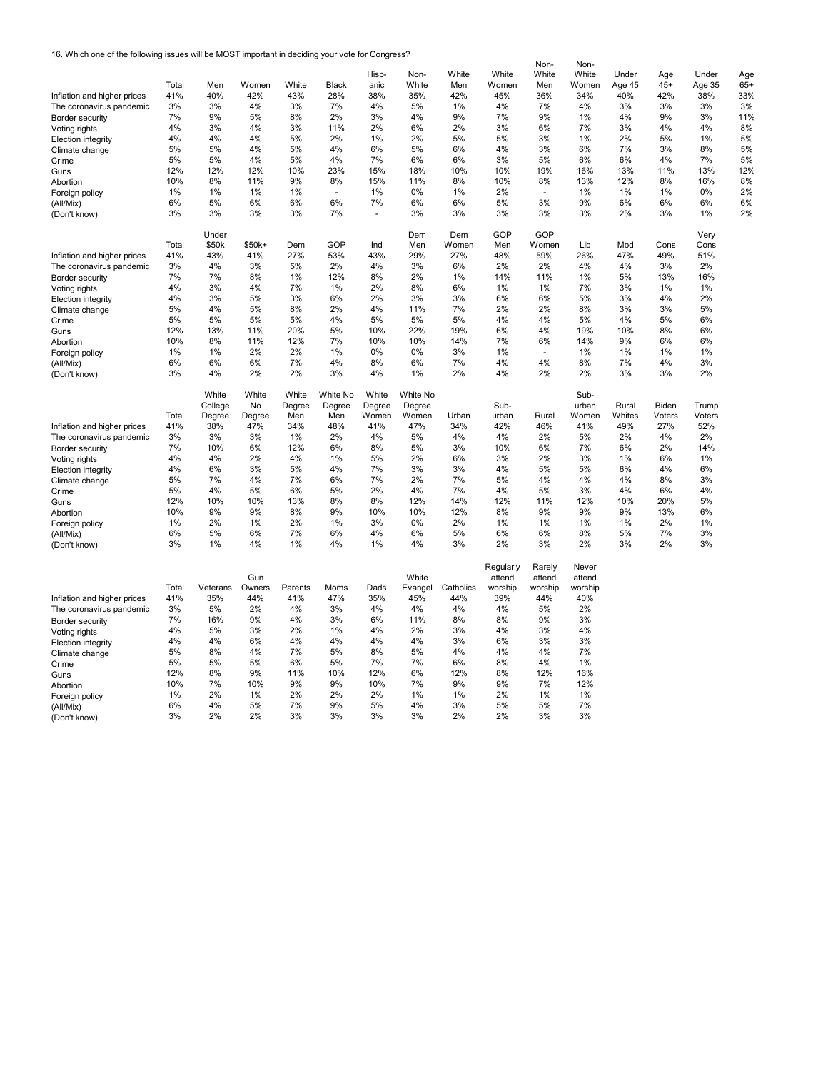16. Which one of the following issues will be MOST important in deciding your vote for Congress?

|                             |          |          |          |          |              |          |          |           |           | Non-     | Non-     |        |        |        |       |
|-----------------------------|----------|----------|----------|----------|--------------|----------|----------|-----------|-----------|----------|----------|--------|--------|--------|-------|
|                             |          |          |          |          |              | Hisp-    | Non-     | White     | White     | White    | White    | Under  | Age    | Under  | Age   |
|                             | Total    | Men      | Women    | White    | <b>Black</b> | anic     | White    | Men       | Women     | Men      | Women    | Age 45 | $45+$  | Age 35 | $65+$ |
| Inflation and higher prices | 41%      | 40%      | 42%      | 43%      | 28%          | 38%      | 35%      | 42%       | 45%       | 36%      | 34%      | 40%    | 42%    | 38%    | 33%   |
| The coronavirus pandemic    | 3%       | 3%       | 4%       | 3%       | 7%           | 4%       | 5%       | 1%        | 4%        | 7%       | 4%       | 3%     | 3%     | 3%     | 3%    |
| Border security             | 7%       | 9%       | 5%       | 8%       | 2%           | 3%       | 4%       | 9%        | 7%        | 9%       | 1%       | 4%     | 9%     | 3%     | 11%   |
|                             | 4%       | 3%       | 4%       | 3%       | 11%          | 2%       | 6%       | 2%        | 3%        | 6%       | 7%       | 3%     | 4%     | 4%     | 8%    |
| Voting rights               | 4%       | 4%       | 4%       | 5%       | 2%           | 1%       | 2%       | 5%        | 5%        | 3%       | 1%       | 2%     | 5%     | 1%     | 5%    |
| Election integrity          |          | 5%       | 4%       | 5%       | 4%           | 6%       | 5%       | 6%        | 4%        |          | 6%       | 7%     | 3%     | 8%     |       |
| Climate change              | 5%       |          |          |          |              |          |          |           |           | 3%       |          |        |        |        | 5%    |
| Crime                       | 5%       | 5%       | 4%       | 5%       | 4%           | 7%       | 6%       | 6%        | 3%        | 5%       | 6%       | 6%     | 4%     | 7%     | 5%    |
| Guns                        | 12%      | 12%      | 12%      | 10%      | 23%          | 15%      | 18%      | 10%       | 10%       | 19%      | 16%      | 13%    | 11%    | 13%    | 12%   |
| Abortion                    | 10%      | 8%       | 11%      | 9%       | 8%           | 15%      | 11%      | 8%        | 10%       | 8%       | 13%      | 12%    | 8%     | 16%    | 8%    |
| Foreign policy              | 1%       | 1%       | $1\%$    | 1%       |              | 1%       | 0%       | 1%        | 2%        |          | 1%       | 1%     | 1%     | 0%     | 2%    |
| (All/Mix)                   | 6%       | 5%       | 6%       | 6%       | 6%           | 7%       | 6%       | 6%        | 5%        | 3%       | 9%       | 6%     | 6%     | 6%     | 6%    |
| (Don't know)                | 3%       | 3%       | 3%       | 3%       | 7%           | ÷,       | 3%       | 3%        | 3%        | 3%       | 3%       | 2%     | 3%     | 1%     | 2%    |
|                             |          |          |          |          |              |          |          |           |           |          |          |        |        |        |       |
|                             |          | Under    |          |          |              |          | Dem      | Dem       | GOP       | GOP      |          |        |        | Very   |       |
|                             | Total    | \$50k    | \$50k+   | Dem      | GOP          | Ind      | Men      | Women     | Men       | Women    | Lib      | Mod    | Cons   | Cons   |       |
| Inflation and higher prices | 41%      | 43%      | 41%      | 27%      | 53%          | 43%      | 29%      | 27%       | 48%       | 59%      | 26%      | 47%    | 49%    | 51%    |       |
|                             |          |          |          |          |              |          |          |           |           |          |          |        |        |        |       |
| The coronavirus pandemic    | 3%       | 4%       | 3%       | 5%       | 2%           | 4%       | 3%       | 6%        | 2%        | 2%       | 4%       | 4%     | 3%     | 2%     |       |
| Border security             | 7%       | 7%       | 8%       | 1%       | 12%          | 8%       | 2%       | 1%        | 14%       | 11%      | 1%       | 5%     | 13%    | 16%    |       |
| Voting rights               | 4%       | 3%       | 4%       | 7%       | 1%           | 2%       | 8%       | 6%        | 1%        | 1%       | 7%       | 3%     | 1%     | 1%     |       |
| Election integrity          | 4%       | 3%       | 5%       | 3%       | 6%           | 2%       | 3%       | 3%        | 6%        | 6%       | 5%       | 3%     | 4%     | 2%     |       |
| Climate change              | 5%       | 4%       | 5%       | 8%       | 2%           | 4%       | 11%      | 7%        | 2%        | 2%       | 8%       | 3%     | 3%     | 5%     |       |
| Crime                       | 5%       | 5%       | 5%       | 5%       | 4%           | 5%       | 5%       | 5%        | 4%        | 4%       | 5%       | 4%     | 5%     | 6%     |       |
| Guns                        | 12%      | 13%      | 11%      | 20%      | 5%           | 10%      | 22%      | 19%       | 6%        | 4%       | 19%      | 10%    | 8%     | 6%     |       |
| Abortion                    | 10%      | 8%       | 11%      | 12%      | 7%           | 10%      | 10%      | 14%       | 7%        | 6%       | 14%      | 9%     | 6%     | 6%     |       |
| Foreign policy              | 1%       | 1%       | 2%       | 2%       | 1%           | 0%       | 0%       | 3%        | 1%        |          | 1%       | 1%     | 1%     | 1%     |       |
|                             | 6%       | 6%       | 6%       | 7%       | 4%           | 8%       | 6%       | 7%        | 4%        | 4%       | 8%       | 7%     | 4%     | 3%     |       |
| (All/Mix)                   |          |          |          |          |              |          |          |           |           |          |          |        |        |        |       |
| (Don't know)                | 3%       | 4%       | 2%       | 2%       | 3%           | 4%       | 1%       | 2%        | 4%        | 2%       | 2%       | 3%     | 3%     | 2%     |       |
|                             |          |          |          |          |              |          |          |           |           |          |          |        |        |        |       |
|                             |          | White    | White    | White    | White No     | White    | White No |           |           |          | Sub-     |        |        |        |       |
|                             |          | College  | No       | Degree   | Degree       | Degree   | Degree   |           | Sub-      |          | urban    | Rural  | Biden  | Trump  |       |
|                             | Total    | Degree   | Degree   | Men      | Men          | Women    | Women    | Urban     | urban     | Rural    | Women    | Whites | Voters | Voters |       |
| Inflation and higher prices | 41%      | 38%      | 47%      | 34%      | 48%          | 41%      | 47%      | 34%       | 42%       | 46%      | 41%      | 49%    | 27%    | 52%    |       |
| The coronavirus pandemic    | 3%       | 3%       | 3%       | 1%       | 2%           | 4%       | 5%       | 4%        | 4%        | 2%       | 5%       | 2%     | 4%     | 2%     |       |
| Border security             | 7%       | 10%      | 6%       | 12%      | 6%           | 8%       | 5%       | 3%        | 10%       | 6%       | 7%       | 6%     | 2%     | 14%    |       |
| Voting rights               | 4%       | 4%       | 2%       | 4%       | 1%           | 5%       | 2%       | 6%        | 3%        | 2%       | 3%       | 1%     | 6%     | 1%     |       |
| <b>Election integrity</b>   | 4%       | 6%       | 3%       | 5%       | 4%           | 7%       | 3%       | 3%        | 4%        | 5%       | 5%       | 6%     | 4%     | 6%     |       |
|                             | 5%       | 7%       | 4%       | 7%       | 6%           | 7%       | 2%       | 7%        | 5%        | 4%       | 4%       | 4%     | 8%     | 3%     |       |
| Climate change              | 5%       |          | 5%       | 6%       | 5%           | 2%       | 4%       | 7%        | 4%        | 5%       | 3%       | 4%     | 6%     | 4%     |       |
| Crime                       |          | 4%       |          |          |              |          |          |           |           |          |          |        |        |        |       |
| Guns                        | 12%      | 10%      | 10%      | 13%      | 8%           | 8%       | 12%      | 14%       | 12%       | 11%      | 12%      | 10%    | 20%    | 5%     |       |
| Abortion                    | 10%      | 9%       | 9%       | 8%       | 9%           | 10%      | 10%      | 12%       | 8%        | 9%       | 9%       | 9%     | 13%    | 6%     |       |
| Foreign policy              | 1%       | 2%       | 1%       | 2%       | 1%           | 3%       | 0%       | 2%        | 1%        | 1%       | 1%       | 1%     | 2%     | 1%     |       |
| (All/Mix)                   | 6%       | 5%       | 6%       | 7%       | 6%           | 4%       | 6%       | 5%        | 6%        | 6%       | 8%       | 5%     | 7%     | 3%     |       |
| (Don't know)                |          |          |          |          |              |          |          |           |           |          |          |        |        |        |       |
|                             | 3%       | 1%       | 4%       | 1%       | 4%           | 1%       | 4%       | 3%        | 2%        | 3%       | 2%       | 3%     | 2%     | 3%     |       |
|                             |          |          |          |          |              |          |          |           |           |          |          |        |        |        |       |
|                             |          |          |          |          |              |          |          |           |           |          |          |        |        |        |       |
|                             |          |          |          |          |              |          |          |           | Regularly | Rarely   | Never    |        |        |        |       |
|                             |          |          | Gun      |          |              |          | White    |           | attend    | attend   | attend   |        |        |        |       |
|                             | Total    | Veterans | Owners   | Parents  | Moms         | Dads     | Evangel  | Catholics | worship   | worship  | worship  |        |        |        |       |
| Inflation and higher prices | 41%      | 35%      | 44%      | 41%      | 47%          | 35%      | 45%      | 44%       | 39%       | 44%      | 40%      |        |        |        |       |
| The coronavirus pandemic    | 3%       | 5%       | 2%       | 4%       | 3%           | 4%       | 4%       | 4%        | 4%        | 5%       | 2%       |        |        |        |       |
| Border security             | 7%       | 16%      | 9%       | 4%       | 3%           | 6%       | 11%      | 8%        | 8%        | 9%       | 3%       |        |        |        |       |
| Voting rights               | 4%       | 5%       | 3%       | 2%       | 1%           | 4%       | 2%       | 3%        | 4%        | 3%       | 4%       |        |        |        |       |
|                             | 4%       | 4%       | 6%       | 4%       | 4%           | 4%       | 4%       | 3%        | 6%        | 3%       | 3%       |        |        |        |       |
| <b>Election integrity</b>   | 5%       | 8%       | 4%       | 7%       | 5%           | 8%       | 5%       | 4%        | 4%        | 4%       | 7%       |        |        |        |       |
| Climate change              |          |          |          |          |              |          |          |           |           |          |          |        |        |        |       |
| Crime                       | 5%       | 5%       | 5%       | 6%       | 5%           | 7%       | 7%       | 6%        | 8%        | 4%       | 1%       |        |        |        |       |
| Guns                        | 12%      | 8%       | 9%       | 11%      | 10%          | 12%      | 6%       | 12%       | 8%        | 12%      | 16%      |        |        |        |       |
| Abortion                    | 10%      | 7%       | 10%      | 9%       | 9%           | 10%      | 7%       | 9%        | 9%        | 7%       | 12%      |        |        |        |       |
| Foreign policy              | 1%       | 2%       | 1%       | 2%       | 2%           | 2%       | 1%       | 1%        | 2%        | 1%       | 1%       |        |        |        |       |
| (All/Mix)<br>(Don't know)   | 6%<br>3% | 4%<br>2% | 5%<br>2% | 7%<br>3% | 9%<br>3%     | 5%<br>3% | 4%<br>3% | 3%<br>2%  | 5%<br>2%  | 5%<br>3% | 7%<br>3% |        |        |        |       |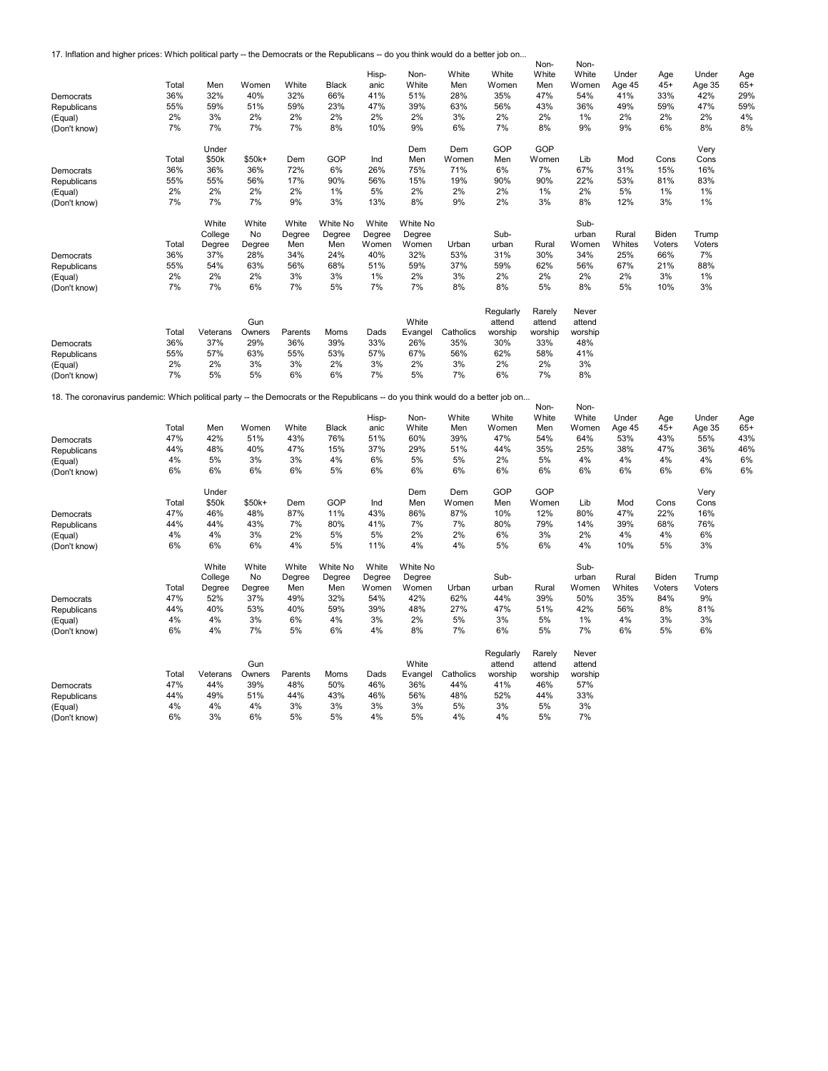17. Inflation and higher prices: Which political party -- the Democrats or the Republicans -- do you think would do a better job on...

|                                                                                                                                  |       |          |        |         |              | Hisp-  | Non-     | White     | White     | Non-<br>White | Non-<br>White | Under  |              | Under  |              |
|----------------------------------------------------------------------------------------------------------------------------------|-------|----------|--------|---------|--------------|--------|----------|-----------|-----------|---------------|---------------|--------|--------------|--------|--------------|
|                                                                                                                                  | Total | Men      | Women  | White   | <b>Black</b> | anic   | White    | Men       | Women     | Men           | Women         | Age 45 | Age<br>$45+$ | Age 35 | Age<br>$65+$ |
| Democrats                                                                                                                        | 36%   | 32%      | 40%    | 32%     | 66%          | 41%    | 51%      | 28%       | 35%       | 47%           | 54%           | 41%    | 33%          | 42%    | 29%          |
| Republicans                                                                                                                      | 55%   | 59%      | 51%    | 59%     | 23%          | 47%    | 39%      | 63%       | 56%       | 43%           | 36%           | 49%    | 59%          | 47%    | 59%          |
| (Equal)                                                                                                                          | 2%    | 3%       | 2%     | 2%      | 2%           | 2%     | 2%       | 3%        | 2%        | 2%            | 1%            | 2%     | 2%           | 2%     | 4%           |
| (Don't know)                                                                                                                     | 7%    | 7%       | 7%     | 7%      | 8%           | 10%    | 9%       | 6%        | 7%        | 8%            | 9%            | 9%     | 6%           | 8%     | 8%           |
|                                                                                                                                  |       |          |        |         |              |        |          |           |           |               |               |        |              |        |              |
|                                                                                                                                  |       | Under    |        |         |              |        | Dem      | Dem       | GOP       | GOP           |               |        |              | Very   |              |
|                                                                                                                                  | Total | \$50k    | \$50k+ | Dem     | GOP          | Ind    | Men      | Women     | Men       | Women         | Lib           | Mod    | Cons         | Cons   |              |
| Democrats                                                                                                                        | 36%   | 36%      | 36%    | 72%     | 6%           | 26%    | 75%      | 71%       | 6%        | 7%            | 67%           | 31%    | 15%          | 16%    |              |
| Republicans                                                                                                                      | 55%   | 55%      | 56%    | 17%     | 90%          | 56%    | 15%      | 19%       | 90%       | 90%           | 22%           | 53%    | 81%          | 83%    |              |
| (Equal)                                                                                                                          | 2%    | 2%       | 2%     | 2%      | 1%           | 5%     | 2%       | 2%        | 2%        | 1%            | 2%            | 5%     | 1%           | 1%     |              |
| (Don't know)                                                                                                                     | 7%    | 7%       | 7%     | 9%      | 3%           | 13%    | 8%       | 9%        | 2%        | 3%            | 8%            | 12%    | 3%           | 1%     |              |
|                                                                                                                                  |       | White    | White  | White   | White No     | White  | White No |           |           |               | Sub-          |        |              |        |              |
|                                                                                                                                  |       | College  | No     | Degree  | Degree       | Degree | Degree   |           | Sub-      |               | urban         | Rural  | Biden        | Trump  |              |
|                                                                                                                                  | Total | Degree   | Degree | Men     | Men          | Women  | Women    | Urban     | urban     | Rural         | Women         | Whites | Voters       | Voters |              |
| Democrats                                                                                                                        | 36%   | 37%      | 28%    | 34%     | 24%          | 40%    | 32%      | 53%       | 31%       | 30%           | 34%           | 25%    | 66%          | 7%     |              |
| Republicans                                                                                                                      | 55%   | 54%      | 63%    | 56%     | 68%          | 51%    | 59%      | 37%       | 59%       | 62%           | 56%           | 67%    | 21%          | 88%    |              |
| (Equal)                                                                                                                          | 2%    | 2%       | 2%     | 3%      | 3%           | 1%     | 2%       | 3%        | 2%        | 2%            | 2%            | 2%     | 3%           | 1%     |              |
| (Don't know)                                                                                                                     | 7%    | 7%       | 6%     | 7%      | 5%           | 7%     | 7%       | 8%        | 8%        | 5%            | 8%            | 5%     | 10%          | 3%     |              |
|                                                                                                                                  |       |          |        |         |              |        |          |           |           |               |               |        |              |        |              |
|                                                                                                                                  |       |          |        |         |              |        |          |           | Regularly | Rarely        | Never         |        |              |        |              |
|                                                                                                                                  |       |          | Gun    |         |              |        | White    |           | attend    | attend        | attend        |        |              |        |              |
|                                                                                                                                  | Total | Veterans | Owners | Parents | Moms         | Dads   | Evangel  | Catholics | worship   | worship       | worship       |        |              |        |              |
| Democrats                                                                                                                        | 36%   | 37%      | 29%    | 36%     | 39%          | 33%    | 26%      | 35%       | 30%       | 33%           | 48%           |        |              |        |              |
| Republicans                                                                                                                      | 55%   | 57%      | 63%    | 55%     | 53%          | 57%    | 67%      | 56%       | 62%       | 58%           | 41%           |        |              |        |              |
| (Equal)                                                                                                                          | 2%    | 2%       | 3%     | 3%      | 2%           | 3%     | 2%       | 3%        | 2%        | 2%            | 3%            |        |              |        |              |
| (Don't know)                                                                                                                     | 7%    | 5%       | 5%     | 6%      | 6%           | 7%     | 5%       | 7%        | 6%        | 7%            | 8%            |        |              |        |              |
| 18. The coronavirus pandemic: Which political party -- the Democrats or the Republicans -- do you think would do a better job on |       |          |        |         |              |        |          |           |           |               |               |        |              |        |              |
|                                                                                                                                  |       |          |        |         |              |        |          |           |           | Non-          | Non-          |        |              |        |              |
|                                                                                                                                  |       |          |        |         |              | Hisp-  | Non-     | White     | White     | White         | White         | Under  | Age          | Under  | Age          |
|                                                                                                                                  | Total | Men      | Women  | White   | <b>Black</b> | anic   | White    | Men       | Women     | Men           | Women         | Age 45 | $45+$        | Age 35 | $65+$        |
| Democrats                                                                                                                        | 47%   | 42%      | 51%    | 43%     | 76%          | 51%    | 60%      | 39%       | 47%       | 54%           | 64%           | 53%    | 43%          | 55%    | 43%          |
| Republicans                                                                                                                      | 44%   | 48%      | 40%    | 47%     | 15%          | 37%    | 29%      | 51%       | 44%       | 35%           | 25%           | 38%    | 47%          | 36%    | 46%          |
| (Equal)                                                                                                                          | 4%    | 5%       | 3%     | 3%      | 4%           | 6%     | 5%       | 5%        | 2%        | 5%            | 4%            | 4%     | 4%           | 4%     | 6%           |
| (Don't know)                                                                                                                     | 6%    | 6%       | 6%     | 6%      | 5%           | 6%     | 6%       | 6%        | 6%        | 6%            | 6%            | 6%     | 6%           | 6%     | 6%           |
|                                                                                                                                  |       | Under    |        |         |              |        | Dem      | Dem       | GOP       | GOP           |               |        |              | Very   |              |
|                                                                                                                                  | Total | \$50k    | \$50k+ | Dem     | GOP          | Ind    | Men      | Women     | Men       | Women         | Lib           | Mod    | Cons         | Cons   |              |
| Democrats                                                                                                                        | 47%   | 46%      | 48%    | 87%     | 11%          | 43%    | 86%      | 87%       | 10%       | 12%           | 80%           | 47%    | 22%          | 16%    |              |
| Republicans                                                                                                                      | 44%   | 44%      | 43%    | 7%      | 80%          | 41%    | 7%       | 7%        | 80%       | 79%           | 14%           | 39%    | 68%          | 76%    |              |
| (Equal)                                                                                                                          | 4%    | 4%       | 3%     | 2%      | 5%           | 5%     | 2%       | 2%        | 6%        | 3%            | 2%            | 4%     | 4%           | 6%     |              |
| (Don't know)                                                                                                                     | 6%    | 6%       | 6%     | 4%      | 5%           | 11%    | 4%       | 4%        | 5%        | 6%            | 4%            | 10%    | 5%           | 3%     |              |
|                                                                                                                                  |       | White    | White  | White   | White No     | White  | White No |           |           |               | Sub-          |        |              |        |              |
|                                                                                                                                  |       | College  | No     | Degree  | Degree       | Degree | Degree   |           | Sub-      |               | urban         | Rural  | Biden        | Trump  |              |
|                                                                                                                                  | Total | Degree   | Degree | Men     | Men          | Women  | Women    | Urban     | urban     | Rural         | Women         | Whites | Voters       | Voters |              |
| Democrats                                                                                                                        | 47%   | 52%      | 37%    | 49%     | 32%          | 54%    | 42%      | 62%       | 44%       | 39%           | 50%           | 35%    | 84%          | 9%     |              |
| Republicans                                                                                                                      | 44%   | 40%      | 53%    | 40%     | 59%          | 39%    | 48%      | 27%       | 47%       | 51%           | 42%           | 56%    | 8%           | 81%    |              |
| (Equal)                                                                                                                          | 4%    | 4%       | 3%     | 6%      | 4%           | 3%     | 2%       | 5%        | 3%        | 5%            | 1%            | 4%     | 3%           | 3%     |              |
| (Don't know)                                                                                                                     | 6%    | 4%       | 7%     | 5%      | 6%           | 4%     | 8%       | 7%        | 6%        | 5%            | 7%            | 6%     | 5%           | 6%     |              |
|                                                                                                                                  |       |          |        |         |              |        |          |           |           |               |               |        |              |        |              |
|                                                                                                                                  |       |          |        |         |              |        |          |           | Regularly | Rarely        | Never         |        |              |        |              |
|                                                                                                                                  |       |          | Gun    |         |              |        | White    |           | attend    | attend        | attend        |        |              |        |              |
|                                                                                                                                  | Total | Veterans | Owners | Parents | Moms         | Dads   | Evangel  | Catholics | worship   | worship       | worship       |        |              |        |              |
| Democrats                                                                                                                        | 47%   | 44%      | 39%    | 48%     | 50%          | 46%    | 36%      | 44%       | 41%       | 46%           | 57%           |        |              |        |              |
| Republicans                                                                                                                      | 44%   | 49%      | 51%    | 44%     | 43%          | 46%    | 56%      | 48%       | 52%       | 44%           | 33%           |        |              |        |              |
| (Equal)                                                                                                                          | 4%    | 4%       | 4%     | 3%      | 3%           | 3%     | 3%       | 5%        | 3%        | 5%            | 3%            |        |              |        |              |
| (Don't know)                                                                                                                     | 6%    | 3%       | 6%     | 5%      | 5%           | 4%     | 5%       | 4%        | 4%        | 5%            | 7%            |        |              |        |              |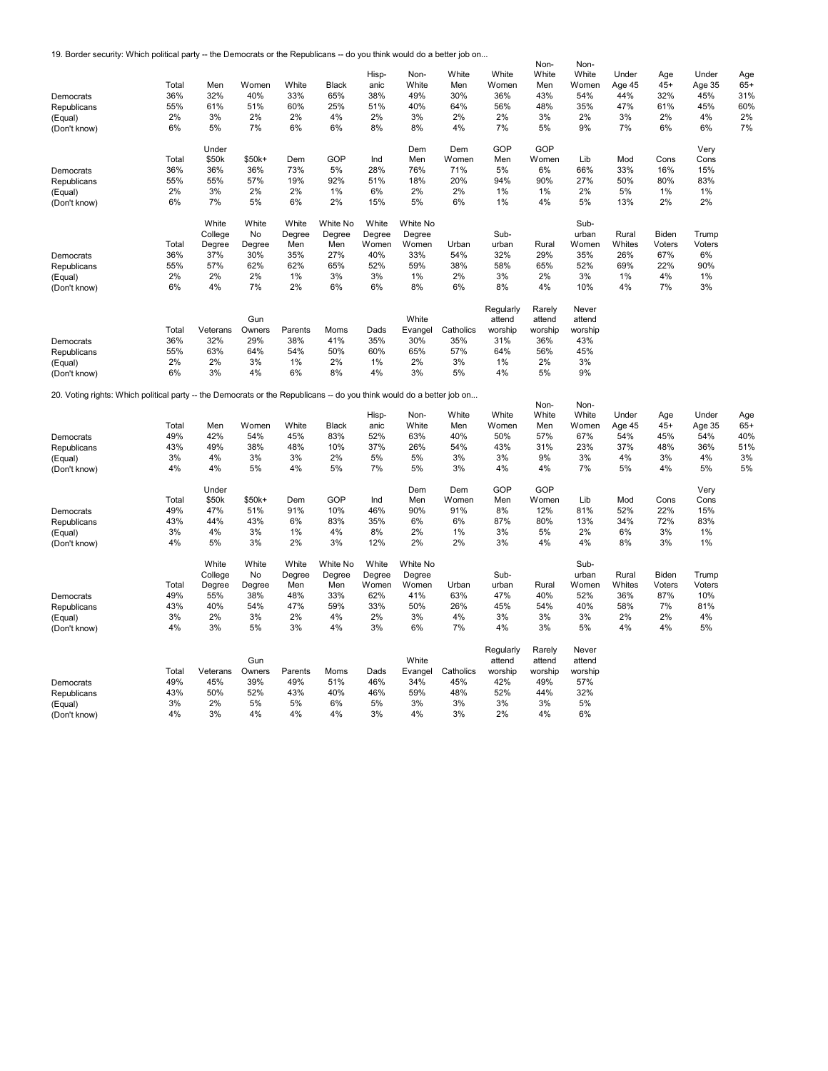19. Border security: Which political party -- the Democrats or the Republicans -- do you think would do a better job on...

|                                                                                                                       |       |          |        |         |              |        |          |           |           | Non-    | Non-    |        |        |        |       |
|-----------------------------------------------------------------------------------------------------------------------|-------|----------|--------|---------|--------------|--------|----------|-----------|-----------|---------|---------|--------|--------|--------|-------|
|                                                                                                                       |       |          |        |         |              | Hisp-  | Non-     | White     | White     | White   | White   | Under  | Age    | Under  | Age   |
|                                                                                                                       | Total | Men      | Women  | White   | <b>Black</b> | anic   | White    | Men       | Women     | Men     | Women   | Age 45 | $45+$  | Age 35 | $65+$ |
| Democrats                                                                                                             | 36%   | 32%      | 40%    | 33%     | 65%          | 38%    | 49%      | 30%       | 36%       | 43%     | 54%     | 44%    | 32%    | 45%    | 31%   |
| Republicans                                                                                                           | 55%   | 61%      | 51%    | 60%     | 25%          | 51%    | 40%      | 64%       | 56%       | 48%     | 35%     | 47%    | 61%    | 45%    | 60%   |
| (Equal)                                                                                                               | 2%    | 3%       | 2%     | 2%      | 4%           | 2%     | 3%       | 2%        | 2%        | 3%      | 2%      | 3%     | 2%     | 4%     | 2%    |
| (Don't know)                                                                                                          | 6%    | 5%       | 7%     | 6%      | 6%           | 8%     | 8%       | 4%        | 7%        | 5%      | 9%      | 7%     | 6%     | 6%     | 7%    |
|                                                                                                                       |       |          |        |         |              |        |          |           |           |         |         |        |        |        |       |
|                                                                                                                       |       | Under    |        |         |              |        | Dem      | Dem       | GOP       | GOP     |         |        |        | Very   |       |
|                                                                                                                       | Total | \$50k    | \$50k+ | Dem     | GOP          | Ind    | Men      | Women     | Men       | Women   | Lib     | Mod    | Cons   | Cons   |       |
| Democrats                                                                                                             | 36%   | 36%      | 36%    | 73%     | 5%           | 28%    | 76%      | 71%       | 5%        | 6%      | 66%     | 33%    | 16%    | 15%    |       |
| Republicans                                                                                                           | 55%   | 55%      | 57%    | 19%     | 92%          | 51%    | 18%      | 20%       | 94%       | 90%     | 27%     | 50%    | 80%    | 83%    |       |
| (Equal)                                                                                                               | 2%    | 3%       | 2%     | 2%      | 1%           | 6%     | 2%       | 2%        | 1%        | 1%      | 2%      | 5%     | 1%     | 1%     |       |
| (Don't know)                                                                                                          | 6%    | 7%       | 5%     | 6%      | 2%           | 15%    | 5%       | 6%        | 1%        | 4%      | 5%      | 13%    | 2%     | 2%     |       |
|                                                                                                                       |       |          |        |         |              |        |          |           |           |         |         |        |        |        |       |
|                                                                                                                       |       | White    | White  | White   | White No     | White  | White No |           |           |         | Sub-    |        |        |        |       |
|                                                                                                                       |       | College  | No     | Degree  | Degree       | Degree | Degree   |           | Sub-      |         | urban   | Rural  | Biden  | Trump  |       |
|                                                                                                                       | Total | Degree   | Degree | Men     | Men          | Women  | Women    | Urban     | urban     | Rural   | Women   | Whites | Voters | Voters |       |
| Democrats                                                                                                             | 36%   | 37%      | 30%    | 35%     | 27%          | 40%    | 33%      | 54%       | 32%       | 29%     | 35%     | 26%    | 67%    | 6%     |       |
| Republicans                                                                                                           | 55%   | 57%      | 62%    | 62%     | 65%          | 52%    | 59%      | 38%       | 58%       | 65%     | 52%     | 69%    | 22%    | 90%    |       |
| (Equal)                                                                                                               | 2%    | 2%       | 2%     | 1%      | 3%           | 3%     | 1%       | 2%        | 3%        | 2%      | 3%      | 1%     | 4%     | 1%     |       |
| (Don't know)                                                                                                          | 6%    | 4%       | 7%     | 2%      | 6%           | 6%     | 8%       | 6%        | 8%        | 4%      | 10%     | 4%     | 7%     | 3%     |       |
|                                                                                                                       |       |          |        |         |              |        |          |           |           |         |         |        |        |        |       |
|                                                                                                                       |       |          |        |         |              |        |          |           | Regularly | Rarely  | Never   |        |        |        |       |
|                                                                                                                       |       |          | Gun    |         |              |        | White    |           | attend    | attend  | attend  |        |        |        |       |
|                                                                                                                       | Total | Veterans | Owners | Parents | Moms         | Dads   | Evangel  | Catholics | worship   | worship | worship |        |        |        |       |
| Democrats                                                                                                             | 36%   | 32%      | 29%    | 38%     | 41%          | 35%    | 30%      | 35%       | 31%       | 36%     | 43%     |        |        |        |       |
| Republicans                                                                                                           | 55%   | 63%      | 64%    | 54%     | 50%          | 60%    | 65%      | 57%       | 64%       | 56%     | 45%     |        |        |        |       |
| (Equal)                                                                                                               | 2%    | 2%       | 3%     | 1%      | 2%           | 1%     | 2%       | 3%        | 1%        | 2%      | 3%      |        |        |        |       |
| (Don't know)                                                                                                          | 6%    | 3%       | 4%     | 6%      | 8%           | 4%     | 3%       | 5%        | 4%        | 5%      | 9%      |        |        |        |       |
|                                                                                                                       |       |          |        |         |              |        |          |           |           |         |         |        |        |        |       |
| 20. Voting rights: Which political party -- the Democrats or the Republicans -- do you think would do a better job on |       |          |        |         |              |        |          |           |           | Non-    | Non-    |        |        |        |       |
|                                                                                                                       |       |          |        |         |              | Hisp-  | Non-     | White     | White     | White   | White   | Under  | Age    | Under  | Age   |
|                                                                                                                       | Total | Men      | Women  | White   | Black        | anic   | White    | Men       | Women     | Men     | Women   | Age 45 | $45+$  | Age 35 | $65+$ |
| Democrats                                                                                                             | 49%   | 42%      | 54%    | 45%     | 83%          | 52%    | 63%      | 40%       | 50%       | 57%     | 67%     | 54%    | 45%    | 54%    | 40%   |
| Republicans                                                                                                           | 43%   | 49%      | 38%    | 48%     | 10%          | 37%    | 26%      | 54%       | 43%       | 31%     | 23%     | 37%    | 48%    | 36%    | 51%   |
| (Equal)                                                                                                               | 3%    | 4%       | 3%     | 3%      | 2%           | 5%     | 5%       | 3%        | 3%        | 9%      | 3%      | 4%     | 3%     | 4%     | 3%    |
| (Don't know)                                                                                                          | 4%    | 4%       | 5%     | 4%      | 5%           | 7%     | 5%       | 3%        | 4%        | 4%      | 7%      | 5%     | 4%     | 5%     | 5%    |
|                                                                                                                       |       |          |        |         |              |        |          |           |           |         |         |        |        |        |       |
|                                                                                                                       |       | Under    |        |         |              |        | Dem      | Dem       | GOP       | GOP     |         |        |        | Very   |       |
|                                                                                                                       | Total | \$50k    | \$50k+ | Dem     | GOP          | Ind    | Men      | Women     | Men       | Women   | Lib     | Mod    | Cons   | Cons   |       |
| Democrats                                                                                                             | 49%   | 47%      | 51%    | 91%     | 10%          | 46%    | 90%      | 91%       | 8%        | 12%     | 81%     | 52%    | 22%    | 15%    |       |
| Republicans                                                                                                           | 43%   | 44%      | 43%    | 6%      | 83%          | 35%    | 6%       | 6%        | 87%       | 80%     | 13%     | 34%    | 72%    | 83%    |       |
| (Equal)                                                                                                               | 3%    | 4%       | 3%     | 1%      | 4%           | 8%     | 2%       | 1%        | 3%        | 5%      | 2%      | 6%     | 3%     | 1%     |       |
| (Don't know)                                                                                                          | 4%    | 5%       | 3%     | 2%      | 3%           | 12%    | 2%       | 2%        | 3%        | 4%      | 4%      | 8%     | 3%     | 1%     |       |
|                                                                                                                       |       |          |        |         |              |        |          |           |           |         |         |        |        |        |       |
|                                                                                                                       |       | White    | White  | White   | White No     | White  | White No |           |           |         | Sub-    |        |        |        |       |
|                                                                                                                       |       | College  | No     | Degree  | Degree       | Degree | Degree   |           | Sub-      |         | urban   | Rural  | Biden  | Trump  |       |
|                                                                                                                       | Total | Degree   | Degree | Men     | Men          | Women  | Women    | Urban     | urban     | Rural   | Women   | Whites | Voters | Voters |       |
| Democrats                                                                                                             | 49%   | 55%      | 38%    | 48%     | 33%          | 62%    | 41%      | 63%       | 47%       | 40%     | 52%     | 36%    | 87%    | 10%    |       |
| Republicans                                                                                                           | 43%   | 40%      | 54%    | 47%     | 59%          | 33%    | 50%      | 26%       | 45%       | 54%     | 40%     | 58%    | 7%     | 81%    |       |
| (Equal)                                                                                                               | 3%    | 2%       | 3%     | 2%      | 4%           | 2%     | 3%       | 4%        | 3%        | 3%      | 3%      | 2%     | 2%     | 4%     |       |
| (Don't know)                                                                                                          | 4%    | 3%       | 5%     | 3%      | 4%           | 3%     | 6%       | 7%        | 4%        | 3%      | 5%      | 4%     | 4%     | 5%     |       |
|                                                                                                                       |       |          |        |         |              |        |          |           |           |         |         |        |        |        |       |
|                                                                                                                       |       |          |        |         |              |        |          |           | Regularly | Rarely  | Never   |        |        |        |       |
|                                                                                                                       |       |          | Gun    |         |              |        | White    |           | attend    | attend  | attend  |        |        |        |       |
|                                                                                                                       | Total | Veterans | Owners | Parents | Moms         | Dads   | Evangel  | Catholics | worship   | worship | worship |        |        |        |       |
| Democrats                                                                                                             | 49%   | 45%      | 39%    | 49%     | 51%          | 46%    | 34%      | 45%       | 42%       | 49%     | 57%     |        |        |        |       |
| Republicans                                                                                                           | 43%   | 50%      | 52%    | 43%     | 40%          | 46%    | 59%      | 48%       | 52%       | 44%     | 32%     |        |        |        |       |
| (Equal)                                                                                                               | 3%    | 2%       | 5%     | 5%      | 6%           | 5%     | 3%       | 3%        | 3%        | 3%      | 5%      |        |        |        |       |
| (Don't know)                                                                                                          | 4%    | 3%       | 4%     | 4%      | 4%           | 3%     | 4%       | 3%        | 2%        | 4%      | 6%      |        |        |        |       |
|                                                                                                                       |       |          |        |         |              |        |          |           |           |         |         |        |        |        |       |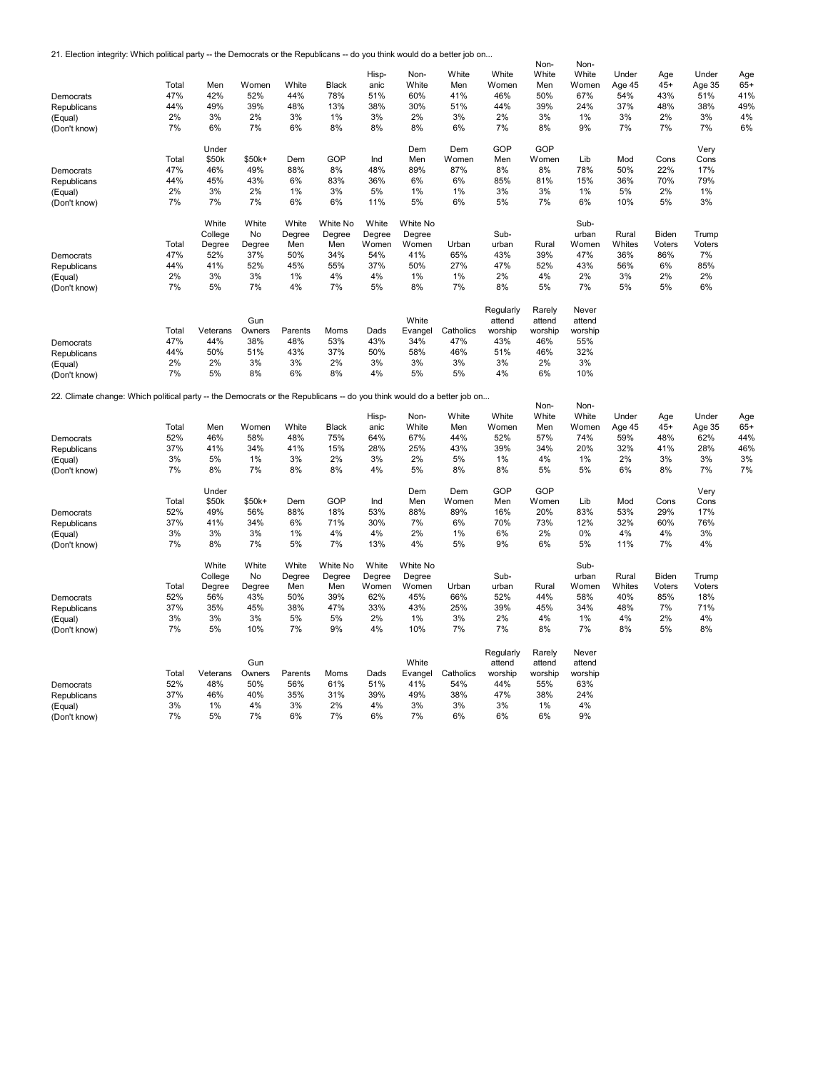21. Election integrity: Which political party -- the Democrats or the Republicans -- do you think would do a better job on...

|                                                                                                                        |          |          |        |         |              |        |          |           |           | Non-     | Non-     |        |        |        |       |
|------------------------------------------------------------------------------------------------------------------------|----------|----------|--------|---------|--------------|--------|----------|-----------|-----------|----------|----------|--------|--------|--------|-------|
|                                                                                                                        |          |          |        |         |              | Hisp-  | Non-     | White     | White     | White    | White    | Under  | Age    | Under  | Age   |
|                                                                                                                        | Total    | Men      | Women  | White   | <b>Black</b> | anic   | White    | Men       | Women     | Men      | Women    | Age 45 | $45+$  | Age 35 | $65+$ |
| Democrats                                                                                                              | 47%      | 42%      | 52%    | 44%     | 78%          | 51%    | 60%      | 41%       | 46%       | 50%      | 67%      | 54%    | 43%    | 51%    | 41%   |
| Republicans                                                                                                            | 44%      | 49%      | 39%    | 48%     | 13%          | 38%    | 30%      | 51%       | 44%       | 39%      | 24%      | 37%    | 48%    | 38%    | 49%   |
|                                                                                                                        |          |          |        |         |              |        |          |           |           |          |          |        | 2%     |        |       |
| (Equal)                                                                                                                | 2%       | 3%       | 2%     | 3%      | 1%           | 3%     | 2%       | 3%        | 2%        | 3%       | 1%       | 3%     |        | 3%     | 4%    |
| (Don't know)                                                                                                           | 7%       | 6%       | 7%     | 6%      | 8%           | 8%     | 8%       | 6%        | 7%        | 8%       | 9%       | 7%     | 7%     | 7%     | 6%    |
|                                                                                                                        |          |          |        |         |              |        |          |           |           |          |          |        |        |        |       |
|                                                                                                                        |          | Under    |        |         |              |        | Dem      | Dem       | GOP       | GOP      |          |        |        | Very   |       |
|                                                                                                                        | Total    | \$50k    | \$50k+ | Dem     | GOP          | Ind    | Men      | Women     | Men       | Women    | Lib      | Mod    | Cons   | Cons   |       |
| Democrats                                                                                                              | 47%      | 46%      | 49%    | 88%     | 8%           | 48%    | 89%      | 87%       | 8%        | 8%       | 78%      | 50%    | 22%    | 17%    |       |
| Republicans                                                                                                            | 44%      | 45%      | 43%    | 6%      | 83%          | 36%    | 6%       | 6%        | 85%       | 81%      | 15%      | 36%    | 70%    | 79%    |       |
| (Equal)                                                                                                                | 2%       | 3%       | 2%     | 1%      | 3%           | 5%     | 1%       | 1%        | 3%        | 3%       | 1%       | 5%     | 2%     | 1%     |       |
|                                                                                                                        | 7%       | 7%       | 7%     | 6%      | 6%           | 11%    | 5%       | 6%        | 5%        | 7%       | 6%       | 10%    | 5%     | 3%     |       |
| (Don't know)                                                                                                           |          |          |        |         |              |        |          |           |           |          |          |        |        |        |       |
|                                                                                                                        |          |          |        |         |              |        |          |           |           |          |          |        |        |        |       |
|                                                                                                                        |          | White    | White  | White   | White No     | White  | White No |           |           |          | Sub-     |        |        |        |       |
|                                                                                                                        |          | College  | No     | Degree  | Degree       | Degree | Degree   |           | Sub-      |          | urban    | Rural  | Biden  | Trump  |       |
|                                                                                                                        | Total    | Degree   | Degree | Men     | Men          | Women  | Women    | Urban     | urban     | Rural    | Women    | Whites | Voters | Voters |       |
| Democrats                                                                                                              | 47%      | 52%      | 37%    | 50%     | 34%          | 54%    | 41%      | 65%       | 43%       | 39%      | 47%      | 36%    | 86%    | 7%     |       |
| Republicans                                                                                                            | 44%      | 41%      | 52%    | 45%     | 55%          | 37%    | 50%      | 27%       | 47%       | 52%      | 43%      | 56%    | 6%     | 85%    |       |
| (Equal)                                                                                                                | 2%       | 3%       | 3%     | 1%      | 4%           | 4%     | 1%       | 1%        | 2%        | 4%       | 2%       | 3%     | 2%     | 2%     |       |
|                                                                                                                        | 7%       | 5%       | 7%     | 4%      | 7%           | 5%     | 8%       | 7%        | 8%        | 5%       | 7%       | 5%     | 5%     | 6%     |       |
| (Don't know)                                                                                                           |          |          |        |         |              |        |          |           |           |          |          |        |        |        |       |
|                                                                                                                        |          |          |        |         |              |        |          |           |           |          |          |        |        |        |       |
|                                                                                                                        |          |          |        |         |              |        |          |           | Regularly | Rarely   | Never    |        |        |        |       |
|                                                                                                                        |          |          | Gun    |         |              |        | White    |           | attend    | attend   | attend   |        |        |        |       |
|                                                                                                                        | Total    | Veterans | Owners | Parents | Moms         | Dads   | Evangel  | Catholics | worship   | worship  | worship  |        |        |        |       |
| Democrats                                                                                                              | 47%      | 44%      | 38%    | 48%     | 53%          | 43%    | 34%      | 47%       | 43%       | 46%      | 55%      |        |        |        |       |
| Republicans                                                                                                            | 44%      | 50%      | 51%    | 43%     | 37%          | 50%    | 58%      | 46%       | 51%       | 46%      | 32%      |        |        |        |       |
|                                                                                                                        | 2%       | 2%       | 3%     | 3%      | 2%           | 3%     | 3%       | 3%        | 3%        | 2%       | 3%       |        |        |        |       |
| (Equal)                                                                                                                | 7%       | 5%       | 8%     | 6%      | 8%           | 4%     | 5%       | 5%        | 4%        | 6%       | 10%      |        |        |        |       |
| (Don't know)                                                                                                           |          |          |        |         |              |        |          |           |           |          |          |        |        |        |       |
|                                                                                                                        |          |          |        |         |              |        |          |           |           |          |          |        |        |        |       |
| 22. Climate change: Which political party -- the Democrats or the Republicans -- do you think would do a better job on |          |          |        |         |              |        |          |           |           |          |          |        |        |        |       |
|                                                                                                                        |          |          |        |         |              |        |          |           |           |          |          |        |        |        |       |
|                                                                                                                        |          |          |        |         |              |        |          |           |           | Non-     | Non-     |        |        |        |       |
|                                                                                                                        |          |          |        |         |              | Hisp-  | Non-     | White     | White     | White    | White    | Under  | Age    | Under  | Age   |
|                                                                                                                        | Total    | Men      | Women  | White   | <b>Black</b> | anic   | White    | Men       | Women     | Men      | Women    | Age 45 | $45+$  | Age 35 | $65+$ |
| Democrats                                                                                                              | 52%      | 46%      | 58%    | 48%     | 75%          | 64%    | 67%      | 44%       | 52%       | 57%      | 74%      | 59%    | 48%    | 62%    | 44%   |
|                                                                                                                        | 37%      | 41%      | 34%    | 41%     | 15%          | 28%    |          |           |           | 34%      |          |        | 41%    | 28%    | 46%   |
| Republicans                                                                                                            |          |          |        |         |              |        | 25%      | 43%       | 39%       |          | 20%      | 32%    |        |        |       |
| (Equal)                                                                                                                | 3%       | 5%       | 1%     | 3%      | 2%           | 3%     | 2%       | 5%        | 1%        | 4%       | 1%       | 2%     | 3%     | 3%     | 3%    |
| (Don't know)                                                                                                           | 7%       | 8%       | 7%     | 8%      | 8%           | 4%     | 5%       | 8%        | 8%        | 5%       | 5%       | 6%     | 8%     | 7%     | 7%    |
|                                                                                                                        |          |          |        |         |              |        |          |           |           |          |          |        |        |        |       |
|                                                                                                                        |          | Under    |        |         |              |        | Dem      | Dem       | GOP       | GOP      |          |        |        | Very   |       |
|                                                                                                                        | Total    | \$50k    | \$50k+ | Dem     | GOP          | Ind    | Men      | Women     | Men       | Women    | Lib      | Mod    | Cons   | Cons   |       |
| Democrats                                                                                                              | 52%      | 49%      | 56%    | 88%     | 18%          | 53%    | 88%      | 89%       | 16%       | 20%      | 83%      | 53%    | 29%    | 17%    |       |
| Republicans                                                                                                            | 37%      | 41%      | 34%    | 6%      | 71%          | 30%    | 7%       | 6%        | 70%       | 73%      | 12%      | 32%    | 60%    | 76%    |       |
|                                                                                                                        | 3%       | 3%       | 3%     | 1%      | 4%           | 4%     | 2%       | 1%        | 6%        | 2%       | 0%       | 4%     | 4%     | 3%     |       |
| (Equal)                                                                                                                |          |          |        |         |              |        | 4%       | 5%        |           |          |          |        |        |        |       |
| (Don't know)                                                                                                           | 7%       | 8%       | 7%     | 5%      | 7%           | 13%    |          |           | 9%        | 6%       | 5%       | 11%    | 7%     | 4%     |       |
|                                                                                                                        |          |          |        |         |              |        |          |           |           |          |          |        |        |        |       |
|                                                                                                                        |          | White    | White  | White   | White No     | White  | White No |           |           |          | Sub-     |        |        |        |       |
|                                                                                                                        |          | College  | No     | Degree  | Degree       | Degree | Degree   |           | Sub-      |          | urban    | Rural  | Biden  | Trump  |       |
|                                                                                                                        | Total    | Degree   | Degree | Men     | Men          | Women  | Women    | Urban     | urban     | Rural    | Women    | Whites | Voters | Voters |       |
| Democrats                                                                                                              | 52%      | 56%      | 43%    | 50%     | 39%          | 62%    | 45%      | 66%       | 52%       | 44%      | 58%      | 40%    | 85%    | 18%    |       |
| Republicans                                                                                                            | 37%      | 35%      | 45%    | 38%     | 47%          | 33%    | 43%      | 25%       | 39%       | 45%      | 34%      | 48%    | 7%     | 71%    |       |
|                                                                                                                        | 3%       | 3%       | 3%     | 5%      | 5%           | 2%     | 1%       | 3%        | 2%        | 4%       | 1%       | 4%     | 2%     | 4%     |       |
| (Equal)                                                                                                                |          |          |        |         |              |        |          |           |           |          |          |        |        |        |       |
| (Don't know)                                                                                                           | 7%       | 5%       | 10%    | 7%      | 9%           | 4%     | 10%      | 7%        | 7%        | 8%       | 7%       | 8%     | 5%     | 8%     |       |
|                                                                                                                        |          |          |        |         |              |        |          |           |           |          |          |        |        |        |       |
|                                                                                                                        |          |          |        |         |              |        |          |           | Regularly | Rarely   | Never    |        |        |        |       |
|                                                                                                                        |          |          | Gun    |         |              |        | White    |           | attend    | attend   | attend   |        |        |        |       |
|                                                                                                                        | Total    | Veterans | Owners | Parents | Moms         | Dads   | Evangel  | Catholics | worship   | worship  | worship  |        |        |        |       |
| Democrats                                                                                                              | 52%      | 48%      | 50%    | 56%     | 61%          | 51%    | 41%      | 54%       | 44%       | 55%      | 63%      |        |        |        |       |
| Republicans                                                                                                            | 37%      | 46%      | 40%    | 35%     | 31%          | 39%    | 49%      | 38%       | 47%       | 38%      | 24%      |        |        |        |       |
|                                                                                                                        |          |          | 4%     | 3%      | 2%           | 4%     | 3%       |           | 3%        |          |          |        |        |        |       |
| (Equal)<br>(Don't know)                                                                                                | 3%<br>7% | 1%<br>5% | 7%     | 6%      | 7%           | 6%     | 7%       | 3%<br>6%  | 6%        | 1%<br>6% | 4%<br>9% |        |        |        |       |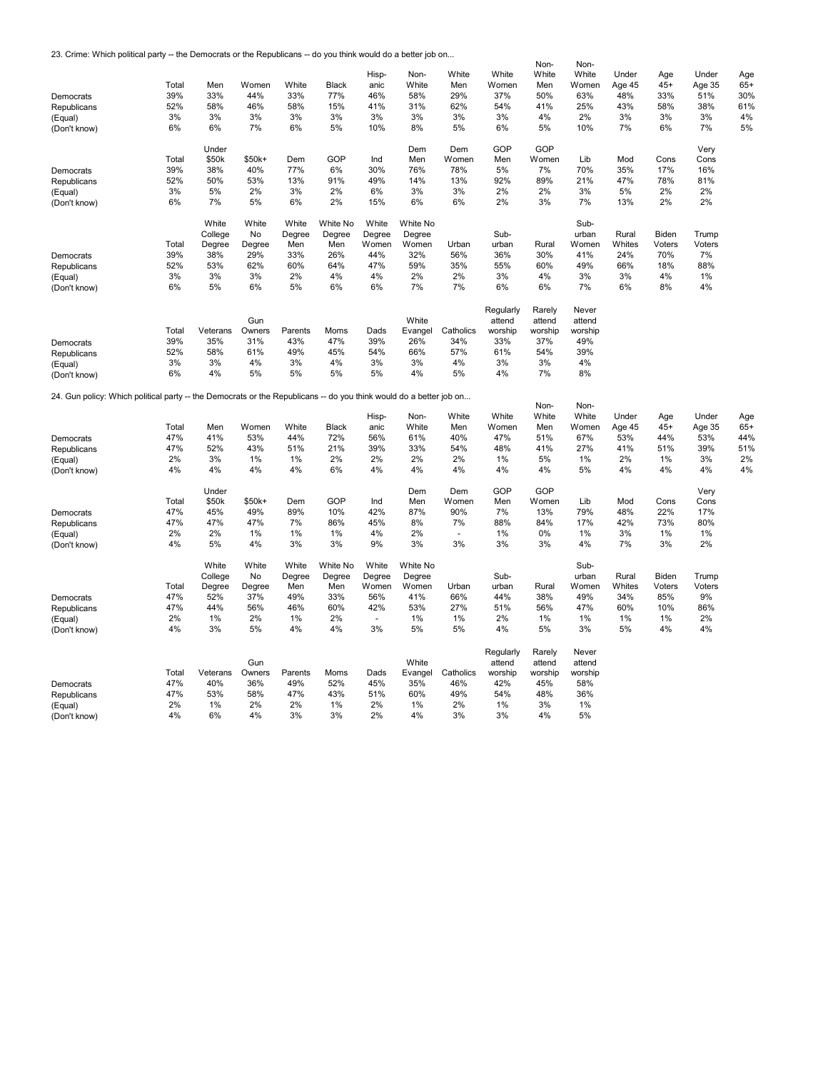23. Crime: Which political party -- the Democrats or the Republicans -- do you think would do a better job on...

|                                                                                                                    |       |          |        |         |              |        |          |           |           | Non-    | Non-    |        |        |        |       |
|--------------------------------------------------------------------------------------------------------------------|-------|----------|--------|---------|--------------|--------|----------|-----------|-----------|---------|---------|--------|--------|--------|-------|
|                                                                                                                    |       |          |        |         |              | Hisp-  | Non-     | White     | White     | White   | White   | Under  | Age    | Under  | Age   |
|                                                                                                                    | Total | Men      | Women  | White   | <b>Black</b> | anic   | White    | Men       | Women     | Men     | Women   | Age 45 | $45+$  | Age 35 | $65+$ |
|                                                                                                                    |       |          |        |         |              |        |          |           |           |         |         |        |        |        |       |
| Democrats                                                                                                          | 39%   | 33%      | 44%    | 33%     | 77%          | 46%    | 58%      | 29%       | 37%       | 50%     | 63%     | 48%    | 33%    | 51%    | 30%   |
| Republicans                                                                                                        | 52%   | 58%      | 46%    | 58%     | 15%          | 41%    | 31%      | 62%       | 54%       | 41%     | 25%     | 43%    | 58%    | 38%    | 61%   |
| (Equal)                                                                                                            | 3%    | 3%       | 3%     | 3%      | 3%           | 3%     | 3%       | 3%        | 3%        | 4%      | 2%      | 3%     | 3%     | 3%     | 4%    |
| (Don't know)                                                                                                       | 6%    | 6%       | 7%     | 6%      | 5%           | 10%    | 8%       | 5%        | 6%        | 5%      | 10%     | 7%     | 6%     | 7%     | 5%    |
|                                                                                                                    |       |          |        |         |              |        |          |           |           |         |         |        |        |        |       |
|                                                                                                                    |       |          |        |         |              |        |          |           | GOP       | GOP     |         |        |        |        |       |
|                                                                                                                    |       | Under    |        |         |              |        | Dem      | Dem       |           |         |         |        |        | Very   |       |
|                                                                                                                    | Total | \$50k    | \$50k+ | Dem     | GOP          | Ind    | Men      | Women     | Men       | Women   | Lib     | Mod    | Cons   | Cons   |       |
| Democrats                                                                                                          | 39%   | 38%      | 40%    | 77%     | 6%           | 30%    | 76%      | 78%       | 5%        | 7%      | 70%     | 35%    | 17%    | 16%    |       |
| Republicans                                                                                                        | 52%   | 50%      | 53%    | 13%     | 91%          | 49%    | 14%      | 13%       | 92%       | 89%     | 21%     | 47%    | 78%    | 81%    |       |
| (Equal)                                                                                                            | 3%    | 5%       | 2%     | 3%      | 2%           | 6%     | 3%       | 3%        | 2%        | 2%      | 3%      | 5%     | 2%     | 2%     |       |
|                                                                                                                    | 6%    | 7%       | 5%     | 6%      | 2%           | 15%    | 6%       | 6%        | 2%        | 3%      | 7%      | 13%    | 2%     | 2%     |       |
| (Don't know)                                                                                                       |       |          |        |         |              |        |          |           |           |         |         |        |        |        |       |
|                                                                                                                    |       |          |        |         |              |        |          |           |           |         |         |        |        |        |       |
|                                                                                                                    |       | White    | White  | White   | White No     | White  | White No |           |           |         | Sub-    |        |        |        |       |
|                                                                                                                    |       | College  | No     | Degree  | Degree       | Degree | Degree   |           | Sub-      |         | urban   | Rural  | Biden  | Trump  |       |
|                                                                                                                    | Total | Degree   | Degree | Men     | Men          | Women  | Women    | Urban     | urban     | Rural   | Women   | Whites | Voters | Voters |       |
| Democrats                                                                                                          | 39%   | 38%      | 29%    | 33%     | 26%          | 44%    | 32%      | 56%       | 36%       | 30%     | 41%     | 24%    | 70%    | 7%     |       |
|                                                                                                                    |       |          |        |         | 64%          |        |          |           |           |         |         |        |        |        |       |
| Republicans                                                                                                        | 52%   | 53%      | 62%    | 60%     |              | 47%    | 59%      | 35%       | 55%       | 60%     | 49%     | 66%    | 18%    | 88%    |       |
| (Equal)                                                                                                            | 3%    | 3%       | 3%     | 2%      | 4%           | 4%     | 2%       | 2%        | 3%        | 4%      | 3%      | 3%     | 4%     | 1%     |       |
| (Don't know)                                                                                                       | 6%    | 5%       | 6%     | 5%      | 6%           | 6%     | 7%       | 7%        | 6%        | 6%      | 7%      | 6%     | 8%     | 4%     |       |
|                                                                                                                    |       |          |        |         |              |        |          |           |           |         |         |        |        |        |       |
|                                                                                                                    |       |          |        |         |              |        |          |           | Regularly | Rarely  | Never   |        |        |        |       |
|                                                                                                                    |       |          |        |         |              |        |          |           |           |         |         |        |        |        |       |
|                                                                                                                    |       |          | Gun    |         |              |        | White    |           | attend    | attend  | attend  |        |        |        |       |
|                                                                                                                    | Total | Veterans | Owners | Parents | Moms         | Dads   | Evangel  | Catholics | worship   | worship | worship |        |        |        |       |
| Democrats                                                                                                          | 39%   | 35%      | 31%    | 43%     | 47%          | 39%    | 26%      | 34%       | 33%       | 37%     | 49%     |        |        |        |       |
| Republicans                                                                                                        | 52%   | 58%      | 61%    | 49%     | 45%          | 54%    | 66%      | 57%       | 61%       | 54%     | 39%     |        |        |        |       |
| (Equal)                                                                                                            | 3%    | 3%       | 4%     | 3%      | 4%           | 3%     | 3%       | 4%        | 3%        | 3%      | 4%      |        |        |        |       |
|                                                                                                                    | 6%    | 4%       | 5%     | 5%      | 5%           | 5%     | 4%       | 5%        | 4%        | 7%      | 8%      |        |        |        |       |
| (Don't know)                                                                                                       |       |          |        |         |              |        |          |           |           |         |         |        |        |        |       |
|                                                                                                                    |       |          |        |         |              |        |          |           |           |         |         |        |        |        |       |
| 24. Gun policy: Which political party -- the Democrats or the Republicans -- do you think would do a better job on |       |          |        |         |              |        |          |           |           |         |         |        |        |        |       |
|                                                                                                                    |       |          |        |         |              |        |          |           |           | Non-    | Non-    |        |        |        |       |
|                                                                                                                    |       |          |        |         |              | Hisp-  | Non-     | White     | White     | White   | White   | Under  | Age    | Under  | Age   |
|                                                                                                                    | Total | Men      | Women  | White   | <b>Black</b> | anic   | White    | Men       | Women     | Men     | Women   | Age 45 | $45+$  | Age 35 | $65+$ |
| Democrats                                                                                                          | 47%   | 41%      | 53%    | 44%     | 72%          | 56%    | 61%      | 40%       | 47%       | 51%     | 67%     | 53%    | 44%    | 53%    | 44%   |
|                                                                                                                    |       |          |        |         |              |        |          |           |           |         |         |        |        |        |       |
| Republicans                                                                                                        | 47%   | 52%      | 43%    | 51%     | 21%          | 39%    | 33%      | 54%       | 48%       | 41%     | 27%     | 41%    | 51%    | 39%    | 51%   |
| (Equal)                                                                                                            | 2%    | 3%       | 1%     | 1%      | 2%           | 2%     | 2%       | 2%        | 1%        | 5%      | 1%      | 2%     | 1%     | 3%     | 2%    |
| (Don't know)                                                                                                       | 4%    | 4%       | 4%     | 4%      | 6%           | 4%     | 4%       | 4%        | 4%        | 4%      | 5%      | 4%     | 4%     | 4%     | 4%    |
|                                                                                                                    |       |          |        |         |              |        |          |           |           |         |         |        |        |        |       |
|                                                                                                                    |       | Under    |        |         |              |        | Dem      | Dem       | GOP       | GOP     |         |        |        | Very   |       |
|                                                                                                                    | Total | \$50k    | \$50k+ | Dem     | GOP          | Ind    | Men      | Women     | Men       | Women   | Lib     | Mod    | Cons   | Cons   |       |
|                                                                                                                    |       |          |        |         |              |        |          |           |           |         |         |        |        |        |       |
| Democrats                                                                                                          | 47%   | 45%      | 49%    | 89%     | 10%          | 42%    | 87%      | 90%       | 7%        | 13%     | 79%     | 48%    | 22%    | 17%    |       |
| Republicans                                                                                                        | 47%   | 47%      | 47%    | 7%      | 86%          | 45%    | 8%       | 7%        | 88%       | 84%     | 17%     | 42%    | 73%    | 80%    |       |
| (Equal)                                                                                                            | 2%    | 2%       | 1%     | 1%      | 1%           | 4%     | 2%       | ÷.        | 1%        | $0\%$   | 1%      | 3%     | 1%     | 1%     |       |
| (Don't know)                                                                                                       | 4%    | 5%       | 4%     | 3%      | 3%           | 9%     | 3%       | 3%        | 3%        | 3%      | 4%      | 7%     | 3%     | 2%     |       |
|                                                                                                                    |       |          |        |         |              |        |          |           |           |         |         |        |        |        |       |
|                                                                                                                    |       | White    | White  | White   | White No     | White  | White No |           |           |         | Sub-    |        |        |        |       |
|                                                                                                                    |       |          |        |         |              |        |          |           |           |         |         |        |        |        |       |
|                                                                                                                    |       | College  | No     | Degree  | Degree       | Degree | Degree   |           | Sub-      |         | urban   | Rural  | Biden  | Trump  |       |
|                                                                                                                    | Total | Degree   | Degree | Men     | Men          | Women  | Women    | Urban     | urban     | Rural   | Women   | Whites | Voters | Voters |       |
| Democrats                                                                                                          | 47%   | 52%      | 37%    | 49%     | 33%          | 56%    | 41%      | 66%       | 44%       | 38%     | 49%     | 34%    | 85%    | 9%     |       |
| Republicans                                                                                                        | 47%   | 44%      | 56%    | 46%     | 60%          | 42%    | 53%      | 27%       | 51%       | 56%     | 47%     | 60%    | 10%    | 86%    |       |
|                                                                                                                    | 2%    | $1\%$    | 2%     |         | 2%           | $\sim$ | 1%       | $1\%$     | 2%        |         | 1%      | 1%     | 1%     | 2%     |       |
| (Equal)                                                                                                            |       |          |        | 1%      |              |        |          |           |           | 1%      |         |        |        |        |       |
| (Don't know)                                                                                                       | 4%    | 3%       | 5%     | 4%      | 4%           | 3%     | 5%       | 5%        | 4%        | 5%      | 3%      | 5%     | 4%     | 4%     |       |
|                                                                                                                    |       |          |        |         |              |        |          |           |           |         |         |        |        |        |       |
|                                                                                                                    |       |          |        |         |              |        |          |           | Regularly | Rarely  | Never   |        |        |        |       |
|                                                                                                                    |       |          | Gun    |         |              |        | White    |           | attend    | attend  | attend  |        |        |        |       |
|                                                                                                                    | Total | Veterans | Owners | Parents | Moms         | Dads   | Evangel  | Catholics | worship   | worship | worship |        |        |        |       |
|                                                                                                                    |       |          |        |         |              |        |          |           |           |         |         |        |        |        |       |
| Democrats                                                                                                          | 47%   | 40%      | 36%    | 49%     | 52%          | 45%    | 35%      | 46%       | 42%       | 45%     | 58%     |        |        |        |       |
| Republicans                                                                                                        | 47%   | 53%      | 58%    | 47%     | 43%          | 51%    | 60%      | 49%       | 54%       | 48%     | 36%     |        |        |        |       |
| (Equal)                                                                                                            | 2%    | 1%       | 2%     | 2%      | 1%           | 2%     | 1%       | 2%        | 1%        | 3%      | 1%      |        |        |        |       |
| (Don't know)                                                                                                       | 4%    | 6%       | 4%     | 3%      | 3%           | 2%     | 4%       | 3%        | 3%        | 4%      | 5%      |        |        |        |       |
|                                                                                                                    |       |          |        |         |              |        |          |           |           |         |         |        |        |        |       |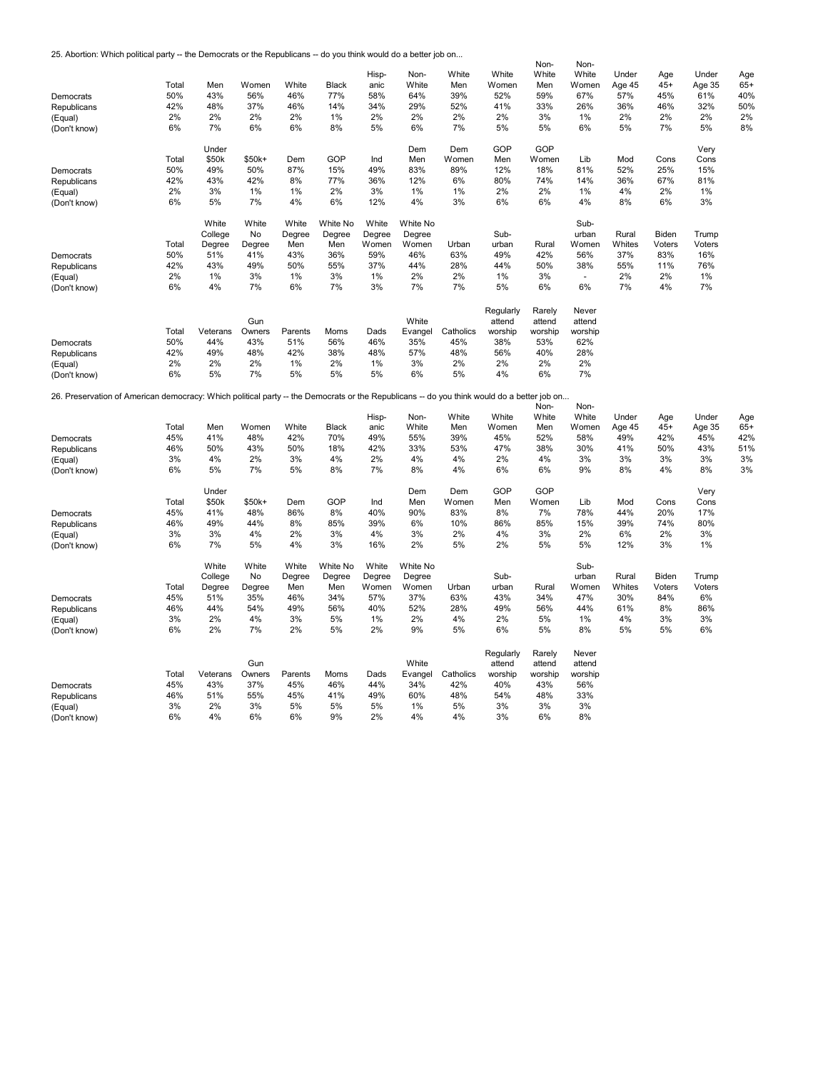25. Abortion: Which political party -- the Democrats or the Republicans -- do you think would do a better job on...

|                                                                                                                                            |          |          |          |          |              |          |          |           |           | Non-     | Non-     |        |        |        |       |
|--------------------------------------------------------------------------------------------------------------------------------------------|----------|----------|----------|----------|--------------|----------|----------|-----------|-----------|----------|----------|--------|--------|--------|-------|
|                                                                                                                                            |          |          |          |          |              | Hisp-    | Non-     | White     | White     | White    | White    | Under  | Age    | Under  | Age   |
|                                                                                                                                            | Total    | Men      | Women    | White    | <b>Black</b> | anic     | White    | Men       | Women     | Men      | Women    | Age 45 | $45+$  | Age 35 | $65+$ |
| Democrats                                                                                                                                  | 50%      | 43%      | 56%      | 46%      | 77%          | 58%      | 64%      | 39%       | 52%       | 59%      | 67%      | 57%    | 45%    | 61%    | 40%   |
|                                                                                                                                            | 42%      | 48%      | 37%      | 46%      | 14%          | 34%      | 29%      | 52%       | 41%       | 33%      | 26%      | 36%    | 46%    | 32%    | 50%   |
| Republicans                                                                                                                                |          |          |          |          |              |          |          |           |           |          |          |        |        |        |       |
| (Equal)                                                                                                                                    | 2%       | 2%       | 2%       | 2%       | 1%           | 2%       | 2%       | 2%        | 2%        | 3%       | 1%       | 2%     | 2%     | 2%     | 2%    |
| (Don't know)                                                                                                                               | 6%       | 7%       | 6%       | 6%       | 8%           | 5%       | 6%       | 7%        | 5%        | 5%       | 6%       | 5%     | 7%     | 5%     | 8%    |
|                                                                                                                                            |          |          |          |          |              |          |          |           |           |          |          |        |        |        |       |
|                                                                                                                                            |          | Under    |          |          |              |          | Dem      | Dem       | GOP       | GOP      |          |        |        | Very   |       |
|                                                                                                                                            | Total    | \$50k    | \$50k+   | Dem      | GOP          | Ind      | Men      | Women     | Men       | Women    | Lib      | Mod    | Cons   | Cons   |       |
| Democrats                                                                                                                                  | 50%      | 49%      | 50%      | 87%      | 15%          | 49%      | 83%      | 89%       | 12%       | 18%      | 81%      | 52%    | 25%    | 15%    |       |
| Republicans                                                                                                                                | 42%      | 43%      | 42%      | 8%       | 77%          | 36%      | 12%      | 6%        | 80%       | 74%      | 14%      | 36%    | 67%    | 81%    |       |
| (Equal)                                                                                                                                    | 2%       | 3%       | 1%       | 1%       | 2%           | 3%       | 1%       | 1%        | 2%        | 2%       | 1%       | 4%     | 2%     | 1%     |       |
| (Don't know)                                                                                                                               | 6%       | 5%       | 7%       | 4%       | 6%           | 12%      | 4%       | 3%        | 6%        | 6%       | 4%       | 8%     | 6%     | 3%     |       |
|                                                                                                                                            |          |          |          |          |              |          |          |           |           |          |          |        |        |        |       |
|                                                                                                                                            |          | White    | White    | White    | White No     | White    | White No |           |           |          | Sub-     |        |        |        |       |
|                                                                                                                                            |          | College  |          |          | Degree       |          |          |           | Sub-      |          | urban    |        |        |        |       |
|                                                                                                                                            |          |          | No       | Degree   |              | Degree   | Degree   |           |           |          |          | Rural  | Biden  | Trump  |       |
|                                                                                                                                            | Total    | Degree   | Degree   | Men      | Men          | Women    | Women    | Urban     | urban     | Rural    | Women    | Whites | Voters | Voters |       |
| Democrats                                                                                                                                  | 50%      | 51%      | 41%      | 43%      | 36%          | 59%      | 46%      | 63%       | 49%       | 42%      | 56%      | 37%    | 83%    | 16%    |       |
| Republicans                                                                                                                                | 42%      | 43%      | 49%      | 50%      | 55%          | 37%      | 44%      | 28%       | 44%       | 50%      | 38%      | 55%    | 11%    | 76%    |       |
| (Equal)                                                                                                                                    | 2%       | 1%       | 3%       | 1%       | 3%           | 1%       | 2%       | 2%        | 1%        | 3%       | ÷,       | 2%     | 2%     | 1%     |       |
| (Don't know)                                                                                                                               | 6%       | 4%       | 7%       | 6%       | 7%           | 3%       | 7%       | 7%        | 5%        | 6%       | 6%       | 7%     | 4%     | 7%     |       |
|                                                                                                                                            |          |          |          |          |              |          |          |           |           |          |          |        |        |        |       |
|                                                                                                                                            |          |          |          |          |              |          |          |           | Regularly | Rarely   | Never    |        |        |        |       |
|                                                                                                                                            |          |          | Gun      |          |              |          | White    |           | attend    | attend   | attend   |        |        |        |       |
|                                                                                                                                            | Total    | Veterans | Owners   | Parents  | Moms         | Dads     |          | Catholics | worship   | worship  | worship  |        |        |        |       |
|                                                                                                                                            |          |          |          |          |              |          | Evangel  |           |           |          |          |        |        |        |       |
| Democrats                                                                                                                                  | 50%      | 44%      | 43%      | 51%      | 56%          | 46%      | 35%      | 45%       | 38%       | 53%      | 62%      |        |        |        |       |
| Republicans                                                                                                                                | 42%      | 49%      | 48%      | 42%      | 38%          | 48%      | 57%      | 48%       | 56%       | 40%      | 28%      |        |        |        |       |
| (Equal)                                                                                                                                    | 2%       | 2%       | 2%       | 1%       | 2%           | 1%       | 3%       | 2%        | 2%        | 2%       | 2%       |        |        |        |       |
| (Don't know)                                                                                                                               | 6%       | 5%       | 7%       | 5%       | 5%           | 5%       | 6%       | 5%        | 4%        | 6%       | 7%       |        |        |        |       |
|                                                                                                                                            |          |          |          |          |              |          |          |           |           |          |          |        |        |        |       |
| 26. Preservation of American democracy: Which political party -- the Democrats or the Republicans -- do you think would do a better job on |          |          |          |          |              |          |          |           |           |          |          |        |        |        |       |
|                                                                                                                                            |          |          |          |          |              |          |          |           |           | Non-     | Non-     |        |        |        |       |
|                                                                                                                                            |          |          |          |          |              | Hisp-    | Non-     | White     | White     | White    | White    | Under  | Age    | Under  | Age   |
|                                                                                                                                            | Total    | Men      | Women    | White    | <b>Black</b> | anic     | White    | Men       | Women     | Men      | Women    | Age 45 | $45+$  | Age 35 | $65+$ |
| Democrats                                                                                                                                  | 45%      | 41%      | 48%      | 42%      | 70%          | 49%      | 55%      | 39%       | 45%       | 52%      | 58%      | 49%    | 42%    | 45%    | 42%   |
| Republicans                                                                                                                                | 46%      | 50%      | 43%      | 50%      | 18%          | 42%      | 33%      | 53%       | 47%       | 38%      | 30%      | 41%    | 50%    | 43%    | 51%   |
|                                                                                                                                            | 3%       | 4%       | 2%       | 3%       | 4%           | 2%       | 4%       | 4%        | 2%        | 4%       | 3%       | 3%     | 3%     | 3%     | 3%    |
| (Equal)                                                                                                                                    |          |          |          |          |              |          |          |           |           |          |          |        |        |        |       |
| (Don't know)                                                                                                                               | 6%       | 5%       | 7%       | 5%       | 8%           | 7%       | 8%       | 4%        | 6%        | 6%       | 9%       | 8%     | 4%     | 8%     | 3%    |
|                                                                                                                                            |          |          |          |          |              |          |          |           |           |          |          |        |        |        |       |
|                                                                                                                                            |          | Under    |          |          |              |          | Dem      | Dem       | GOP       | GOP      |          |        |        | Very   |       |
|                                                                                                                                            | Total    | \$50k    | \$50k+   | Dem      | GOP          | Ind      | Men      | Women     | Men       | Women    | Lib      | Mod    | Cons   | Cons   |       |
| Democrats                                                                                                                                  | 45%      | 41%      | 48%      | 86%      | 8%           | 40%      | 90%      | 83%       | 8%        | 7%       | 78%      | 44%    | 20%    | 17%    |       |
| Republicans                                                                                                                                | 46%      | 49%      | 44%      | 8%       | 85%          | 39%      | 6%       | 10%       | 86%       | 85%      | 15%      | 39%    | 74%    | 80%    |       |
| (Equal)                                                                                                                                    | 3%       | 3%       | 4%       | 2%       | 3%           | 4%       | 3%       | 2%        | 4%        | 3%       | 2%       | 6%     | 2%     | 3%     |       |
| (Don't know)                                                                                                                               | 6%       | 7%       | 5%       | 4%       | 3%           | 16%      | 2%       | 5%        | 2%        | 5%       | 5%       | 12%    | 3%     | 1%     |       |
|                                                                                                                                            |          |          |          |          |              |          |          |           |           |          |          |        |        |        |       |
|                                                                                                                                            |          | White    | White    | White    | White No     | White    | White No |           |           |          | Sub-     |        |        |        |       |
|                                                                                                                                            |          | College  | No       | Degree   | Degree       | Degree   | Degree   |           | Sub-      |          | urban    | Rural  | Biden  | Trump  |       |
|                                                                                                                                            | Total    | Degree   | Degree   | Men      | Men          | Women    | Women    | Urban     | urban     | Rural    | Women    | Whites | Voters | Voters |       |
|                                                                                                                                            | 45%      | 51%      | 35%      | 46%      | 34%          | 57%      | 37%      | 63%       | 43%       | 34%      | 47%      | 30%    | 84%    | 6%     |       |
| Democrats                                                                                                                                  |          |          |          |          |              |          |          |           |           |          |          |        |        |        |       |
| Republicans                                                                                                                                | 46%      | 44%      | 54%      | 49%      | 56%          | 40%      | 52%      | 28%       | 49%       | 56%      | 44%      | 61%    | 8%     | 86%    |       |
| (Equal)                                                                                                                                    | 3%       | 2%       | 4%       | 3%       | 5%           | 1%       | 2%       | 4%        | 2%        | 5%       | 1%       | 4%     | 3%     | 3%     |       |
| (Don't know)                                                                                                                               | 6%       | 2%       | 7%       | 2%       | 5%           | 2%       | 9%       | 5%        | 6%        | 5%       | 8%       | 5%     | 5%     | 6%     |       |
|                                                                                                                                            |          |          |          |          |              |          |          |           |           |          |          |        |        |        |       |
|                                                                                                                                            |          |          |          |          |              |          |          |           | Regularly | Rarely   | Never    |        |        |        |       |
|                                                                                                                                            |          |          | Gun      |          |              |          | White    |           | attend    | attend   | attend   |        |        |        |       |
|                                                                                                                                            | Total    | Veterans | Owners   | Parents  | Moms         | Dads     | Evangel  | Catholics | worship   | worship  | worship  |        |        |        |       |
| Democrats                                                                                                                                  | 45%      | 43%      | 37%      | 45%      | 46%          | 44%      | 34%      | 42%       | 40%       | 43%      | 56%      |        |        |        |       |
|                                                                                                                                            | 46%      | 51%      | 55%      | 45%      | 41%          | 49%      | 60%      | 48%       | 54%       | 48%      | 33%      |        |        |        |       |
| Republicans                                                                                                                                |          |          |          |          |              |          |          |           |           |          |          |        |        |        |       |
|                                                                                                                                            |          |          |          |          |              |          |          |           |           |          |          |        |        |        |       |
| (Equal)<br>(Don't know)                                                                                                                    | 3%<br>6% | 2%<br>4% | 3%<br>6% | 5%<br>6% | 5%<br>9%     | 5%<br>2% | 1%<br>4% | 5%<br>4%  | 3%<br>3%  | 3%<br>6% | 3%<br>8% |        |        |        |       |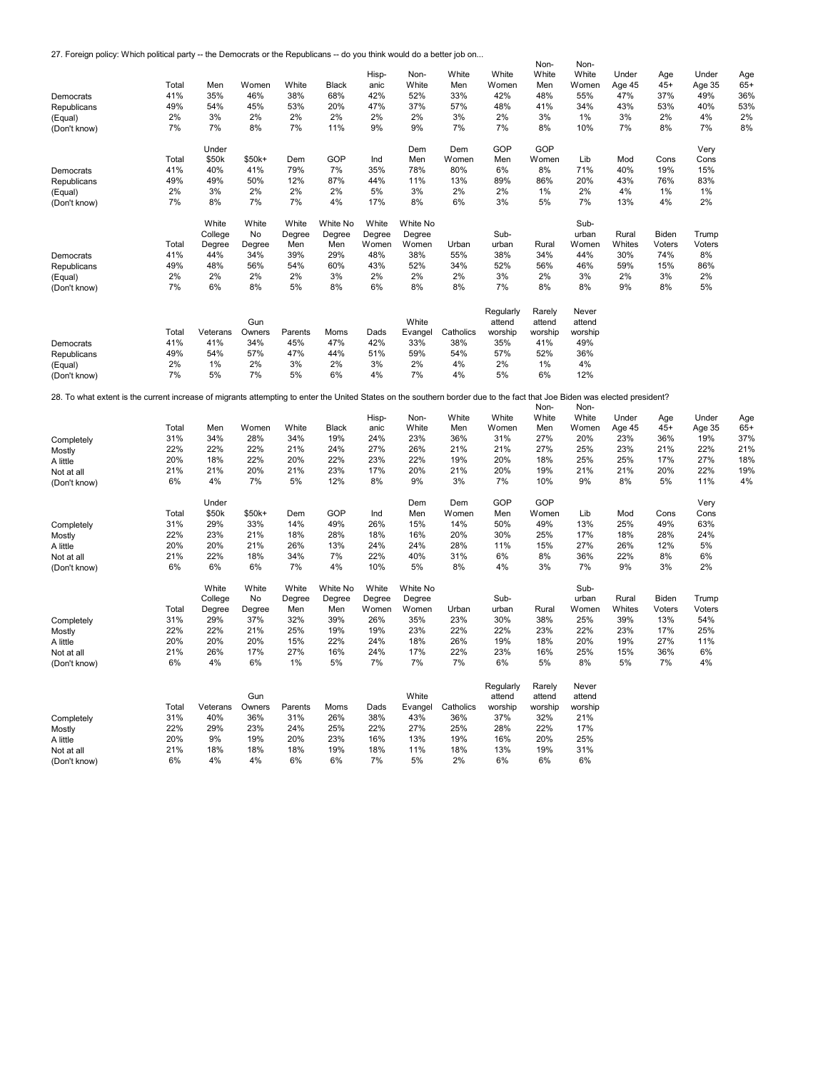27. Foreign policy: Which political party -- the Democrats or the Republicans -- do you think would do a better job on...

|                                                                                                                                                                           |       |           |           |           |              |        |           |           |           | Non-      | Non-      |        |        |        |       |
|---------------------------------------------------------------------------------------------------------------------------------------------------------------------------|-------|-----------|-----------|-----------|--------------|--------|-----------|-----------|-----------|-----------|-----------|--------|--------|--------|-------|
|                                                                                                                                                                           |       |           |           |           |              | Hisp-  | Non-      | White     | White     | White     | White     | Under  | Age    | Under  | Age   |
|                                                                                                                                                                           | Total | Men       | Women     | White     | Black        | anic   | White     | Men       | Women     | Men       | Women     | Age 45 | $45+$  | Age 35 | $65+$ |
|                                                                                                                                                                           |       |           |           |           |              |        |           |           |           |           |           |        |        |        |       |
| Democrats                                                                                                                                                                 | 41%   | 35%       | 46%       | 38%       | 68%          | 42%    | 52%       | 33%       | 42%       | 48%       | 55%       | 47%    | 37%    | 49%    | 36%   |
| Republicans                                                                                                                                                               | 49%   | 54%       | 45%       | 53%       | 20%          | 47%    | 37%       | 57%       | 48%       | 41%       | 34%       | 43%    | 53%    | 40%    | 53%   |
| (Equal)                                                                                                                                                                   | 2%    | 3%        | 2%        | 2%        | 2%           | 2%     | 2%        | 3%        | 2%        | 3%        | 1%        | 3%     | 2%     | 4%     | 2%    |
|                                                                                                                                                                           | 7%    | 7%        | 8%        | 7%        | 11%          | 9%     | 9%        | 7%        | 7%        | 8%        | 10%       | 7%     | 8%     | 7%     | 8%    |
| (Don't know)                                                                                                                                                              |       |           |           |           |              |        |           |           |           |           |           |        |        |        |       |
|                                                                                                                                                                           |       |           |           |           |              |        |           |           |           |           |           |        |        |        |       |
|                                                                                                                                                                           |       | Under     |           |           |              |        | Dem       | Dem       | GOP       | GOP       |           |        |        | Very   |       |
|                                                                                                                                                                           | Total | \$50k     | \$50k+    | Dem       | GOP          | Ind    | Men       | Women     | Men       | Women     | Lib       | Mod    | Cons   | Cons   |       |
|                                                                                                                                                                           |       |           |           |           |              |        |           |           |           |           |           |        |        |        |       |
| Democrats                                                                                                                                                                 | 41%   | 40%       | 41%       | 79%       | 7%           | 35%    | 78%       | 80%       | 6%        | 8%        | 71%       | 40%    | 19%    | 15%    |       |
| Republicans                                                                                                                                                               | 49%   | 49%       | 50%       | 12%       | 87%          | 44%    | 11%       | 13%       | 89%       | 86%       | 20%       | 43%    | 76%    | 83%    |       |
| (Equal)                                                                                                                                                                   | 2%    | 3%        | 2%        | 2%        | 2%           | 5%     | 3%        | 2%        | 2%        | 1%        | 2%        | 4%     | 1%     | 1%     |       |
|                                                                                                                                                                           | 7%    | 8%        | 7%        | 7%        | 4%           | 17%    | 8%        | 6%        | 3%        | 5%        | 7%        | 13%    | 4%     | 2%     |       |
| (Don't know)                                                                                                                                                              |       |           |           |           |              |        |           |           |           |           |           |        |        |        |       |
|                                                                                                                                                                           |       |           |           |           |              |        |           |           |           |           |           |        |        |        |       |
|                                                                                                                                                                           |       | White     | White     | White     | White No     | White  | White No  |           |           |           | Sub-      |        |        |        |       |
|                                                                                                                                                                           |       | College   | No        | Degree    | Degree       | Degree | Degree    |           | Sub-      |           | urban     | Rural  | Biden  | Trump  |       |
|                                                                                                                                                                           | Total | Degree    | Degree    | Men       | Men          | Women  | Women     | Urban     | urban     | Rural     | Women     | Whites | Voters | Voters |       |
|                                                                                                                                                                           |       |           |           |           |              |        |           |           |           |           |           |        |        |        |       |
| Democrats                                                                                                                                                                 | 41%   | 44%       | 34%       | 39%       | 29%          | 48%    | 38%       | 55%       | 38%       | 34%       | 44%       | 30%    | 74%    | 8%     |       |
| Republicans                                                                                                                                                               | 49%   | 48%       | 56%       | 54%       | 60%          | 43%    | 52%       | 34%       | 52%       | 56%       | 46%       | 59%    | 15%    | 86%    |       |
| (Equal)                                                                                                                                                                   | 2%    | 2%        | 2%        | 2%        | 3%           | 2%     | 2%        | 2%        | 3%        | 2%        | 3%        | 2%     | 3%     | 2%     |       |
|                                                                                                                                                                           |       |           |           |           |              |        |           |           |           |           |           |        |        |        |       |
| (Don't know)                                                                                                                                                              | 7%    | 6%        | 8%        | 5%        | 8%           | 6%     | 8%        | 8%        | 7%        | 8%        | 8%        | 9%     | 8%     | 5%     |       |
|                                                                                                                                                                           |       |           |           |           |              |        |           |           |           |           |           |        |        |        |       |
|                                                                                                                                                                           |       |           |           |           |              |        |           |           |           |           |           |        |        |        |       |
|                                                                                                                                                                           |       |           |           |           |              |        |           |           | Regularly | Rarely    | Never     |        |        |        |       |
|                                                                                                                                                                           |       |           | Gun       |           |              |        | White     |           | attend    | attend    | attend    |        |        |        |       |
|                                                                                                                                                                           | Total | Veterans  | Owners    | Parents   | Moms         | Dads   | Evangel   | Catholics | worship   | worship   | worship   |        |        |        |       |
| Democrats                                                                                                                                                                 | 41%   | 41%       | 34%       | 45%       | 47%          | 42%    | 33%       | 38%       | 35%       | 41%       | 49%       |        |        |        |       |
|                                                                                                                                                                           |       |           |           |           |              |        |           |           |           |           |           |        |        |        |       |
| Republicans                                                                                                                                                               | 49%   | 54%       | 57%       | 47%       | 44%          | 51%    | 59%       | 54%       | 57%       | 52%       | 36%       |        |        |        |       |
| (Equal)                                                                                                                                                                   | 2%    | 1%        | 2%        | 3%        | 2%           | 3%     | 2%        | 4%        | 2%        | 1%        | 4%        |        |        |        |       |
| (Don't know)                                                                                                                                                              | 7%    | 5%        | 7%        | 5%        | 6%           | 4%     | 7%        | 4%        | 5%        | 6%        | 12%       |        |        |        |       |
|                                                                                                                                                                           |       |           |           |           |              |        |           |           |           |           |           |        |        |        |       |
|                                                                                                                                                                           |       |           |           |           |              |        |           |           |           |           |           |        |        |        |       |
| 28. To what extent is the current increase of migrants attempting to enter the United States on the southern border due to the fact that Joe Biden was elected president? |       |           |           |           |              |        |           |           |           |           |           |        |        |        |       |
|                                                                                                                                                                           |       |           |           |           |              |        |           |           |           | Non-      | Non-      |        |        |        |       |
|                                                                                                                                                                           |       |           |           |           |              |        |           |           |           |           |           |        |        |        |       |
|                                                                                                                                                                           |       |           |           |           |              |        |           |           |           |           |           |        |        |        |       |
|                                                                                                                                                                           |       |           |           |           |              | Hisp-  | Non-      | White     | White     | White     | White     | Under  | Age    | Under  | Age   |
|                                                                                                                                                                           | Total | Men       | Women     | White     | <b>Black</b> | anic   | White     | Men       | Women     | Men       | Women     | Age 45 | $45+$  | Age 35 | $65+$ |
| Completely                                                                                                                                                                | 31%   | 34%       | 28%       | 34%       | 19%          | 24%    | 23%       | 36%       | 31%       | 27%       | 20%       | 23%    | 36%    | 19%    | 37%   |
|                                                                                                                                                                           | 22%   | 22%       | 22%       | 21%       | 24%          | 27%    | 26%       | 21%       | 21%       | 27%       |           | 23%    | 21%    | 22%    | 21%   |
| Mostly                                                                                                                                                                    |       |           |           |           |              |        |           |           |           |           | 25%       |        |        |        |       |
| A little                                                                                                                                                                  | 20%   | 18%       | 22%       | 20%       | 22%          | 23%    | 22%       | 19%       | 20%       | 18%       | 25%       | 25%    | 17%    | 27%    | 18%   |
| Not at all                                                                                                                                                                | 21%   | 21%       | 20%       | 21%       | 23%          | 17%    | 20%       | 21%       | 20%       | 19%       | 21%       | 21%    | 20%    | 22%    | 19%   |
| (Don't know)                                                                                                                                                              | 6%    | 4%        | 7%        | 5%        | 12%          | 8%     | 9%        | 3%        | 7%        | 10%       | 9%        | 8%     | 5%     | 11%    | 4%    |
|                                                                                                                                                                           |       |           |           |           |              |        |           |           |           |           |           |        |        |        |       |
|                                                                                                                                                                           |       |           |           |           |              |        |           |           |           |           |           |        |        |        |       |
|                                                                                                                                                                           |       | Under     |           |           |              |        | Dem       | Dem       | GOP       | GOP       |           |        |        | Very   |       |
|                                                                                                                                                                           | Total | \$50k     | \$50k+    | Dem       | GOP          | Ind    | Men       | Women     | Men       | Women     | Lib       | Mod    | Cons   | Cons   |       |
|                                                                                                                                                                           | 31%   | 29%       | 33%       | 14%       | 49%          | 26%    | 15%       | 14%       | 50%       | 49%       | 13%       | 25%    | 49%    | 63%    |       |
| Completely                                                                                                                                                                |       |           |           |           |              |        |           |           |           |           |           |        |        |        |       |
| Mostly                                                                                                                                                                    | 22%   | 23%       | 21%       | 18%       | 28%          | 18%    | 16%       | 20%       | 30%       | 25%       | 17%       | 18%    | 28%    | 24%    |       |
| A little                                                                                                                                                                  | 20%   | 20%       | 21%       | 26%       | 13%          | 24%    | 24%       | 28%       | 11%       | 15%       | 27%       | 26%    | 12%    | 5%     |       |
| Not at all                                                                                                                                                                | 21%   | 22%       | 18%       | 34%       | 7%           | 22%    | 40%       | 31%       | 6%        | 8%        | 36%       | 22%    | 8%     | 6%     |       |
|                                                                                                                                                                           |       | 6%        | 6%        | 7%        | 4%           | 10%    | 5%        | 8%        | 4%        | 3%        | 7%        | 9%     | 3%     | 2%     |       |
| (Don't know)                                                                                                                                                              | 6%    |           |           |           |              |        |           |           |           |           |           |        |        |        |       |
|                                                                                                                                                                           |       |           |           |           |              |        |           |           |           |           |           |        |        |        |       |
|                                                                                                                                                                           |       | White     | White     | White     | White No     | White  | White No  |           |           |           | Sub-      |        |        |        |       |
|                                                                                                                                                                           |       | College   | No        | Degree    | Degree       | Degree | Degree    |           | Sub-      |           | urban     | Rural  | Biden  | Trump  |       |
|                                                                                                                                                                           |       |           |           |           |              |        |           |           |           |           |           |        |        |        |       |
|                                                                                                                                                                           | Total | Degree    | Degree    | Men       | Men          | Women  | Women     | Urban     | urban     | Rural     | Women     | Whites | Voters | Voters |       |
| Completely                                                                                                                                                                | 31%   | 29%       | 37%       | 32%       | 39%          | 26%    | 35%       | 23%       | 30%       | 38%       | 25%       | 39%    | 13%    | 54%    |       |
| Mostly                                                                                                                                                                    | 22%   | 22%       | 21%       | 25%       | 19%          | 19%    | 23%       | 22%       | 22%       | 23%       | 22%       | 23%    | 17%    | 25%    |       |
|                                                                                                                                                                           |       | 20%       |           | 15%       | 22%          | 24%    | 18%       | 26%       | 19%       | 18%       |           | 19%    | 27%    | 11%    |       |
| A little                                                                                                                                                                  | 20%   |           | 20%       |           |              |        |           |           |           |           | 20%       |        |        |        |       |
| Not at all                                                                                                                                                                | 21%   | 26%       | 17%       | 27%       | 16%          | 24%    | 17%       | 22%       | 23%       | 16%       | 25%       | 15%    | 36%    | 6%     |       |
| (Don't know)                                                                                                                                                              | 6%    | 4%        | 6%        | 1%        | 5%           | 7%     | 7%        | 7%        | 6%        | 5%        | 8%        | 5%     | 7%     | 4%     |       |
|                                                                                                                                                                           |       |           |           |           |              |        |           |           |           |           |           |        |        |        |       |
|                                                                                                                                                                           |       |           |           |           |              |        |           |           |           |           |           |        |        |        |       |
|                                                                                                                                                                           |       |           |           |           |              |        |           |           | Regularly | Rarely    | Never     |        |        |        |       |
|                                                                                                                                                                           |       |           | Gun       |           |              |        | White     |           | attend    | attend    | attend    |        |        |        |       |
|                                                                                                                                                                           | Total | Veterans  | Owners    | Parents   | Moms         | Dads   | Evangel   | Catholics | worship   | worship   | worship   |        |        |        |       |
|                                                                                                                                                                           |       |           |           |           |              |        |           |           |           |           |           |        |        |        |       |
| Completely                                                                                                                                                                | 31%   | 40%       | 36%       | 31%       | 26%          | 38%    | 43%       | 36%       | 37%       | 32%       | 21%       |        |        |        |       |
| Mostly                                                                                                                                                                    | 22%   | 29%       | 23%       | 24%       | 25%          | 22%    | 27%       | 25%       | 28%       | 22%       | 17%       |        |        |        |       |
| A little                                                                                                                                                                  | 20%   | 9%        | 19%       | 20%       | 23%          | 16%    | 13%       | 19%       | 16%       | 20%       | 25%       |        |        |        |       |
|                                                                                                                                                                           | 21%   |           |           |           |              | 18%    |           |           |           |           |           |        |        |        |       |
| Not at all<br>(Don't know)                                                                                                                                                | 6%    | 18%<br>4% | 18%<br>4% | 18%<br>6% | 19%<br>6%    | 7%     | 11%<br>5% | 18%<br>2% | 13%<br>6% | 19%<br>6% | 31%<br>6% |        |        |        |       |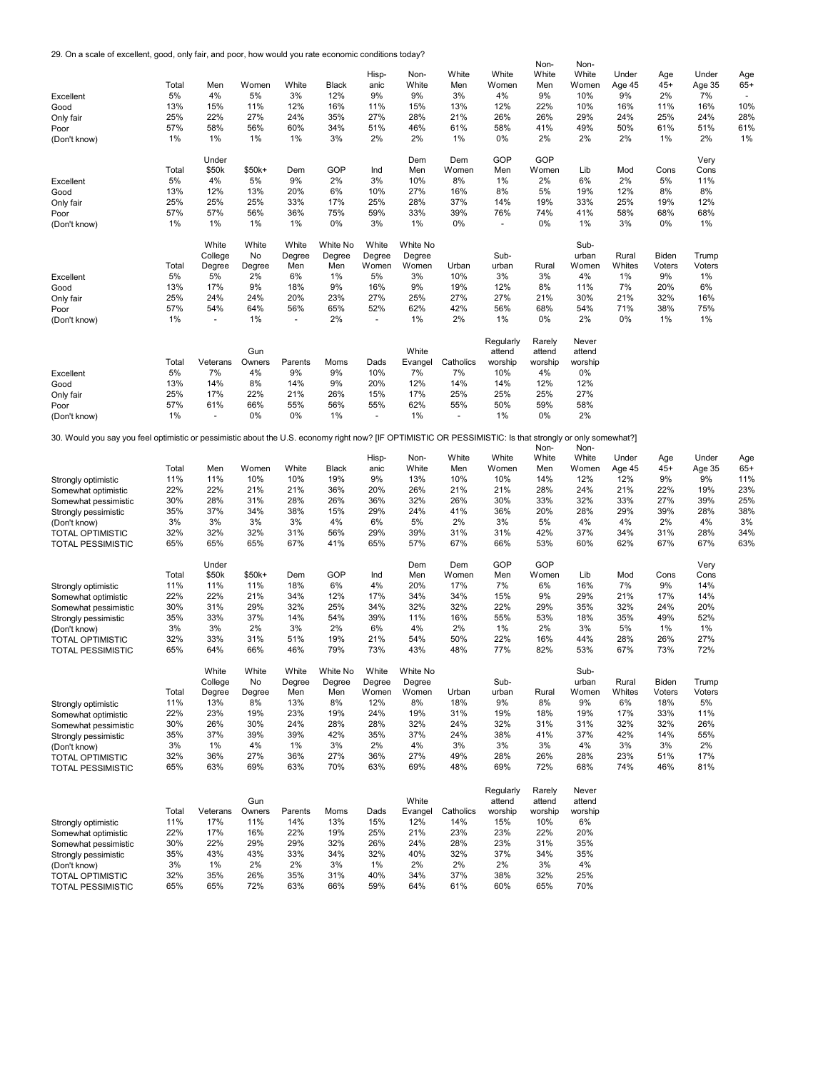29. On a scale of excellent, good, only fair, and poor, how would you rate economic conditions today?

|                                                                                                                                                           |       |                      |        |         |          |                          |          |           |                          | Non-    | Non-    |        |        |        |                |
|-----------------------------------------------------------------------------------------------------------------------------------------------------------|-------|----------------------|--------|---------|----------|--------------------------|----------|-----------|--------------------------|---------|---------|--------|--------|--------|----------------|
|                                                                                                                                                           |       |                      |        |         |          | Hisp-                    | Non-     | White     | White                    | White   | White   | Under  | Age    | Under  | Age            |
|                                                                                                                                                           | Total | Men                  | Women  | White   | Black    | anic                     | White    | Men       | Women                    | Men     | Women   | Age 45 | $45+$  | Age 35 | $65+$          |
| Excellent                                                                                                                                                 | 5%    | 4%                   | 5%     | 3%      | 12%      | 9%                       | 9%       | 3%        | 4%                       | 9%      | 10%     | 9%     | 2%     | 7%     | $\blacksquare$ |
| Good                                                                                                                                                      | 13%   | 15%                  | 11%    | 12%     | 16%      | 11%                      | 15%      | 13%       | 12%                      | 22%     | 10%     | 16%    | 11%    | 16%    | 10%            |
| Only fair                                                                                                                                                 | 25%   | 22%                  | 27%    | 24%     | 35%      | 27%                      | 28%      | 21%       | 26%                      | 26%     | 29%     | 24%    | 25%    | 24%    | 28%            |
| Poor                                                                                                                                                      | 57%   | 58%                  | 56%    | 60%     | 34%      | 51%                      | 46%      | 61%       | 58%                      | 41%     | 49%     | 50%    | 61%    | 51%    | 61%            |
|                                                                                                                                                           | 1%    | $1\%$                | 1%     | 1%      | 3%       | 2%                       | 2%       | 1%        | 0%                       | 2%      | 2%      | 2%     | 1%     | 2%     | 1%             |
| (Don't know)                                                                                                                                              |       |                      |        |         |          |                          |          |           |                          |         |         |        |        |        |                |
|                                                                                                                                                           |       |                      |        |         |          |                          |          |           |                          |         |         |        |        |        |                |
|                                                                                                                                                           |       | Under                |        |         |          |                          | Dem      | Dem       | GOP                      | GOP     |         |        |        | Very   |                |
|                                                                                                                                                           | Total | \$50k                | \$50k+ | Dem     | GOP      | Ind                      | Men      | Women     | Men                      | Women   | Lib     | Mod    | Cons   | Cons   |                |
| Excellent                                                                                                                                                 | 5%    | 4%                   | 5%     | 9%      | 2%       | 3%                       | 10%      | 8%        | 1%                       | 2%      | 6%      | 2%     | 5%     | 11%    |                |
| Good                                                                                                                                                      | 13%   | 12%                  | 13%    | 20%     | 6%       | 10%                      | 27%      | 16%       | 8%                       | 5%      | 19%     | 12%    | 8%     | 8%     |                |
| Only fair                                                                                                                                                 | 25%   | 25%                  | 25%    | 33%     | 17%      | 25%                      | 28%      | 37%       | 14%                      | 19%     | 33%     | 25%    | 19%    | 12%    |                |
| Poor                                                                                                                                                      | 57%   | 57%                  | 56%    | 36%     | 75%      | 59%                      | 33%      | 39%       | 76%                      | 74%     | 41%     | 58%    | 68%    | 68%    |                |
| (Don't know)                                                                                                                                              | 1%    | $1\%$                | 1%     | 1%      | 0%       | 3%                       | 1%       | 0%        | $\overline{\phantom{a}}$ | 0%      | 1%      | 3%     | 0%     | 1%     |                |
|                                                                                                                                                           |       |                      |        |         |          |                          |          |           |                          |         |         |        |        |        |                |
|                                                                                                                                                           |       | White                | White  | White   | White No | White                    | White No |           |                          |         | Sub-    |        |        |        |                |
|                                                                                                                                                           |       | College              | No     | Degree  | Degree   | Degree                   | Degree   |           | Sub-                     |         | urban   | Rural  | Biden  | Trump  |                |
|                                                                                                                                                           | Total | Degree               | Degree | Men     | Men      | Women                    | Women    | Urban     | urban                    | Rural   | Women   | Whites | Voters | Voters |                |
| Excellent                                                                                                                                                 | 5%    | 5%                   | 2%     | 6%      | 1%       | 5%                       | 3%       | 10%       | 3%                       | 3%      | 4%      | 1%     | 9%     | 1%     |                |
| Good                                                                                                                                                      | 13%   | 17%                  | 9%     | 18%     | 9%       | 16%                      | 9%       | 19%       | 12%                      | 8%      | 11%     | 7%     | 20%    | 6%     |                |
|                                                                                                                                                           | 25%   | 24%                  | 24%    | 20%     | 23%      | 27%                      | 25%      | 27%       | 27%                      | 21%     | 30%     | 21%    | 32%    | 16%    |                |
| Only fair                                                                                                                                                 |       |                      |        |         |          |                          |          |           |                          |         |         |        |        |        |                |
| Poor                                                                                                                                                      | 57%   | 54%                  | 64%    | 56%     | 65%      | 52%                      | 62%      | 42%       | 56%                      | 68%     | 54%     | 71%    | 38%    | 75%    |                |
| (Don't know)                                                                                                                                              | 1%    |                      | 1%     |         | 2%       |                          | 1%       | 2%        | 1%                       | 0%      | 2%      | 0%     | 1%     | 1%     |                |
|                                                                                                                                                           |       |                      |        |         |          |                          |          |           |                          |         |         |        |        |        |                |
|                                                                                                                                                           |       |                      |        |         |          |                          |          |           | Regularly                | Rarely  | Never   |        |        |        |                |
|                                                                                                                                                           |       |                      | Gun    |         |          |                          | White    |           | attend                   | attend  | attend  |        |        |        |                |
|                                                                                                                                                           | Total | Veterans             | Owners | Parents | Moms     | Dads                     | Evangel  | Catholics | worship                  | worship | worship |        |        |        |                |
| Excellent                                                                                                                                                 | 5%    | 7%                   | 4%     | 9%      | 9%       | 10%                      | 7%       | 7%        | 10%                      | 4%      | $0\%$   |        |        |        |                |
| Good                                                                                                                                                      | 13%   | 14%                  | 8%     | 14%     | 9%       | 20%                      | 12%      | 14%       | 14%                      | 12%     | 12%     |        |        |        |                |
| Only fair                                                                                                                                                 | 25%   | 17%                  | 22%    | 21%     | 26%      | 15%                      | 17%      | 25%       | 25%                      | 25%     | 27%     |        |        |        |                |
| Poor                                                                                                                                                      | 57%   | 61%                  | 66%    | 55%     | 56%      | 55%                      | 62%      | 55%       | 50%                      | 59%     | 58%     |        |        |        |                |
| (Don't know)                                                                                                                                              | 1%    | $\ddot{\phantom{1}}$ | 0%     | 0%      | $1\%$    | $\overline{\phantom{a}}$ | 1%       | $\sim$    | 1%                       | 0%      | 2%      |        |        |        |                |
|                                                                                                                                                           |       |                      |        |         |          |                          |          |           |                          |         |         |        |        |        |                |
|                                                                                                                                                           |       |                      |        |         |          |                          |          |           |                          |         |         |        |        |        |                |
| 30. Would you say you feel optimistic or pessimistic about the U.S. economy right now? [IF OPTIMISTIC OR PESSIMISTIC: Is that strongly or only somewhat?] |       |                      |        |         |          |                          |          |           |                          |         |         |        |        |        |                |
|                                                                                                                                                           |       |                      |        |         |          |                          |          |           |                          | Non-    | Non-    |        |        |        |                |
|                                                                                                                                                           |       |                      |        |         |          | Hisp-                    | Non-     | White     | White                    | White   | White   | Under  | Age    | Under  | Age            |
|                                                                                                                                                           | Total | Men                  | Women  | White   | Black    | anic                     | White    | Men       | Women                    | Men     | Women   | Age 45 | $45+$  | Age 35 | $65+$          |
| Strongly optimistic                                                                                                                                       | 11%   | 11%                  | 10%    | 10%     | 19%      | 9%                       | 13%      | 10%       | 10%                      | 14%     | 12%     | 12%    | 9%     | 9%     | 11%            |
| Somewhat optimistic                                                                                                                                       | 22%   | 22%                  | 21%    | 21%     | 36%      | 20%                      | 26%      | 21%       | 21%                      | 28%     | 24%     | 21%    | 22%    | 19%    | 23%            |
| Somewhat pessimistic                                                                                                                                      | 30%   | 28%                  | 31%    | 28%     | 26%      | 36%                      | 32%      | 26%       | 30%                      | 33%     | 32%     | 33%    | 27%    | 39%    | 25%            |
| Strongly pessimistic                                                                                                                                      | 35%   | 37%                  | 34%    | 38%     | 15%      | 29%                      | 24%      | 41%       | 36%                      | 20%     | 28%     | 29%    | 39%    | 28%    | 38%            |
| (Don't know)                                                                                                                                              | 3%    | 3%                   | 3%     | 3%      | 4%       | 6%                       | 5%       | 2%        | 3%                       | 5%      | 4%      | 4%     | 2%     | 4%     | 3%             |
| <b>TOTAL OPTIMISTIC</b>                                                                                                                                   | 32%   | 32%                  | 32%    | 31%     | 56%      | 29%                      | 39%      | 31%       | 31%                      | 42%     | 37%     | 34%    | 31%    | 28%    | 34%            |
| <b>TOTAL PESSIMISTIC</b>                                                                                                                                  | 65%   | 65%                  | 65%    | 67%     | 41%      | 65%                      | 57%      | 67%       | 66%                      | 53%     | 60%     | 62%    | 67%    | 67%    | 63%            |
|                                                                                                                                                           |       |                      |        |         |          |                          |          |           |                          |         |         |        |        |        |                |
|                                                                                                                                                           |       | Under                |        |         |          |                          | Dem      | Dem       | GOP                      | GOP     |         |        |        | Very   |                |
|                                                                                                                                                           | Total | \$50k                | \$50k+ | Dem     | GOP      | Ind                      | Men      | Women     | Men                      | Women   | Lib     | Mod    | Cons   | Cons   |                |
| Strongly optimistic                                                                                                                                       | 11%   | 11%                  | 11%    | 18%     | 6%       | 4%                       | 20%      | 17%       | 7%                       | 6%      | 16%     | 7%     | 9%     | 14%    |                |
|                                                                                                                                                           | 22%   | 22%                  |        | 34%     | 12%      | 17%                      | 34%      | 34%       |                          | 9%      | 29%     | 21%    | 17%    |        |                |
| Somewhat optimistic                                                                                                                                       |       |                      | 21%    |         |          |                          |          |           | 15%                      |         |         |        |        | 14%    |                |
| Somewhat pessimistic                                                                                                                                      | 30%   | 31%                  | 29%    | 32%     | 25%      | 34%                      | 32%      | 32%       | 22%                      | 29%     | 35%     | 32%    | 24%    | 20%    |                |
| Strongly pessimistic                                                                                                                                      | 35%   | 33%                  | 37%    | 14%     | 54%      | 39%                      | 11%      | 16%       | 55%                      | 53%     | 18%     | 35%    | 49%    | 52%    |                |
| (Don't know)                                                                                                                                              | 3%    | 3%                   | 2%     | 3%      | 2%       | 6%                       | 4%       | 2%        | 1%                       | 2%      | 3%      | 5%     | 1%     | 1%     |                |
| <b>TOTAL OPTIMISTIC</b>                                                                                                                                   | 32%   | 33%                  | 31%    | 51%     | 19%      | 21%                      | 54%      | 50%       | 22%                      | 16%     | 44%     | 28%    | 26%    | 27%    |                |
| <b>TOTAL PESSIMISTIC</b>                                                                                                                                  | 65%   | 64%                  | 66%    | 46%     | 79%      | 73%                      | 43%      | 48%       | 77%                      | 82%     | 53%     | 67%    | 73%    | 72%    |                |
|                                                                                                                                                           |       |                      |        |         |          |                          |          |           |                          |         |         |        |        |        |                |
|                                                                                                                                                           |       | White                | White  | White   | White No | White                    | White No |           |                          |         | Sub-    |        |        |        |                |
|                                                                                                                                                           |       | College              | No     | Degree  | Degree   | Degree                   | Degree   |           | Sub-                     |         | urban   | Rural  | Biden  | Trump  |                |
|                                                                                                                                                           | Total | Degree               | Degree | Men     | Men      | Women                    | Women    | Urban     | urban                    | Rural   | Women   | Whites | Voters | Voters |                |
| Strongly optimistic                                                                                                                                       | 11%   | 13%                  | 8%     | 13%     | 8%       | 12%                      | 8%       | 18%       | 9%                       | 8%      | 9%      | 6%     | 18%    | 5%     |                |
| Somewhat optimistic                                                                                                                                       | 22%   | 23%                  | 19%    | 23%     | 19%      | 24%                      | 19%      | 31%       | 19%                      | 18%     | 19%     | 17%    | 33%    | 11%    |                |
| Somewhat pessimistic                                                                                                                                      | 30%   | 26%                  | 30%    | 24%     | 28%      | 28%                      | 32%      | 24%       | 32%                      | 31%     | 31%     | 32%    | 32%    | 26%    |                |
|                                                                                                                                                           |       | 37%                  | 39%    | 39%     | 42%      | 35%                      | 37%      |           | 38%                      | 41%     | 37%     | 42%    | 14%    | 55%    |                |
| Strongly pessimistic                                                                                                                                      | 35%   |                      |        |         |          |                          |          | 24%       |                          |         |         |        |        |        |                |
| (Don't know)                                                                                                                                              | 3%    | 1%                   | 4%     | 1%      | 3%       | 2%                       | 4%       | 3%        | 3%                       | 3%      | 4%      | 3%     | 3%     | 2%     |                |
| <b>TOTAL OPTIMISTIC</b>                                                                                                                                   | 32%   | 36%                  | 27%    | 36%     | 27%      | 36%                      | 27%      | 49%       | 28%                      | 26%     | 28%     | 23%    | 51%    | 17%    |                |
| <b>TOTAL PESSIMISTIC</b>                                                                                                                                  | 65%   | 63%                  | 69%    | 63%     | 70%      | 63%                      | 69%      | 48%       | 69%                      | 72%     | 68%     | 74%    | 46%    | 81%    |                |
|                                                                                                                                                           |       |                      |        |         |          |                          |          |           |                          |         |         |        |        |        |                |
|                                                                                                                                                           |       |                      |        |         |          |                          |          |           | Regularly                | Rarely  | Never   |        |        |        |                |
|                                                                                                                                                           |       |                      | Gun    |         |          |                          | White    |           | attend                   | attend  | attend  |        |        |        |                |
|                                                                                                                                                           | Total | Veterans             | Owners | Parents | Moms     | Dads                     | Evangel  | Catholics | worship                  | worship | worship |        |        |        |                |
|                                                                                                                                                           | 11%   | 17%                  | 11%    | 14%     | 13%      | 15%                      | 12%      | 14%       | 15%                      | 10%     | 6%      |        |        |        |                |
| Strongly optimistic                                                                                                                                       | 22%   | 17%                  | 16%    | 22%     | 19%      | 25%                      | 21%      |           |                          | 22%     | 20%     |        |        |        |                |
| Somewhat optimistic                                                                                                                                       |       |                      |        |         |          |                          |          | 23%       | 23%                      |         |         |        |        |        |                |
| Somewhat pessimistic                                                                                                                                      | 30%   | 22%                  | 29%    | 29%     | 32%      | 26%                      | 24%      | 28%       | 23%                      | 31%     | 35%     |        |        |        |                |
| Strongly pessimistic                                                                                                                                      | 35%   | 43%                  | 43%    | 33%     | 34%      | 32%                      | 40%      | 32%       | 37%                      | 34%     | 35%     |        |        |        |                |
| (Don't know)                                                                                                                                              | 3%    | $1\%$                | 2%     | 2%      | 3%       | 1%                       | 2%       | 2%        | 2%                       | 3%      | 4%      |        |        |        |                |
| <b>TOTAL OPTIMISTIC</b>                                                                                                                                   | 32%   | 35%                  | 26%    | 35%     | 31%      | 40%                      | 34%      | 37%       | 38%                      | 32%     | 25%     |        |        |        |                |
| <b>TOTAL PESSIMISTIC</b>                                                                                                                                  | 65%   | 65%                  | 72%    | 63%     | 66%      | 59%                      | 64%      | 61%       | 60%                      | 65%     | 70%     |        |        |        |                |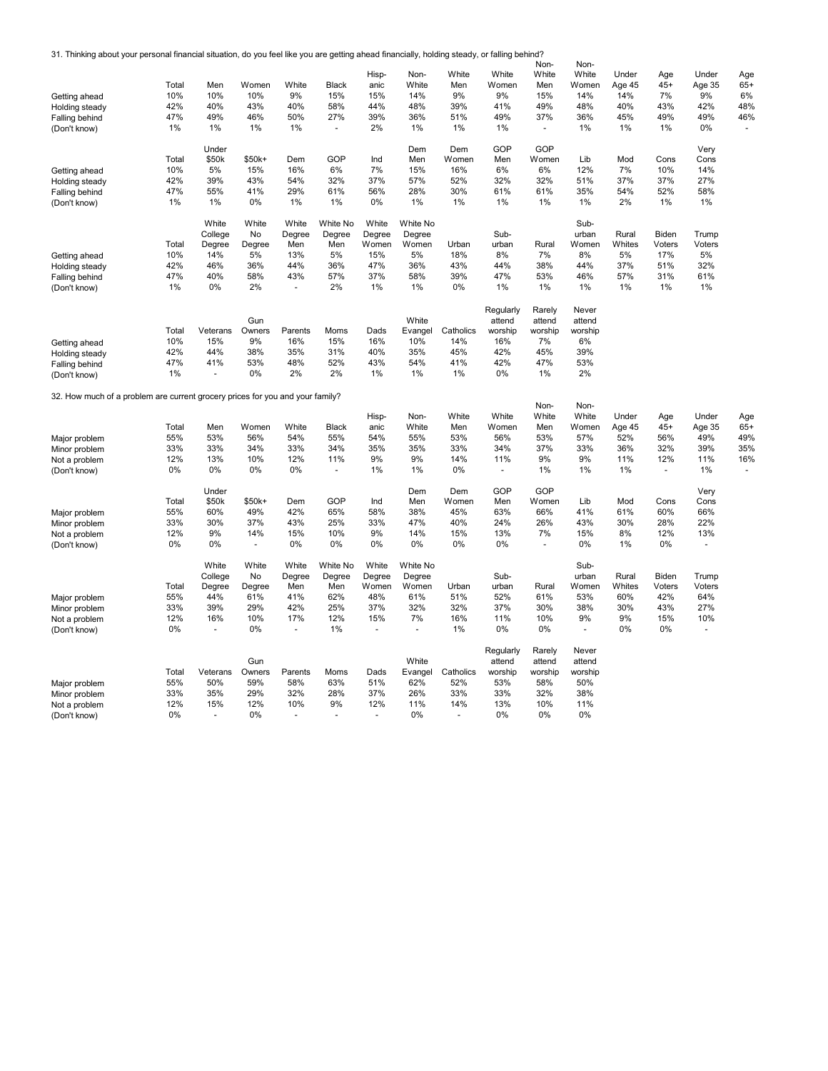31. Thinking about your personal financial situation, do you feel like you are getting ahead financially, holding steady, or falling behind?

| Getting ahead<br>Holding steady<br>Falling behind<br>(Don't know)<br>Getting ahead | Total<br>10%<br>42%<br>47%<br>1%<br>Total<br>10% | Men<br>10%<br>40%<br>49%<br>$1\%$<br>Under<br>\$50k<br>5% | Women<br>10%<br>43%<br>46%<br>1%<br>\$50k+<br>15% | White<br>9%<br>40%<br>50%<br>1%<br>Dem<br>16% | <b>Black</b><br>15%<br>58%<br>27%<br>GOP<br>6% | Hisp-<br>anic<br>15%<br>44%<br>39%<br>2%<br>Ind<br>7% | Non-<br>White<br>14%<br>48%<br>36%<br>1%<br>Dem<br>Men<br>15% | White<br>Men<br>9%<br>39%<br>51%<br>1%<br>Dem<br>Women<br>16% | White<br>Women<br>9%<br>41%<br>49%<br>1%<br>GOP<br>Men<br>6% | Non-<br>White<br>Men<br>15%<br>49%<br>37%<br>GOP<br>Women<br>6% | Non-<br>White<br>Women<br>14%<br>48%<br>36%<br>1%<br>Lib<br>12% | Under<br>Age 45<br>14%<br>40%<br>45%<br>1%<br>Mod<br>7% | Age<br>$45+$<br>7%<br>43%<br>49%<br>1%<br>Cons<br>10% | Under<br>Age 35<br>9%<br>42%<br>49%<br>0%<br>Very<br>Cons<br>14% | Age<br>$65+$<br>6%<br>48%<br>46% |
|------------------------------------------------------------------------------------|--------------------------------------------------|-----------------------------------------------------------|---------------------------------------------------|-----------------------------------------------|------------------------------------------------|-------------------------------------------------------|---------------------------------------------------------------|---------------------------------------------------------------|--------------------------------------------------------------|-----------------------------------------------------------------|-----------------------------------------------------------------|---------------------------------------------------------|-------------------------------------------------------|------------------------------------------------------------------|----------------------------------|
| Holding steady                                                                     | 42%                                              | 39%                                                       | 43%                                               | 54%                                           | 32%                                            | 37%                                                   | 57%                                                           | 52%                                                           | 32%                                                          | 32%                                                             | 51%                                                             | 37%                                                     | 37%                                                   | 27%                                                              |                                  |
| Falling behind                                                                     | 47%                                              | 55%                                                       | 41%                                               | 29%                                           | 61%                                            | 56%                                                   | 28%                                                           | 30%                                                           | 61%                                                          | 61%                                                             | 35%                                                             | 54%                                                     | 52%                                                   | 58%                                                              |                                  |
| (Don't know)                                                                       | 1%                                               | 1%                                                        | 0%                                                | 1%                                            | 1%                                             | 0%                                                    | 1%                                                            | 1%                                                            | 1%                                                           | 1%                                                              | 1%                                                              | 2%                                                      | 1%                                                    | 1%                                                               |                                  |
| Getting ahead                                                                      | Total<br>10%                                     | White<br>College<br>Degree<br>14%                         | White<br>No<br>Degree<br>5%                       | White<br>Degree<br>Men<br>13%                 | White No<br>Degree<br>Men<br>5%                | White<br>Degree<br>Women<br>15%                       | White No<br>Degree<br>Women<br>5%                             | Urban<br>18%                                                  | Sub-<br>urban<br>8%                                          | Rural<br>7%                                                     | Sub-<br>urban<br>Women<br>8%                                    | Rural<br>Whites<br>5%                                   | Biden<br>Voters<br>17%                                | Trump<br>Voters<br>5%                                            |                                  |
| Holding steady                                                                     | 42%                                              | 46%                                                       | 36%                                               | 44%                                           | 36%                                            | 47%                                                   | 36%                                                           | 43%                                                           | 44%                                                          | 38%                                                             | 44%                                                             | 37%                                                     | 51%                                                   | 32%                                                              |                                  |
| Falling behind                                                                     | 47%                                              | 40%                                                       | 58%                                               | 43%                                           | 57%                                            | 37%                                                   | 58%                                                           | 39%                                                           | 47%                                                          | 53%                                                             | 46%                                                             | 57%                                                     | 31%                                                   | 61%                                                              |                                  |
| (Don't know)                                                                       | 1%                                               | 0%                                                        | 2%                                                |                                               | 2%                                             | 1%                                                    | 1%                                                            | 0%                                                            | 1%                                                           | 1%                                                              | 1%                                                              | 1%                                                      | 1%                                                    | 1%                                                               |                                  |
|                                                                                    | Total                                            | Veterans                                                  | Gun<br>Owners                                     | Parents                                       | Moms                                           | Dads                                                  | White<br>Evangel                                              | Catholics                                                     | Regularly<br>attend<br>worship                               | Rarely<br>attend<br>worship                                     | Never<br>attend<br>worship                                      |                                                         |                                                       |                                                                  |                                  |
| Getting ahead                                                                      | 10%                                              | 15%                                                       | 9%                                                | 16%                                           | 15%                                            | 16%                                                   | 10%                                                           | 14%                                                           | 16%                                                          | 7%                                                              | 6%                                                              |                                                         |                                                       |                                                                  |                                  |
| Holding steady                                                                     | 42%                                              | 44%                                                       | 38%                                               | 35%                                           | 31%                                            | 40%                                                   | 35%                                                           | 45%                                                           | 42%                                                          | 45%                                                             | 39%                                                             |                                                         |                                                       |                                                                  |                                  |
| Falling behind                                                                     | 47%                                              | 41%                                                       | 53%                                               | 48%                                           | 52%                                            | 43%                                                   | 54%                                                           | 41%                                                           | 42%                                                          | 47%                                                             | 53%                                                             |                                                         |                                                       |                                                                  |                                  |
| (Don't know)                                                                       | 1%                                               | ٠                                                         | 0%                                                | 2%                                            | 2%                                             | 1%                                                    | 1%                                                            | 1%                                                            | 0%                                                           | 1%                                                              | 2%                                                              |                                                         |                                                       |                                                                  |                                  |
| 32. How much of a problem are current grocery prices for you and your family?      |                                                  |                                                           |                                                   |                                               |                                                |                                                       |                                                               |                                                               |                                                              | Non-                                                            | Non-                                                            |                                                         |                                                       |                                                                  |                                  |
|                                                                                    |                                                  |                                                           |                                                   |                                               |                                                | Hisp-                                                 | Non-                                                          | White                                                         | White                                                        | White                                                           | White                                                           | Under                                                   | Age                                                   | Under                                                            | Age                              |
|                                                                                    | Total                                            | Men                                                       | Women                                             | White                                         | <b>Black</b>                                   | anic                                                  | White                                                         | Men                                                           | Women                                                        | Men                                                             | Women                                                           | Age 45                                                  | $45+$                                                 | Age 35                                                           | $65+$                            |
| Major problem                                                                      | 55%                                              | 53%                                                       | 56%                                               | 54%                                           | 55%                                            | 54%                                                   | 55%                                                           | 53%                                                           | 56%                                                          | 53%                                                             | 57%                                                             | 52%                                                     | 56%                                                   | 49%                                                              | 49%                              |
| Minor problem                                                                      | 33%                                              | 33%                                                       | 34%                                               | 33%                                           | 34%                                            | 35%                                                   | 35%                                                           | 33%                                                           | 34%                                                          | 37%                                                             | 33%                                                             | 36%                                                     | 32%                                                   | 39%                                                              | 35%                              |
| Not a problem                                                                      | 12%                                              | 13%                                                       | 10%<br>0%                                         | 12%                                           | 11%                                            | 9%                                                    | 9%                                                            | 14%                                                           | 11%                                                          | 9%                                                              | 9%                                                              | 11%                                                     | 12%                                                   | 11%                                                              | 16%                              |
| (Don't know)                                                                       | 0%                                               | 0%                                                        |                                                   | 0%                                            | $\blacksquare$                                 | 1%                                                    | 1%                                                            | 0%                                                            | $\blacksquare$                                               | 1%                                                              | 1%                                                              | 1%                                                      | ÷,                                                    | 1%                                                               |                                  |
|                                                                                    | Total                                            | Under<br>\$50k                                            | \$50k+                                            | Dem                                           | GOP                                            | Ind                                                   | Dem<br>Men                                                    | Dem<br>Women                                                  | GOP<br>Men                                                   | GOP<br>Women                                                    | Lib                                                             | Mod                                                     | Cons                                                  | Very<br>Cons                                                     |                                  |
| Major problem                                                                      | 55%                                              | 60%                                                       | 49%                                               | 42%                                           | 65%                                            | 58%                                                   | 38%                                                           | 45%                                                           | 63%                                                          | 66%                                                             | 41%                                                             | 61%                                                     | 60%                                                   | 66%                                                              |                                  |
| Minor problem                                                                      | 33%                                              | 30%                                                       | 37%                                               | 43%                                           | 25%                                            | 33%                                                   | 47%                                                           | 40%                                                           | 24%                                                          | 26%                                                             | 43%                                                             | 30%                                                     | 28%                                                   | 22%                                                              |                                  |
| Not a problem                                                                      | 12%                                              | 9%                                                        | 14%                                               | 15%                                           | 10%                                            | 9%                                                    | 14%                                                           | 15%                                                           | 13%                                                          | 7%                                                              | 15%                                                             | 8%                                                      | 12%                                                   | 13%                                                              |                                  |
| (Don't know)                                                                       | 0%                                               | 0%                                                        | ٠                                                 | 0%                                            | 0%                                             | 0%                                                    | 0%                                                            | 0%                                                            | 0%                                                           | $\overline{\phantom{a}}$                                        | 0%                                                              | 1%                                                      | 0%                                                    | $\sim$                                                           |                                  |
|                                                                                    | Total                                            | White<br>College<br>Degree                                | White<br>No<br>Degree                             | White<br>Degree<br>Men                        | White No<br>Degree<br>Men                      | White<br>Degree<br>Women                              | White No<br>Degree<br>Women                                   | Urban                                                         | Sub-<br>urban                                                | Rural                                                           | Sub-<br>urban<br>Women                                          | Rural<br>Whites                                         | Biden<br>Voters                                       | Trump<br>Voters                                                  |                                  |
| Major problem                                                                      | 55%                                              | 44%                                                       | 61%                                               | 41%                                           | 62%                                            | 48%                                                   | 61%                                                           | 51%                                                           | 52%                                                          | 61%                                                             | 53%                                                             | 60%                                                     | 42%                                                   | 64%                                                              |                                  |
| Minor problem                                                                      | 33%                                              | 39%                                                       | 29%                                               | 42%                                           | 25%                                            | 37%                                                   | 32%                                                           | 32%                                                           | 37%                                                          | 30%                                                             | 38%                                                             | 30%                                                     | 43%                                                   | 27%                                                              |                                  |
| Not a problem                                                                      | 12%                                              | 16%                                                       | 10%                                               | 17%                                           | 12%                                            | 15%                                                   | 7%                                                            | 16%                                                           | 11%                                                          | 10%                                                             | 9%                                                              | 9%                                                      | 15%                                                   | 10%                                                              |                                  |
| (Don't know)                                                                       | 0%                                               | ä,                                                        | 0%                                                | $\blacksquare$                                | 1%                                             |                                                       | ÷.                                                            | 1%                                                            | 0%                                                           | 0%                                                              | $\sim$                                                          | 0%                                                      | 0%                                                    | ä,                                                               |                                  |
|                                                                                    | Total                                            | Veterans                                                  | Gun<br>Owners                                     | Parents                                       | Moms                                           | Dads                                                  | White<br>Evangel                                              | Catholics                                                     | Regularly<br>attend<br>worship                               | Rarely<br>attend<br>worship                                     | Never<br>attend<br>worship                                      |                                                         |                                                       |                                                                  |                                  |
| Major problem                                                                      | 55%                                              | 50%                                                       | 59%                                               | 58%                                           | 63%                                            | 51%                                                   | 62%                                                           | 52%                                                           | 53%                                                          | 58%                                                             | 50%                                                             |                                                         |                                                       |                                                                  |                                  |
| Minor problem                                                                      | 33%                                              | 35%                                                       | 29%                                               | 32%                                           | 28%                                            | 37%                                                   | 26%                                                           | 33%                                                           | 33%                                                          | 32%                                                             | 38%                                                             |                                                         |                                                       |                                                                  |                                  |
| Not a problem                                                                      | 12%                                              | 15%                                                       | 12%                                               | 10%                                           | 9%                                             | 12%                                                   | 11%                                                           | 14%                                                           | 13%                                                          | 10%                                                             | 11%                                                             |                                                         |                                                       |                                                                  |                                  |
| (Don't know)                                                                       | 0%                                               | ÷.                                                        | 0%                                                | $\sim$                                        | $\ddot{\phantom{1}}$                           |                                                       | 0%                                                            | $\ddot{\phantom{1}}$                                          | 0%                                                           | 0%                                                              | 0%                                                              |                                                         |                                                       |                                                                  |                                  |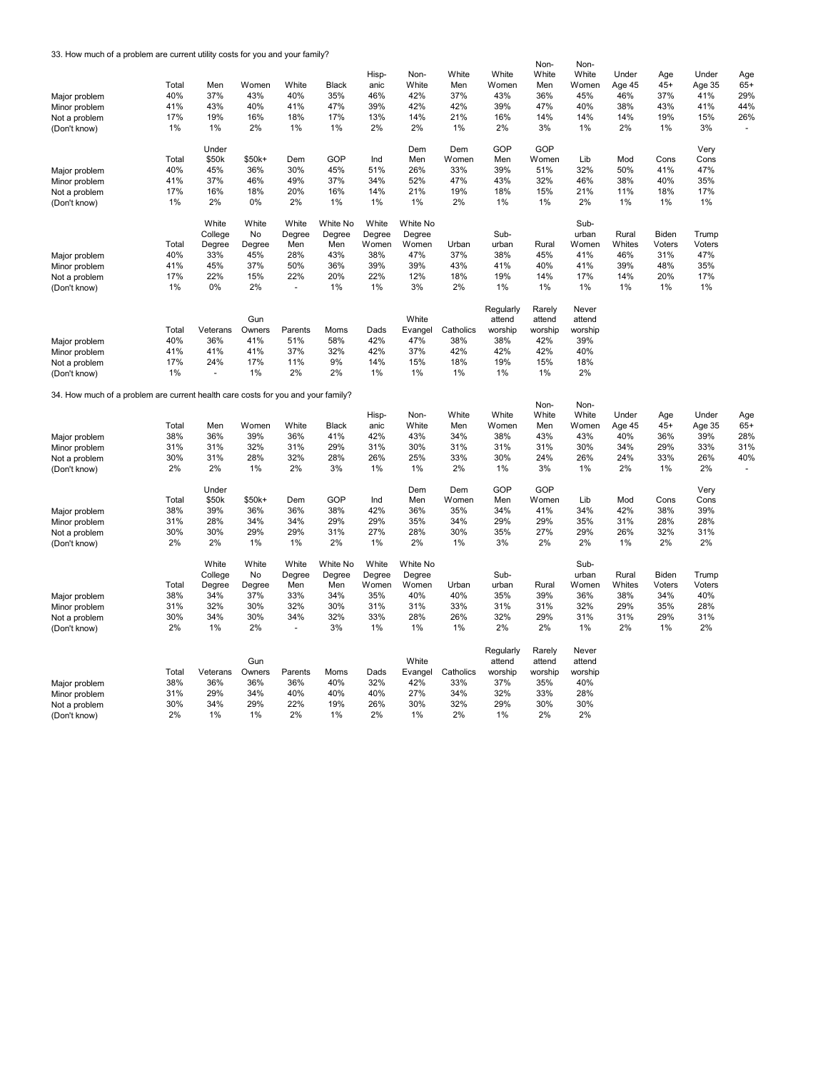33. How much of a problem are current utility costs for you and your family?

|                                                                                  |       |                          |        |                |              |        |          |           |           | Non-    | Non-    |        |        |        |                |
|----------------------------------------------------------------------------------|-------|--------------------------|--------|----------------|--------------|--------|----------|-----------|-----------|---------|---------|--------|--------|--------|----------------|
|                                                                                  |       |                          |        |                |              | Hisp-  | Non-     | White     | White     | White   | White   | Under  | Age    | Under  | Age            |
|                                                                                  | Total | Men                      | Women  | White          | <b>Black</b> | anic   | White    | Men       | Women     | Men     | Women   | Age 45 | $45+$  | Age 35 | $65+$          |
|                                                                                  | 40%   | 37%                      | 43%    | 40%            | 35%          | 46%    | 42%      | 37%       | 43%       | 36%     | 45%     | 46%    | 37%    | 41%    | 29%            |
| Major problem                                                                    |       |                          |        |                |              |        |          |           |           |         |         |        |        |        |                |
| Minor problem                                                                    | 41%   | 43%                      | 40%    | 41%            | 47%          | 39%    | 42%      | 42%       | 39%       | 47%     | 40%     | 38%    | 43%    | 41%    | 44%            |
| Not a problem                                                                    | 17%   | 19%                      | 16%    | 18%            | 17%          | 13%    | 14%      | 21%       | 16%       | 14%     | 14%     | 14%    | 19%    | 15%    | 26%            |
| (Don't know)                                                                     | 1%    | $1\%$                    | 2%     | 1%             | 1%           | 2%     | 2%       | 1%        | 2%        | 3%      | 1%      | 2%     | 1%     | 3%     | $\blacksquare$ |
|                                                                                  |       |                          |        |                |              |        |          |           |           |         |         |        |        |        |                |
|                                                                                  |       | Under                    |        |                |              |        | Dem      | Dem       | GOP       | GOP     |         |        |        | Very   |                |
|                                                                                  | Total | \$50k                    | \$50k+ | Dem            | GOP          | Ind    | Men      | Women     | Men       | Women   | Lib     | Mod    | Cons   | Cons   |                |
| Major problem                                                                    | 40%   | 45%                      | 36%    | 30%            | 45%          | 51%    | 26%      | 33%       | 39%       | 51%     | 32%     | 50%    | 41%    | 47%    |                |
|                                                                                  | 41%   | 37%                      | 46%    | 49%            | 37%          | 34%    | 52%      | 47%       | 43%       | 32%     | 46%     | 38%    | 40%    | 35%    |                |
| Minor problem                                                                    |       |                          |        |                |              |        |          |           |           |         |         |        |        |        |                |
| Not a problem                                                                    | 17%   | 16%                      | 18%    | 20%            | 16%          | 14%    | 21%      | 19%       | 18%       | 15%     | 21%     | 11%    | 18%    | 17%    |                |
| (Don't know)                                                                     | 1%    | 2%                       | 0%     | 2%             | 1%           | 1%     | 1%       | 2%        | 1%        | 1%      | 2%      | 1%     | 1%     | 1%     |                |
|                                                                                  |       |                          |        |                |              |        |          |           |           |         |         |        |        |        |                |
|                                                                                  |       | White                    | White  | White          | White No     | White  | White No |           |           |         | Sub-    |        |        |        |                |
|                                                                                  |       | College                  | No     | Degree         | Degree       | Degree | Degree   |           | Sub-      |         | urban   | Rural  | Biden  | Trump  |                |
|                                                                                  | Total | Degree                   | Degree | Men            | Men          | Women  | Women    | Urban     | urban     | Rural   | Women   | Whites | Voters | Voters |                |
| Major problem                                                                    | 40%   | 33%                      | 45%    | 28%            | 43%          | 38%    | 47%      | 37%       | 38%       | 45%     | 41%     | 46%    | 31%    | 47%    |                |
|                                                                                  | 41%   | 45%                      | 37%    | 50%            | 36%          | 39%    | 39%      | 43%       | 41%       | 40%     | 41%     | 39%    | 48%    | 35%    |                |
| Minor problem                                                                    |       |                          |        |                |              |        |          |           |           |         |         |        |        |        |                |
| Not a problem                                                                    | 17%   | 22%                      | 15%    | 22%            | 20%          | 22%    | 12%      | 18%       | 19%       | 14%     | 17%     | 14%    | 20%    | 17%    |                |
| (Don't know)                                                                     | 1%    | $0\%$                    | 2%     | $\sim$         | 1%           | 1%     | 3%       | 2%        | 1%        | 1%      | 1%      | 1%     | 1%     | 1%     |                |
|                                                                                  |       |                          |        |                |              |        |          |           |           |         |         |        |        |        |                |
|                                                                                  |       |                          |        |                |              |        |          |           | Regularly | Rarely  | Never   |        |        |        |                |
|                                                                                  |       |                          | Gun    |                |              |        | White    |           | attend    | attend  | attend  |        |        |        |                |
|                                                                                  | Total | Veterans                 | Owners | Parents        | Moms         | Dads   | Evangel  | Catholics | worship   | worship | worship |        |        |        |                |
| Major problem                                                                    | 40%   | 36%                      | 41%    | 51%            | 58%          | 42%    | 47%      | 38%       | 38%       | 42%     | 39%     |        |        |        |                |
| Minor problem                                                                    | 41%   | 41%                      | 41%    | 37%            | 32%          | 42%    | 37%      | 42%       | 42%       | 42%     | 40%     |        |        |        |                |
|                                                                                  | 17%   | 24%                      | 17%    | 11%            | 9%           | 14%    | 15%      | 18%       | 19%       | 15%     | 18%     |        |        |        |                |
| Not a problem                                                                    |       |                          |        |                |              |        |          |           |           |         |         |        |        |        |                |
| (Don't know)                                                                     | 1%    | $\overline{\phantom{a}}$ | 1%     | 2%             | 2%           | 1%     | 1%       | 1%        | 1%        | 1%      | 2%      |        |        |        |                |
|                                                                                  |       |                          |        |                |              |        |          |           |           |         |         |        |        |        |                |
| 34. How much of a problem are current health care costs for you and your family? |       |                          |        |                |              |        |          |           |           |         |         |        |        |        |                |
|                                                                                  |       |                          |        |                |              |        |          |           |           | Non-    | Non-    |        |        |        |                |
|                                                                                  |       |                          |        |                |              | Hisp-  | Non-     | White     | White     | White   | White   | Under  | Age    | Under  | Age            |
|                                                                                  | Total | Men                      | Women  | White          | <b>Black</b> | anic   | White    | Men       | Women     | Men     | Women   | Age 45 | $45+$  | Age 35 | $65+$          |
| Major problem                                                                    | 38%   | 36%                      | 39%    | 36%            | 41%          | 42%    | 43%      | 34%       | 38%       | 43%     | 43%     | 40%    | 36%    | 39%    | 28%            |
| Minor problem                                                                    | 31%   | 31%                      | 32%    | 31%            | 29%          | 31%    | 30%      | 31%       | 31%       | 31%     | 30%     | 34%    | 29%    | 33%    | 31%            |
| Not a problem                                                                    | 30%   | 31%                      | 28%    | 32%            | 28%          | 26%    | 25%      | 33%       | 30%       | 24%     | 26%     | 24%    | 33%    | 26%    | 40%            |
| (Don't know)                                                                     | 2%    | 2%                       | 1%     | 2%             | 3%           | 1%     | 1%       | 2%        | 1%        | 3%      | 1%      | 2%     | 1%     | 2%     |                |
|                                                                                  |       |                          |        |                |              |        |          |           |           |         |         |        |        |        |                |
|                                                                                  |       | Under                    |        |                |              |        | Dem      | Dem       | GOP       | GOP     |         |        |        | Very   |                |
|                                                                                  | Total | \$50k                    | \$50k+ | Dem            | GOP          | Ind    | Men      | Women     | Men       | Women   | Lib     | Mod    | Cons   | Cons   |                |
|                                                                                  |       | 39%                      | 36%    | 36%            | 38%          | 42%    |          |           |           |         |         | 42%    |        | 39%    |                |
| Major problem                                                                    | 38%   |                          |        |                |              |        | 36%      | 35%       | 34%       | 41%     | 34%     |        | 38%    |        |                |
| Minor problem                                                                    | 31%   | 28%                      | 34%    | 34%            | 29%          | 29%    | 35%      | 34%       | 29%       | 29%     | 35%     | 31%    | 28%    | 28%    |                |
| Not a problem                                                                    | 30%   | 30%                      | 29%    | 29%            | 31%          | 27%    | 28%      | 30%       | 35%       | 27%     | 29%     | 26%    | 32%    | 31%    |                |
| (Don't know)                                                                     | 2%    | 2%                       | 1%     | 1%             | 2%           | 1%     | 2%       | 1%        | 3%        | 2%      | 2%      | 1%     | 2%     | 2%     |                |
|                                                                                  |       |                          |        |                |              |        |          |           |           |         |         |        |        |        |                |
|                                                                                  |       | White                    | White  | White          | White No     | White  | White No |           |           |         | Sub-    |        |        |        |                |
|                                                                                  |       | College                  | No     | Degree         | Degree       | Degree | Degree   |           | Sub-      |         | urban   | Rural  | Biden  | Trump  |                |
|                                                                                  | Total | Degree                   | Degree | Men            | Men          | Women  | Women    | Urban     | urban     | Rural   | Women   | Whites | Voters | Voters |                |
| Major problem                                                                    | 38%   | 34%                      | 37%    | 33%            | 34%          | 35%    | 40%      | 40%       | 35%       | 39%     | 36%     | 38%    | 34%    | 40%    |                |
|                                                                                  | 31%   | 32%                      | 30%    | 32%            | 30%          | 31%    | 31%      | 33%       | 31%       | 31%     | 32%     | 29%    | 35%    | 28%    |                |
| Minor problem                                                                    |       |                          |        |                |              |        |          |           |           |         |         |        |        |        |                |
| Not a problem                                                                    | 30%   | 34%                      | 30%    | 34%            | 32%          | 33%    | 28%      | 26%       | 32%       | 29%     | 31%     | 31%    | 29%    | 31%    |                |
| (Don't know)                                                                     | 2%    | 1%                       | 2%     | $\blacksquare$ | 3%           | 1%     | 1%       | 1%        | 2%        | 2%      | 1%      | 2%     | 1%     | 2%     |                |
|                                                                                  |       |                          |        |                |              |        |          |           |           |         |         |        |        |        |                |
|                                                                                  |       |                          |        |                |              |        |          |           | Regularly | Rarely  | Never   |        |        |        |                |
|                                                                                  |       |                          | Gun    |                |              |        | White    |           | attend    | attend  | attend  |        |        |        |                |
|                                                                                  | Total | Veterans                 | Owners | Parents        | Moms         | Dads   | Evangel  | Catholics | worship   | worship | worship |        |        |        |                |
| Major problem                                                                    | 38%   | 36%                      | 36%    | 36%            | 40%          | 32%    | 42%      | 33%       | 37%       | 35%     | 40%     |        |        |        |                |
| Minor problem                                                                    | 31%   | 29%                      | 34%    | 40%            | 40%          | 40%    | 27%      | 34%       | 32%       | 33%     | 28%     |        |        |        |                |
|                                                                                  | 30%   | 34%                      | 29%    | 22%            | 19%          | 26%    | 30%      | 32%       | 29%       | 30%     | 30%     |        |        |        |                |
| Not a problem                                                                    |       |                          |        |                |              |        |          |           |           |         |         |        |        |        |                |
| (Don't know)                                                                     | 2%    | 1%                       | 1%     | 2%             | 1%           | 2%     | 1%       | 2%        | 1%        | 2%      | 2%      |        |        |        |                |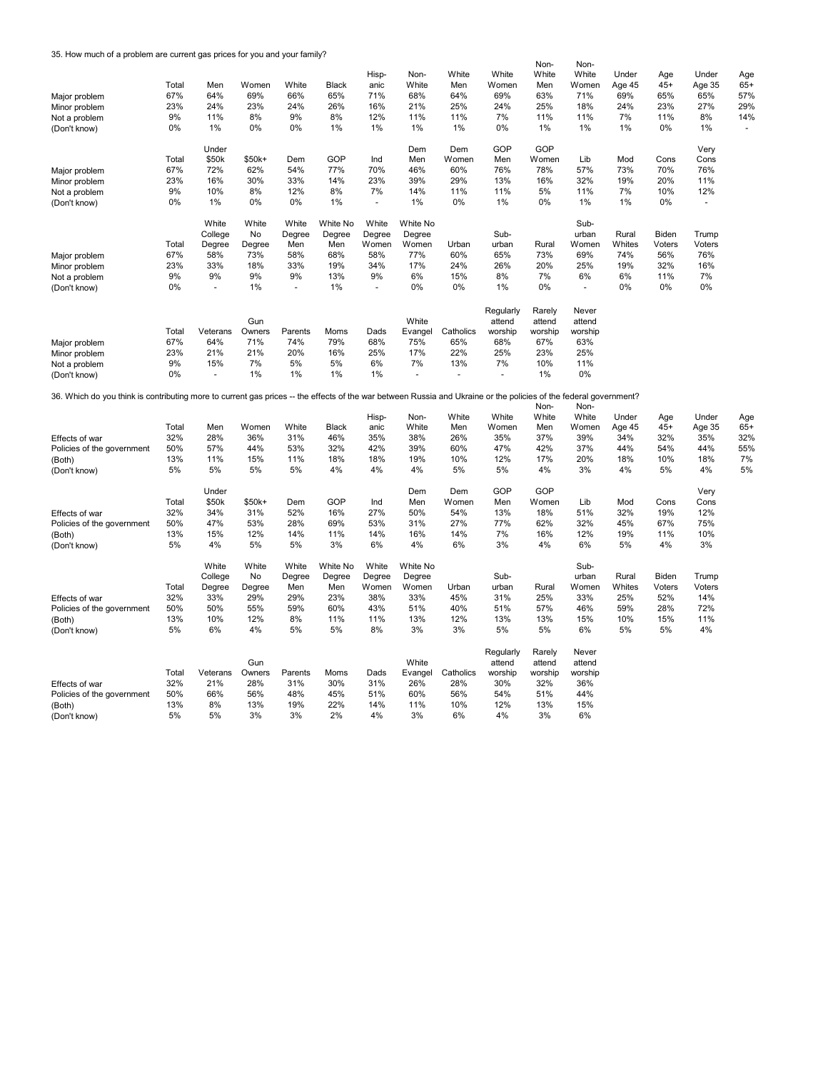35. How much of a problem are current gas prices for you and your family?

|                                                                                                                                                                   |       |          |        |         |              |        |                |                      |           | Non-    | Non-    |        |        |        |       |
|-------------------------------------------------------------------------------------------------------------------------------------------------------------------|-------|----------|--------|---------|--------------|--------|----------------|----------------------|-----------|---------|---------|--------|--------|--------|-------|
|                                                                                                                                                                   |       |          |        |         |              | Hisp-  | Non-           | White                | White     | White   | White   | Under  | Age    | Under  | Age   |
|                                                                                                                                                                   | Total | Men      | Women  | White   | <b>Black</b> | anic   | White          | Men                  | Women     | Men     | Women   | Age 45 | $45+$  | Age 35 | $65+$ |
| Major problem                                                                                                                                                     | 67%   | 64%      | 69%    | 66%     | 65%          | 71%    | 68%            | 64%                  | 69%       | 63%     | 71%     | 69%    | 65%    | 65%    | 57%   |
| Minor problem                                                                                                                                                     | 23%   | 24%      | 23%    | 24%     | 26%          | 16%    | 21%            | 25%                  | 24%       | 25%     | 18%     | 24%    | 23%    | 27%    | 29%   |
| Not a problem                                                                                                                                                     | 9%    | 11%      | 8%     | 9%      | 8%           | 12%    | 11%            | 11%                  | 7%        | 11%     | 11%     | 7%     | 11%    | 8%     | 14%   |
| (Don't know)                                                                                                                                                      | 0%    | 1%       | 0%     | 0%      | 1%           | 1%     | 1%             | 1%                   | 0%        | 1%      | 1%      | 1%     | 0%     | 1%     | ä,    |
|                                                                                                                                                                   |       |          |        |         |              |        |                |                      |           |         |         |        |        |        |       |
|                                                                                                                                                                   |       | Under    |        |         |              |        | Dem            | Dem                  | GOP       | GOP     |         |        |        | Very   |       |
|                                                                                                                                                                   | Total | \$50k    | \$50k+ | Dem     | GOP          | Ind    | Men            | Women                | Men       | Women   | Lib     | Mod    | Cons   | Cons   |       |
|                                                                                                                                                                   |       |          | 62%    | 54%     |              | 70%    |                | 60%                  |           | 78%     |         | 73%    | 70%    | 76%    |       |
| Major problem                                                                                                                                                     | 67%   | 72%      |        |         | 77%          |        | 46%            |                      | 76%       |         | 57%     |        |        |        |       |
| Minor problem                                                                                                                                                     | 23%   | 16%      | 30%    | 33%     | 14%          | 23%    | 39%            | 29%                  | 13%       | 16%     | 32%     | 19%    | 20%    | 11%    |       |
| Not a problem                                                                                                                                                     | 9%    | 10%      | 8%     | 12%     | 8%           | 7%     | 14%            | 11%                  | 11%       | 5%      | 11%     | 7%     | 10%    | 12%    |       |
| (Don't know)                                                                                                                                                      | 0%    | 1%       | $0\%$  | $0\%$   | 1%           | $\sim$ | 1%             | 0%                   | 1%        | $0\%$   | 1%      | 1%     | 0%     | $\sim$ |       |
|                                                                                                                                                                   |       |          |        |         |              |        |                |                      |           |         |         |        |        |        |       |
|                                                                                                                                                                   |       | White    | White  | White   | White No     | White  | White No       |                      |           |         | Sub-    |        |        |        |       |
|                                                                                                                                                                   |       | College  | No     | Degree  | Degree       | Degree | Degree         |                      | Sub-      |         | urban   | Rural  | Biden  | Trump  |       |
|                                                                                                                                                                   | Total | Degree   | Degree | Men     | Men          | Women  | Women          | Urban                | urban     | Rural   | Women   | Whites | Voters | Voters |       |
| Major problem                                                                                                                                                     | 67%   | 58%      | 73%    | 58%     | 68%          | 58%    | 77%            | 60%                  | 65%       | 73%     | 69%     | 74%    | 56%    | 76%    |       |
| Minor problem                                                                                                                                                     | 23%   | 33%      | 18%    | 33%     | 19%          | 34%    | 17%            | 24%                  | 26%       | 20%     | 25%     | 19%    | 32%    | 16%    |       |
| Not a problem                                                                                                                                                     | 9%    | 9%       | 9%     | 9%      | 13%          | 9%     | 6%             | 15%                  | 8%        | 7%      | 6%      | 6%     | 11%    | 7%     |       |
| (Don't know)                                                                                                                                                      | 0%    | ÷.       | 1%     | $\sim$  | 1%           | $\sim$ | 0%             | 0%                   | 1%        | 0%      | $\sim$  | 0%     | 0%     | 0%     |       |
|                                                                                                                                                                   |       |          |        |         |              |        |                |                      |           |         |         |        |        |        |       |
|                                                                                                                                                                   |       |          |        |         |              |        |                |                      |           |         |         |        |        |        |       |
|                                                                                                                                                                   |       |          |        |         |              |        |                |                      | Regularly | Rarely  | Never   |        |        |        |       |
|                                                                                                                                                                   |       |          | Gun    |         |              |        | White          |                      | attend    | attend  | attend  |        |        |        |       |
|                                                                                                                                                                   | Total | Veterans | Owners | Parents | Moms         | Dads   | Evangel        | Catholics            | worship   | worship | worship |        |        |        |       |
| Major problem                                                                                                                                                     | 67%   | 64%      | 71%    | 74%     | 79%          | 68%    | 75%            | 65%                  | 68%       | 67%     | 63%     |        |        |        |       |
| Minor problem                                                                                                                                                     | 23%   | 21%      | 21%    | 20%     | 16%          | 25%    | 17%            | 22%                  | 25%       | 23%     | 25%     |        |        |        |       |
| Not a problem                                                                                                                                                     | 9%    | 15%      | 7%     | 5%      | 5%           | 6%     | 7%             | 13%                  | 7%        | 10%     | 11%     |        |        |        |       |
| (Don't know)                                                                                                                                                      | 0%    | $\sim$   | 1%     | 1%      | 1%           | 1%     | $\overline{a}$ | $\ddot{\phantom{1}}$ |           | 1%      | 0%      |        |        |        |       |
|                                                                                                                                                                   |       |          |        |         |              |        |                |                      |           |         |         |        |        |        |       |
| 36. Which do you think is contributing more to current gas prices -- the effects of the war between Russia and Ukraine or the policies of the federal government? |       |          |        |         |              |        |                |                      |           |         |         |        |        |        |       |
|                                                                                                                                                                   |       |          |        |         |              |        |                |                      |           | Non-    | Non-    |        |        |        |       |
|                                                                                                                                                                   |       |          |        |         |              | Hisp-  | Non-           | White                | White     | White   | White   | Under  | Age    | Under  | Age   |
|                                                                                                                                                                   | Total | Men      | Women  | White   | Black        | anic   | White          | Men                  | Women     | Men     | Women   | Age 45 | $45+$  | Age 35 | $65+$ |
| Effects of war                                                                                                                                                    | 32%   | 28%      | 36%    | 31%     | 46%          | 35%    | 38%            | 26%                  | 35%       | 37%     | 39%     | 34%    | 32%    | 35%    | 32%   |
| Policies of the government                                                                                                                                        | 50%   | 57%      | 44%    | 53%     | 32%          | 42%    | 39%            | 60%                  | 47%       | 42%     | 37%     | 44%    | 54%    | 44%    | 55%   |
| (Both)                                                                                                                                                            | 13%   | 11%      | 15%    | 11%     | 18%          | 18%    | 19%            | 10%                  | 12%       | 17%     | 20%     | 18%    | 10%    | 18%    | 7%    |
| (Don't know)                                                                                                                                                      | 5%    | 5%       | 5%     | 5%      | 4%           | 4%     | 4%             | 5%                   | 5%        | 4%      | 3%      | 4%     | 5%     | 4%     | 5%    |
|                                                                                                                                                                   |       |          |        |         |              |        |                |                      |           |         |         |        |        |        |       |
|                                                                                                                                                                   |       | Under    |        |         |              |        | Dem            | Dem                  | GOP       | GOP     |         |        |        | Very   |       |
|                                                                                                                                                                   | Total | \$50k    | \$50k+ | Dem     | GOP          | Ind    | Men            | Women                | Men       | Women   | Lib     | Mod    | Cons   | Cons   |       |
| Effects of war                                                                                                                                                    | 32%   | 34%      | 31%    | 52%     | 16%          | 27%    | 50%            | 54%                  | 13%       | 18%     | 51%     | 32%    | 19%    | 12%    |       |
| Policies of the government                                                                                                                                        | 50%   | 47%      | 53%    | 28%     | 69%          | 53%    | 31%            | 27%                  | 77%       | 62%     | 32%     | 45%    | 67%    | 75%    |       |
|                                                                                                                                                                   | 13%   | 15%      | 12%    | 14%     | 11%          | 14%    | 16%            | 14%                  | 7%        | 16%     | 12%     | 19%    | 11%    | 10%    |       |
| (Both)                                                                                                                                                            |       |          |        |         |              |        |                |                      |           |         |         |        |        |        |       |
| (Don't know)                                                                                                                                                      | 5%    | 4%       | 5%     | 5%      | 3%           | 6%     | 4%             | 6%                   | 3%        | 4%      | 6%      | 5%     | 4%     | 3%     |       |
|                                                                                                                                                                   |       |          |        |         |              |        |                |                      |           |         |         |        |        |        |       |
|                                                                                                                                                                   |       | White    | White  | White   | White No     | White  | White No       |                      |           |         | Sub-    |        |        |        |       |
|                                                                                                                                                                   |       | College  | No     | Degree  | Degree       | Degree | Degree         |                      | Sub-      |         | urban   | Rural  | Biden  | Trump  |       |
|                                                                                                                                                                   | Total | Degree   | Degree | Men     | Men          | Women  | Women          | Urban                | urban     | Rural   | Women   | Whites | Voters | Voters |       |
| Effects of war                                                                                                                                                    | 32%   | 33%      | 29%    | 29%     | 23%          | 38%    | 33%            | 45%                  | 31%       | 25%     | 33%     | 25%    | 52%    | 14%    |       |
| Policies of the government                                                                                                                                        | 50%   | 50%      | 55%    | 59%     | 60%          | 43%    | 51%            | 40%                  | 51%       | 57%     | 46%     | 59%    | 28%    | 72%    |       |
| (Both)                                                                                                                                                            | 13%   | 10%      | 12%    | 8%      | 11%          | 11%    | 13%            | 12%                  | 13%       | 13%     | 15%     | 10%    | 15%    | 11%    |       |
| (Don't know)                                                                                                                                                      | 5%    | 6%       | 4%     | 5%      | 5%           | 8%     | 3%             | 3%                   | 5%        | 5%      | 6%      | 5%     | 5%     | 4%     |       |
|                                                                                                                                                                   |       |          |        |         |              |        |                |                      |           |         |         |        |        |        |       |
|                                                                                                                                                                   |       |          |        |         |              |        |                |                      |           | Rarely  | Never   |        |        |        |       |
|                                                                                                                                                                   |       |          | Gun    |         |              |        | White          |                      | Regularly | attend  | attend  |        |        |        |       |
|                                                                                                                                                                   |       |          |        |         |              |        |                |                      | attend    |         |         |        |        |        |       |
|                                                                                                                                                                   | Total | Veterans | Owners | Parents | Moms         | Dads   | Evangel        | Catholics            | worship   | worship | worship |        |        |        |       |
| Effects of war                                                                                                                                                    |       | 21%      | 28%    | 31%     | 30%          | 31%    | 26%            | 28%                  | 30%       | 32%     | 36%     |        |        |        |       |
|                                                                                                                                                                   | 32%   |          |        |         |              |        |                |                      |           |         |         |        |        |        |       |
| Policies of the government                                                                                                                                        | 50%   | 66%      | 56%    | 48%     | 45%          | 51%    | 60%            | 56%                  | 54%       | 51%     | 44%     |        |        |        |       |
| (Both)                                                                                                                                                            | 13%   | 8%       | 13%    | 19%     | 22%          | 14%    | 11%            | 10%                  | 12%       | 13%     | 15%     |        |        |        |       |
| (Don't know)                                                                                                                                                      | 5%    | 5%       | 3%     | 3%      | 2%           | 4%     | 3%             | 6%                   | 4%        | 3%      | 6%      |        |        |        |       |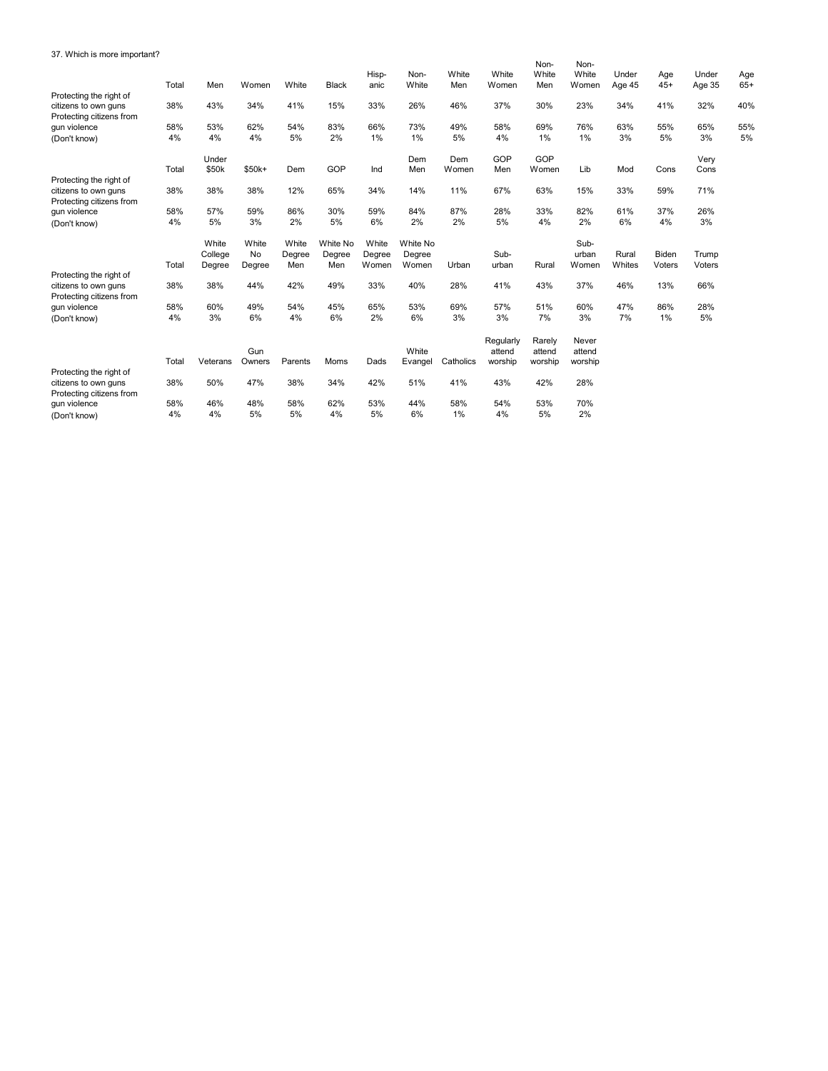## 37. Which is more important?

|                                                                             | Total     | Men                        | Women                 | White                  | <b>Black</b>              | Hisp-<br>anic            | Non-<br>White               | White<br>Men | White<br>Women                 | Non-<br>White<br>Men        | Non-<br>White<br>Women     | Under<br>Age 45 | Age<br>$45+$    | Under<br>Age 35 | Age<br>$65+$ |
|-----------------------------------------------------------------------------|-----------|----------------------------|-----------------------|------------------------|---------------------------|--------------------------|-----------------------------|--------------|--------------------------------|-----------------------------|----------------------------|-----------------|-----------------|-----------------|--------------|
| Protecting the right of<br>citizens to own guns<br>Protecting citizens from | 38%       | 43%                        | 34%                   | 41%                    | 15%                       | 33%                      | 26%                         | 46%          | 37%                            | 30%                         | 23%                        | 34%             | 41%             | 32%             | 40%          |
| gun violence<br>(Don't know)                                                | 58%<br>4% | 53%<br>4%                  | 62%<br>4%             | 54%<br>5%              | 83%<br>2%                 | 66%<br>1%                | 73%<br>1%                   | 49%<br>5%    | 58%<br>4%                      | 69%<br>1%                   | 76%<br>1%                  | 63%<br>3%       | 55%<br>5%       | 65%<br>3%       | 55%<br>5%    |
| Protecting the right of                                                     | Total     | Under<br>\$50k             | \$50k+                | Dem                    | GOP                       | Ind                      | Dem<br>Men                  | Dem<br>Women | GOP<br>Men                     | GOP<br>Women                | Lib                        | Mod             | Cons            | Very<br>Cons    |              |
| citizens to own guns<br>Protecting citizens from                            | 38%       | 38%                        | 38%                   | 12%                    | 65%                       | 34%                      | 14%                         | 11%          | 67%                            | 63%                         | 15%                        | 33%             | 59%             | 71%             |              |
| gun violence<br>(Don't know)                                                | 58%<br>4% | 57%<br>5%                  | 59%<br>3%             | 86%<br>2%              | 30%<br>5%                 | 59%<br>6%                | 84%<br>2%                   | 87%<br>2%    | 28%<br>5%                      | 33%<br>4%                   | 82%<br>2%                  | 61%<br>6%       | 37%<br>4%       | 26%<br>3%       |              |
|                                                                             | Total     | White<br>College<br>Degree | White<br>No<br>Degree | White<br>Degree<br>Men | White No<br>Degree<br>Men | White<br>Degree<br>Women | White No<br>Degree<br>Women | Urban        | Sub-<br>urban                  | Rural                       | Sub-<br>urban<br>Women     | Rural<br>Whites | Biden<br>Voters | Trump<br>Voters |              |
| Protecting the right of<br>citizens to own guns<br>Protecting citizens from | 38%       | 38%                        | 44%                   | 42%                    | 49%                       | 33%                      | 40%                         | 28%          | 41%                            | 43%                         | 37%                        | 46%             | 13%             | 66%             |              |
| qun violence<br>(Don't know)                                                | 58%<br>4% | 60%<br>3%                  | 49%<br>6%             | 54%<br>4%              | 45%<br>6%                 | 65%<br>2%                | 53%<br>6%                   | 69%<br>3%    | 57%<br>3%                      | 51%<br>7%                   | 60%<br>3%                  | 47%<br>7%       | 86%<br>1%       | 28%<br>5%       |              |
|                                                                             | Total     | Veterans                   | Gun<br>Owners         | Parents                | Moms                      | Dads                     | White<br>Evangel            | Catholics    | Regularly<br>attend<br>worship | Rarely<br>attend<br>worship | Never<br>attend<br>worship |                 |                 |                 |              |
| Protecting the right of<br>citizens to own guns<br>Protecting citizens from | 38%       | 50%                        | 47%                   | 38%                    | 34%                       | 42%                      | 51%                         | 41%          | 43%                            | 42%                         | 28%                        |                 |                 |                 |              |
| gun violence<br>(Don't know)                                                | 58%<br>4% | 46%<br>4%                  | 48%<br>5%             | 58%<br>5%              | 62%<br>4%                 | 53%<br>5%                | 44%<br>6%                   | 58%<br>1%    | 54%<br>4%                      | 53%<br>5%                   | 70%<br>2%                  |                 |                 |                 |              |
|                                                                             |           |                            |                       |                        |                           |                          |                             |              |                                |                             |                            |                 |                 |                 |              |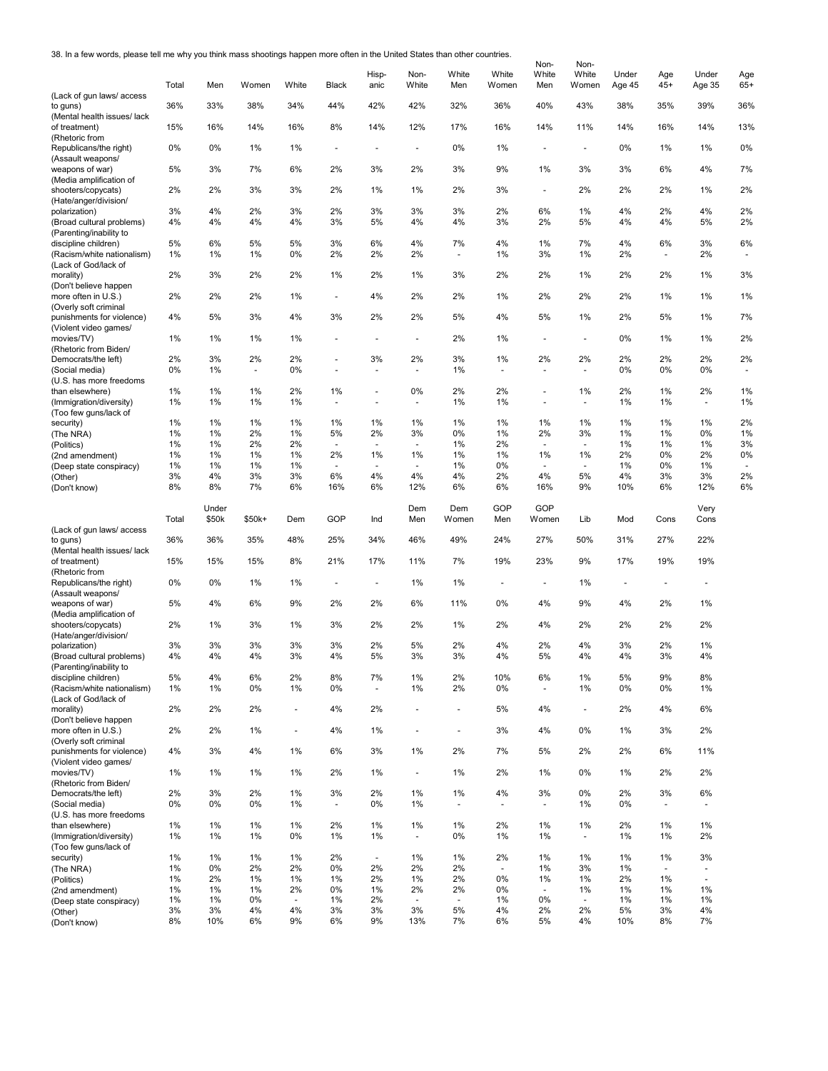38. In a few words, please tell me why you think mass shootings happen more often in the United States than other countries.

| 38. In a few words, piease teil me wny you tnink mass shootings nappen more often in the United States than other countries. |             |                |              |                          |                                    |                          |                            |                          |                            | Non-                           | Non-                     |                          |                                |                                |                      |
|------------------------------------------------------------------------------------------------------------------------------|-------------|----------------|--------------|--------------------------|------------------------------------|--------------------------|----------------------------|--------------------------|----------------------------|--------------------------------|--------------------------|--------------------------|--------------------------------|--------------------------------|----------------------|
|                                                                                                                              | Total       | Men            | Women        | White                    | Black                              | Hisp-<br>anic            | Non-<br>White              | White<br>Men             | White<br>Women             | White<br>Men                   | White<br>Women           | Under<br>Age 45          | Age<br>$45+$                   | Under<br>Age 35                | Age<br>$65+$         |
| (Lack of gun laws/access<br>to guns)                                                                                         | 36%         | 33%            | 38%          | 34%                      | 44%                                | 42%                      | 42%                        | 32%                      | 36%                        | 40%                            | 43%                      | 38%                      | 35%                            | 39%                            | 36%                  |
| (Mental health issues/ lack<br>of treatment)                                                                                 | 15%         | 16%            | 14%          | 16%                      | 8%                                 | 14%                      | 12%                        | 17%                      | 16%                        | 14%                            | 11%                      | 14%                      | 16%                            | 14%                            | 13%                  |
| (Rhetoric from<br>Republicans/the right)<br>(Assault weapons/                                                                | 0%          | 0%             | 1%           | 1%                       | $\overline{\phantom{a}}$           | $\overline{\phantom{a}}$ | $\overline{a}$             | 0%                       | 1%                         | $\overline{\phantom{a}}$       | $\blacksquare$           | 0%                       | 1%                             | 1%                             | 0%                   |
| weapons of war)                                                                                                              | 5%          | 3%             | 7%           | 6%                       | 2%                                 | 3%                       | 2%                         | 3%                       | 9%                         | 1%                             | 3%                       | 3%                       | 6%                             | 4%                             | 7%                   |
| (Media amplification of<br>shooters/copycats)<br>(Hate/anger/division/                                                       | 2%          | 2%             | 3%           | 3%                       | 2%                                 | 1%                       | 1%                         | 2%                       | 3%                         | $\overline{a}$                 | 2%                       | 2%                       | 2%                             | 1%                             | 2%                   |
| polarization)<br>(Broad cultural problems)                                                                                   | 3%<br>4%    | 4%<br>4%       | 2%<br>4%     | 3%<br>4%                 | 2%<br>3%                           | 3%<br>5%                 | 3%<br>4%                   | 3%<br>4%                 | 2%<br>3%                   | 6%<br>2%                       | 1%<br>5%                 | 4%<br>4%                 | 2%<br>4%                       | 4%<br>5%                       | 2%<br>2%             |
| (Parenting/inability to<br>discipline children)<br>(Racism/white nationalism)                                                | 5%<br>1%    | 6%<br>$1\%$    | 5%<br>1%     | 5%<br>0%                 | 3%<br>2%                           | 6%<br>2%                 | 4%<br>2%                   | 7%<br>ä,                 | 4%<br>1%                   | 1%<br>3%                       | 7%<br>1%                 | 4%<br>2%                 | 6%<br>$\overline{\phantom{a}}$ | 3%<br>2%                       | 6%                   |
| (Lack of God/lack of<br>morality)                                                                                            | 2%          | 3%             | 2%           | 2%                       | 1%                                 | 2%                       | 1%                         | 3%                       | 2%                         | 2%                             | 1%                       | 2%                       | 2%                             | 1%                             | 3%                   |
| (Don't believe happen<br>more often in U.S.)                                                                                 | 2%          | 2%             | 2%           | 1%                       | $\sim$                             | 4%                       | 2%                         | 2%                       | 1%                         | 2%                             | 2%                       | 2%                       | 1%                             | 1%                             | 1%                   |
| (Overly soft criminal                                                                                                        |             |                |              |                          |                                    |                          |                            |                          |                            |                                |                          |                          |                                |                                |                      |
| punishments for violence)<br>(Violent video games/                                                                           | 4%<br>1%    | 5%<br>$1\%$    | 3%<br>1%     | 4%<br>1%                 | 3%<br>$\sim$                       | 2%<br>$\sim$             | 2%<br>$\blacksquare$       | 5%<br>2%                 | 4%<br>1%                   | 5%<br>$\sim$                   | 1%                       | 2%<br>0%                 | 5%<br>1%                       | 1%<br>1%                       | 7%<br>2%             |
| movies/TV)<br>(Rhetoric from Biden/                                                                                          |             |                |              |                          |                                    |                          |                            |                          |                            |                                | $\overline{\phantom{a}}$ |                          |                                |                                |                      |
| Democrats/the left)<br>(Social media)                                                                                        | 2%<br>0%    | 3%<br>$1\%$    | 2%<br>$\sim$ | 2%<br>0%                 | $\sim$<br>$\overline{\phantom{a}}$ | 3%<br>$\sim$             | 2%<br>$\ddot{\phantom{1}}$ | 3%<br>1%                 | 1%<br>$\ddot{\phantom{1}}$ | 2%<br>$\overline{\phantom{a}}$ | 2%<br>$\sim$             | 2%<br>0%                 | 2%<br>0%                       | 2%<br>0%                       | 2%<br>$\blacksquare$ |
| (U.S. has more freedoms<br>than elsewhere)                                                                                   | $1\%$       | 1%             | 1%           | 2%                       | 1%                                 | $\sim$                   | 0%                         | 2%                       | 2%                         | $\sim$                         | 1%                       | 2%                       | 1%                             | 2%                             | $1\%$                |
| (Immigration/diversity)<br>(Too few guns/lack of                                                                             | $1\%$       | $1\%$          | 1%           | 1%                       | $\sim$                             | $\overline{\phantom{a}}$ | $\sim$                     | 1%                       | 1%                         | $\overline{\phantom{a}}$       | $\sim$                   | 1%                       | 1%                             | $\sim$                         | 1%                   |
| security)                                                                                                                    | 1%<br>1%    | 1%<br>$1\%$    | 1%<br>2%     | 1%<br>1%                 | 1%<br>5%                           | 1%<br>2%                 | 1%<br>3%                   | 1%<br>0%                 | $1\%$<br>1%                | 1%<br>2%                       | 1%<br>3%                 | 1%<br>1%                 | 1%<br>1%                       | 1%<br>0%                       | 2%<br>1%             |
| (The NRA)<br>(Politics)                                                                                                      | 1%          | $1\%$          | 2%           | 2%                       | $\overline{\phantom{a}}$           | $\sim$                   | $\sim$                     | 1%                       | 2%                         | $\sim$                         | $\sim$                   | 1%                       | 1%                             | 1%                             | 3%                   |
| (2nd amendment)                                                                                                              | 1%          | $1\%$          | 1%           | 1%                       | 2%                                 | 1%                       | 1%                         | 1%                       | 1%                         | 1%                             | 1%                       | 2%                       | 0%                             | 2%                             | 0%                   |
| (Deep state conspiracy)                                                                                                      | 1%          | $1\%$          | 1%           | 1%                       |                                    |                          |                            | 1%                       | 0%                         |                                | $\overline{\phantom{a}}$ | 1%                       | 0%                             | 1%                             |                      |
| (Other)                                                                                                                      | 3%<br>8%    | 4%<br>8%       | 3%<br>7%     | 3%<br>6%                 | 6%<br>16%                          | 4%<br>6%                 | 4%<br>12%                  | 4%<br>6%                 | 2%<br>6%                   | 4%<br>16%                      | 5%<br>9%                 | 4%<br>10%                | 3%<br>6%                       | 3%<br>12%                      | 2%                   |
| (Don't know)                                                                                                                 |             |                |              |                          |                                    |                          |                            |                          |                            |                                |                          |                          |                                |                                | 6%                   |
|                                                                                                                              | Total       | Under<br>\$50k | \$50k+       | Dem                      | GOP                                | Ind                      | Dem<br>Men                 | Dem<br>Women             | GOP<br>Men                 | GOP<br>Women                   | Lib                      | Mod                      | Cons                           | Very<br>Cons                   |                      |
| (Lack of gun laws/access<br>to guns)                                                                                         | 36%         | 36%            | 35%          | 48%                      | 25%                                | 34%                      | 46%                        | 49%                      | 24%                        | 27%                            | 50%                      | 31%                      | 27%                            | 22%                            |                      |
| (Mental health issues/ lack<br>of treatment)<br>(Rhetoric from                                                               | 15%         | 15%            | 15%          | 8%                       | 21%                                | 17%                      | 11%                        | 7%                       | 19%                        | 23%                            | 9%                       | 17%                      | 19%                            | 19%                            |                      |
| Republicans/the right)<br>(Assault weapons/                                                                                  | 0%          | 0%             | 1%           | 1%                       | $\sim$                             | $\overline{\phantom{a}}$ | 1%                         | 1%                       |                            | $\sim$                         | 1%                       | $\overline{\phantom{a}}$ | $\overline{\phantom{a}}$       | $\overline{\phantom{a}}$       |                      |
| weapons of war)<br>(Media amplification of                                                                                   | 5%          | 4%             | 6%           | 9%                       | 2%                                 | 2%                       | 6%                         | 11%                      | 0%                         | 4%                             | 9%                       | 4%                       | 2%                             | 1%                             |                      |
| shooters/copycats)<br>(Hate/anger/division/                                                                                  | 2%          | 1%             | 3%           | 1%                       | 3%                                 | 2%                       | 2%                         | 1%                       | 2%                         | 4%                             | 2%                       | 2%                       | 2%                             | 2%                             |                      |
| polarization)<br>(Broad cultural problems)                                                                                   | 3%<br>4%    | 3%<br>4%       | 3%<br>4%     | 3%<br>3%                 | 3%<br>4%                           | 2%<br>5%                 | 5%<br>3%                   | 2%<br>3%                 | 4%<br>4%                   | 2%<br>5%                       | 4%<br>4%                 | 3%<br>4%                 | 2%<br>3%                       | 1%<br>4%                       |                      |
| (Parenting/inability to                                                                                                      |             |                |              |                          |                                    |                          |                            |                          |                            |                                |                          |                          |                                |                                |                      |
| discipline children)<br>(Racism/white nationalism)<br>(Lack of God/lack of                                                   | 5%<br>$1\%$ | 4%<br>1%       | 6%<br>0%     | 2%<br>1%                 | 8%<br>0%                           | 7%<br>$\sim$             | 1%<br>1%                   | 2%<br>2%                 | 10%<br>0%                  | 6%<br>$\omega$                 | 1%<br>1%                 | 5%<br>0%                 | 9%<br>0%                       | 8%<br>1%                       |                      |
| morality)<br>(Don't believe happen                                                                                           | 2%          | 2%             | 2%           | $\overline{\phantom{a}}$ | 4%                                 | 2%                       | $\ddot{\phantom{1}}$       | $\overline{\phantom{a}}$ | 5%                         | 4%                             | $\overline{\phantom{a}}$ | 2%                       | 4%                             | 6%                             |                      |
| more often in U.S.)<br>(Overly soft criminal                                                                                 | 2%          | 2%             | 1%           | ÷,                       | 4%                                 | 1%                       | ä,                         | $\overline{\phantom{a}}$ | 3%                         | 4%                             | 0%                       | 1%                       | 3%                             | 2%                             |                      |
| punishments for violence)<br>(Violent video games/                                                                           | 4%          | 3%             | 4%           | 1%                       | 6%                                 | 3%                       | $1\%$                      | 2%                       | 7%                         | 5%                             | 2%                       | 2%                       | 6%                             | 11%                            |                      |
| movies/TV)<br>(Rhetoric from Biden/                                                                                          | 1%          | 1%             | 1%           | 1%                       | 2%                                 | 1%                       | ä,                         | 1%                       | 2%                         | 1%                             | 0%                       | 1%                       | 2%                             | 2%                             |                      |
| Democrats/the left)<br>(Social media)<br>(U.S. has more freedoms                                                             | 2%<br>0%    | 3%<br>0%       | 2%<br>0%     | 1%<br>1%                 | 3%<br>$\overline{\phantom{a}}$     | 2%<br>0%                 | $1\%$<br>1%                | 1%<br>$\blacksquare$     | 4%<br>$\ddot{\phantom{1}}$ | 3%<br>$\overline{\phantom{a}}$ | 0%<br>1%                 | 2%<br>0%                 | 3%<br>$\blacksquare$           | 6%<br>$\overline{\phantom{a}}$ |                      |
| than elsewhere)                                                                                                              | $1\%$       | 1%             | 1%           | 1%                       | 2%                                 | 1%                       | 1%                         | 1%                       | 2%                         | 1%                             | 1%                       | 2%                       | 1%                             | 1%                             |                      |
| (Immigration/diversity)<br>(Too few guns/lack of                                                                             | $1\%$       | $1\%$          | 1%           | $0\%$                    | $1\%$                              | 1%                       | $\sim$                     | 0%                       | 1%                         | 1%                             | $\sim$                   | 1%                       | 1%                             | 2%                             |                      |
| security)                                                                                                                    | 1%          | 1%             | 1%           | 1%                       | 2%                                 | $\overline{\phantom{a}}$ | 1%                         | 1%                       | 2%                         | 1%                             | 1%                       | 1%                       | 1%                             | 3%                             |                      |
| (The NRA)                                                                                                                    | $1\%$<br>1% | 0%<br>2%       | 2%<br>1%     | 2%<br>1%                 | 0%<br>$1\%$                        | 2%<br>2%                 | 2%<br>1%                   | 2%<br>2%                 | ä,<br>0%                   | 1%<br>1%                       | 3%<br>1%                 | 1%<br>2%                 | $\blacksquare$<br>1%           | $\overline{\phantom{a}}$<br>÷. |                      |
| (Politics)<br>(2nd amendment)                                                                                                | 1%          | $1\%$          | 1%           | 2%                       | $0\%$                              | 1%                       | 2%                         | 2%                       | 0%                         | $\overline{\phantom{a}}$       | 1%                       | 1%                       | 1%                             | 1%                             |                      |
| (Deep state conspiracy)                                                                                                      | 1%          | $1\%$          | 0%           | $\overline{a}$           | $1\%$                              | 2%                       | $\overline{\phantom{a}}$   | $\blacksquare$           | 1%                         | 0%                             | $\overline{\phantom{a}}$ | 1%                       | 1%                             | 1%                             |                      |
| (Other)                                                                                                                      | 3%          | 3%             | 4%           | 4%                       | 3%                                 | 3%                       | 3%                         | 5%                       | 4%                         | 2%                             | 2%                       | 5%                       | 3%                             | 4%                             |                      |
| (Don't know)                                                                                                                 | 8%          | 10%            | 6%           | 9%                       | 6%                                 | 9%                       | 13%                        | 7%                       | 6%                         | 5%                             | 4%                       | 10%                      | 8%                             | 7%                             |                      |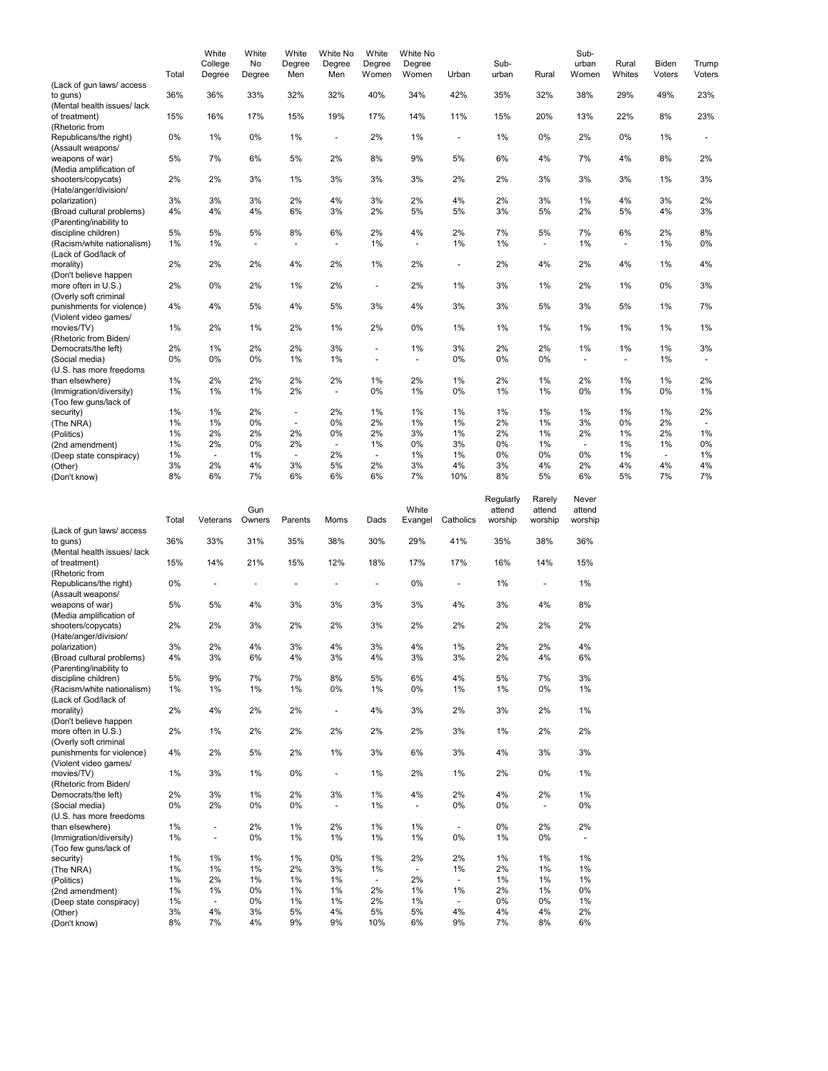|                             | Total | White<br>College<br>Degree | White<br>No<br>Degree | White<br>Degree<br>Men | White No<br>Degree<br>Men | White<br>Degree<br>Women | White No<br>Degree<br>Women | Urban                    | Sub-<br>urban | Rural  | Sub-<br>urban<br>Women | Rural<br>Whites          | Biden<br>Voters | Trump<br>Voters          |
|-----------------------------|-------|----------------------------|-----------------------|------------------------|---------------------------|--------------------------|-----------------------------|--------------------------|---------------|--------|------------------------|--------------------------|-----------------|--------------------------|
| (Lack of gun laws/ access   |       |                            |                       |                        |                           |                          |                             |                          |               |        |                        |                          |                 |                          |
| to guns)                    | 36%   | 36%                        | 33%                   | 32%                    | 32%                       | 40%                      | 34%                         | 42%                      | 35%           | 32%    | 38%                    | 29%                      | 49%             | 23%                      |
| (Mental health issues/ lack |       |                            |                       |                        |                           |                          |                             |                          |               |        |                        |                          |                 |                          |
| of treatment)               | 15%   | 16%                        | 17%                   | 15%                    | 19%                       | 17%                      | 14%                         | 11%                      | 15%           | 20%    | 13%                    | 22%                      | 8%              | 23%                      |
| (Rhetoric from              |       |                            |                       |                        |                           |                          |                             |                          |               |        |                        |                          |                 |                          |
| Republicans/the right)      | 0%    | 1%                         | 0%                    | 1%                     | ٠                         | 2%                       | 1%                          | $\overline{\phantom{a}}$ | 1%            | $0\%$  | 2%                     | 0%                       | 1%              | $\overline{\phantom{a}}$ |
| (Assault weapons/           |       |                            |                       |                        |                           |                          |                             |                          |               |        |                        |                          |                 |                          |
| weapons of war)             | 5%    | 7%                         | 6%                    | 5%                     | 2%                        | 8%                       | 9%                          | 5%                       | 6%            | 4%     | 7%                     | 4%                       | 8%              | 2%                       |
| (Media amplification of     |       |                            |                       |                        |                           |                          |                             |                          |               |        |                        |                          |                 |                          |
| shooters/copycats)          | 2%    | 2%                         | 3%                    | 1%                     | 3%                        | 3%                       | 3%                          | 2%                       | 2%            | 3%     | 3%                     | 3%                       | 1%              | 3%                       |
| (Hate/anger/division/       |       |                            |                       |                        |                           |                          |                             |                          |               |        |                        |                          |                 |                          |
| polarization)               | 3%    | 3%                         | 3%                    | 2%                     | 4%                        | 3%                       | 2%                          | 4%                       | 2%            | 3%     | 1%                     | 4%                       | 3%              | 2%                       |
| (Broad cultural problems)   | 4%    | 4%                         | 4%                    | 6%                     | 3%                        | 2%                       | 5%                          | 5%                       | 3%            | 5%     | 2%                     | 5%                       | 4%              | 3%                       |
| (Parenting/inability to     |       |                            |                       |                        |                           |                          |                             |                          |               |        |                        |                          |                 |                          |
| discipline children)        | 5%    | 5%                         | 5%                    | 8%                     | 6%                        | 2%                       | 4%                          | 2%                       | 7%            | 5%     | 7%                     | 6%                       | 2%              | 8%                       |
| (Racism/white nationalism)  | 1%    | 1%                         | ÷.                    | $\blacksquare$         | $\blacksquare$            | 1%                       | $\blacksquare$              | 1%                       | 1%            | ÷      | 1%                     | $\overline{\phantom{a}}$ | 1%              | 0%                       |
| (Lack of God/lack of        |       |                            |                       |                        |                           |                          |                             |                          |               |        |                        |                          |                 |                          |
| morality)                   | 2%    | 2%                         | 2%                    | 4%                     | 2%                        | $1\%$                    | 2%                          | $\blacksquare$           | 2%            | 4%     | 2%                     | 4%                       | $1\%$           | 4%                       |
| (Don't believe happen       |       |                            |                       |                        |                           |                          |                             |                          |               |        |                        |                          |                 |                          |
| more often in U.S.)         | 2%    | 0%                         | 2%                    | $1\%$                  | 2%                        | ä,                       | 2%                          | 1%                       | 3%            | $1\%$  | 2%                     | 1%                       | 0%              | 3%                       |
| (Overly soft criminal       |       |                            |                       |                        |                           |                          |                             |                          |               |        |                        |                          |                 |                          |
| punishments for violence)   | 4%    | 4%                         | 5%                    | 4%                     | 5%                        | 3%                       | 4%                          | 3%                       | 3%            | 5%     | 3%                     | 5%                       | 1%              | 7%                       |
| (Violent video games/       |       |                            |                       |                        |                           |                          |                             |                          |               |        |                        |                          |                 |                          |
| movies/TV)                  | 1%    | 2%                         | 1%                    | 2%                     | 1%                        | 2%                       | 0%                          | 1%                       | 1%            | $1\%$  | 1%                     | 1%                       | 1%              | 1%                       |
| (Rhetoric from Biden/       |       |                            |                       |                        |                           |                          |                             |                          |               |        |                        |                          |                 |                          |
| Democrats/the left)         | 2%    | 1%                         | 2%                    | 2%                     | 3%                        | ä,                       | 1%                          | 3%                       | 2%            | 2%     | 1%                     | 1%                       | 1%              | 3%                       |
| (Social media)              | 0%    | 0%                         | 0%                    | 1%                     | 1%                        | ä,                       | ä,                          | 0%                       | $0\%$         | 0%     | $\ddot{\phantom{1}}$   | $\blacksquare$           | 1%              | $\mathbf{r}$             |
| (U.S. has more freedoms     |       |                            |                       |                        |                           |                          |                             |                          |               |        |                        |                          |                 |                          |
| than elsewhere)             | 1%    | 2%                         | 2%                    | 2%                     | 2%                        | 1%                       | 2%                          | 1%                       | 2%            | 1%     | 2%                     | 1%                       | 1%              | 2%                       |
| (Immigration/diversity)     | 1%    | 1%                         | 1%                    | 2%                     | $\blacksquare$            | 0%                       | 1%                          | 0%                       | 1%            | $1\%$  | 0%                     | 1%                       | $0\%$           | 1%                       |
| (Too few guns/lack of       |       |                            |                       |                        |                           |                          |                             |                          |               |        |                        |                          |                 |                          |
| security)                   | 1%    | 1%                         | 2%                    | $\blacksquare$         | 2%                        | $1\%$                    | $1\%$                       | 1%                       | $1\%$         | 1%     | 1%                     | 1%                       | 1%              | 2%                       |
| (The NRA)                   | 1%    | 1%                         | 0%                    | $\blacksquare$         | 0%                        | 2%                       | 1%                          | 1%                       | 2%            | 1%     | 3%                     | 0%                       | 2%              | ٠                        |
| (Politics)                  | 1%    | 2%                         | 2%                    | 2%                     | 0%                        | 2%                       | 3%                          | 1%                       | 2%            | 1%     | 2%                     | 1%                       | 2%              | 1%                       |
| (2nd amendment)             | 1%    | 2%                         | 0%                    | 2%                     | $\blacksquare$            | 1%                       | 0%                          | 3%                       | 0%            | 1%     |                        | 1%                       | 1%              | 0%                       |
| (Deep state conspiracy)     | 1%    | $\overline{\phantom{a}}$   | 1%                    | $\blacksquare$         | 2%                        | $\blacksquare$           | 1%                          | 1%                       | $0\%$         | $0\%$  | 0%                     | 1%                       | $\blacksquare$  | 1%                       |
| (Other)                     | 3%    | 2%                         | 4%                    | 3%                     | 5%                        | 2%                       | 3%                          | 4%                       | 3%            | 4%     | 2%                     | 4%                       | 4%              | 4%                       |
| (Don't know)                | 8%    | 6%                         | 7%                    | 6%                     | 6%                        | 6%                       | 7%                          | 10%                      | 8%            | 5%     | 6%                     | 5%                       | 7%              | 7%                       |
|                             |       |                            |                       |                        |                           |                          |                             |                          | Regularly     | Rarely | Never                  |                          |                 |                          |
|                             |       |                            | Gun                   |                        |                           |                          | White                       |                          | attend        | attend | attend                 |                          |                 |                          |

|                             | Total | Veterans                 | ווטט<br>Owners | Parents | Moms                     | Dads | vville<br>Evangel        | Catholics                | auchu<br>worship | allenu<br>worship        | allenu<br>worship |
|-----------------------------|-------|--------------------------|----------------|---------|--------------------------|------|--------------------------|--------------------------|------------------|--------------------------|-------------------|
| (Lack of gun laws/access    |       |                          |                |         |                          |      |                          |                          |                  |                          |                   |
| to guns)                    | 36%   | 33%                      | 31%            | 35%     | 38%                      | 30%  | 29%                      | 41%                      | 35%              | 38%                      | 36%               |
| (Mental health issues/ lack |       |                          |                |         |                          |      |                          |                          |                  |                          |                   |
| of treatment)               | 15%   | 14%                      | 21%            | 15%     | 12%                      | 18%  | 17%                      | 17%                      | 16%              | 14%                      | 15%               |
| (Rhetoric from              |       |                          |                |         |                          |      |                          |                          |                  |                          |                   |
| Republicans/the right)      | 0%    |                          |                | Ē,      |                          |      | 0%                       | ä,                       | 1%               | ÷,                       | 1%                |
| (Assault weapons/           |       |                          |                |         |                          |      |                          |                          |                  |                          |                   |
| weapons of war)             | 5%    | 5%                       | 4%             | 3%      | 3%                       | 3%   | 3%                       | 4%                       | 3%               | 4%                       | 8%                |
| (Media amplification of     |       |                          |                |         |                          |      |                          |                          |                  |                          |                   |
| shooters/copycats)          | 2%    | 2%                       | 3%             | 2%      | 2%                       | 3%   | 2%                       | 2%                       | 2%               | 2%                       | 2%                |
| (Hate/anger/division/       |       |                          |                |         |                          |      |                          |                          |                  |                          |                   |
| polarization)               | 3%    | 2%                       | 4%             | 3%      | 4%                       | 3%   | 4%                       | 1%                       | 2%               | 2%                       | 4%                |
| (Broad cultural problems)   | 4%    | 3%                       | 6%             | 4%      | 3%                       | 4%   | 3%                       | 3%                       | 2%               | 4%                       | 6%                |
| (Parenting/inability to     |       |                          |                |         |                          |      |                          |                          |                  |                          |                   |
| discipline children)        | 5%    | 9%                       | 7%             | 7%      | 8%                       | 5%   | 6%                       | 4%                       | 5%               | 7%                       | 3%                |
| (Racism/white nationalism)  | 1%    | 1%                       | 1%             | 1%      | 0%                       | 1%   | 0%                       | 1%                       | 1%               | 0%                       | 1%                |
| (Lack of God/lack of        |       |                          |                |         |                          |      |                          |                          |                  |                          |                   |
| morality)                   | 2%    | 4%                       | 2%             | 2%      | ÷                        | 4%   | 3%                       | 2%                       | 3%               | 2%                       | 1%                |
| (Don't believe happen       |       |                          |                |         |                          |      |                          |                          |                  |                          |                   |
| more often in U.S.)         | 2%    | 1%                       | 2%             | 2%      | 2%                       | 2%   | 2%                       | 3%                       | 1%               | 2%                       | 2%                |
| (Overly soft criminal       |       |                          |                |         |                          |      |                          |                          |                  |                          |                   |
| punishments for violence)   | 4%    | 2%                       | 5%             | 2%      | 1%                       | 3%   | 6%                       | 3%                       | 4%               | 3%                       | 3%                |
| (Violent video games/       |       |                          |                |         |                          |      |                          |                          |                  |                          |                   |
| movies/TV)                  | 1%    | 3%                       | 1%             | 0%      | $\overline{\phantom{a}}$ | 1%   | 2%                       | 1%                       | 2%               | 0%                       | 1%                |
| (Rhetoric from Biden/       |       |                          |                |         |                          |      |                          |                          |                  |                          |                   |
| Democrats/the left)         | 2%    | 3%                       | 1%             | 2%      | 3%                       | 1%   | 4%                       | 2%                       | 4%               | 2%                       | 1%                |
| (Social media)              | $0\%$ | 2%                       | 0%             | 0%      | $\overline{\phantom{a}}$ | 1%   | $\blacksquare$           | 0%                       | $0\%$            | $\overline{\phantom{a}}$ | 0%                |
| (U.S. has more freedoms     |       |                          |                |         |                          |      |                          |                          |                  |                          |                   |
| than elsewhere)             | 1%    | ÷,                       | 2%             | 1%      | 2%                       | 1%   | 1%                       | $\overline{\phantom{a}}$ | 0%               | 2%                       | 2%                |
| (Immigration/diversity)     | 1%    | $\overline{\phantom{a}}$ | 0%             | 1%      | 1%                       | 1%   | 1%                       | 0%                       | 1%               | 0%                       | ٠                 |
| (Too few guns/lack of       |       |                          |                |         |                          |      |                          |                          |                  |                          |                   |
| security)                   | 1%    | 1%                       | 1%             | 1%      | 0%                       | 1%   | 2%                       | 2%                       | 1%               | 1%                       | 1%                |
| (The NRA)                   | 1%    | 1%                       | 1%             | 2%      | 3%                       | 1%   | $\overline{\phantom{a}}$ | 1%                       | 2%               | 1%                       | 1%                |
| (Politics)                  | 1%    | 2%                       | 1%             | 1%      | 1%                       | ٠    | 2%                       | $\blacksquare$           | 1%               | 1%                       | 1%                |
| (2nd amendment)             | 1%    | 1%                       | 0%             | 1%      | 1%                       | 2%   | 1%                       | 1%                       | 2%               | 1%                       | 0%                |
| (Deep state conspiracy)     | 1%    | $\overline{\phantom{a}}$ | 0%             | 1%      | 1%                       | 2%   | 1%                       | ٠                        | 0%               | 0%                       | 1%                |
| (Other)                     | 3%    | 4%                       | 3%             | 5%      | 4%                       | 5%   | 5%                       | 4%                       | 4%               | 4%                       | 2%                |
| (Don't know)                | 8%    | 7%                       | 4%             | 9%      | 9%                       | 10%  | 6%                       | 9%                       | 7%               | 8%                       | 6%                |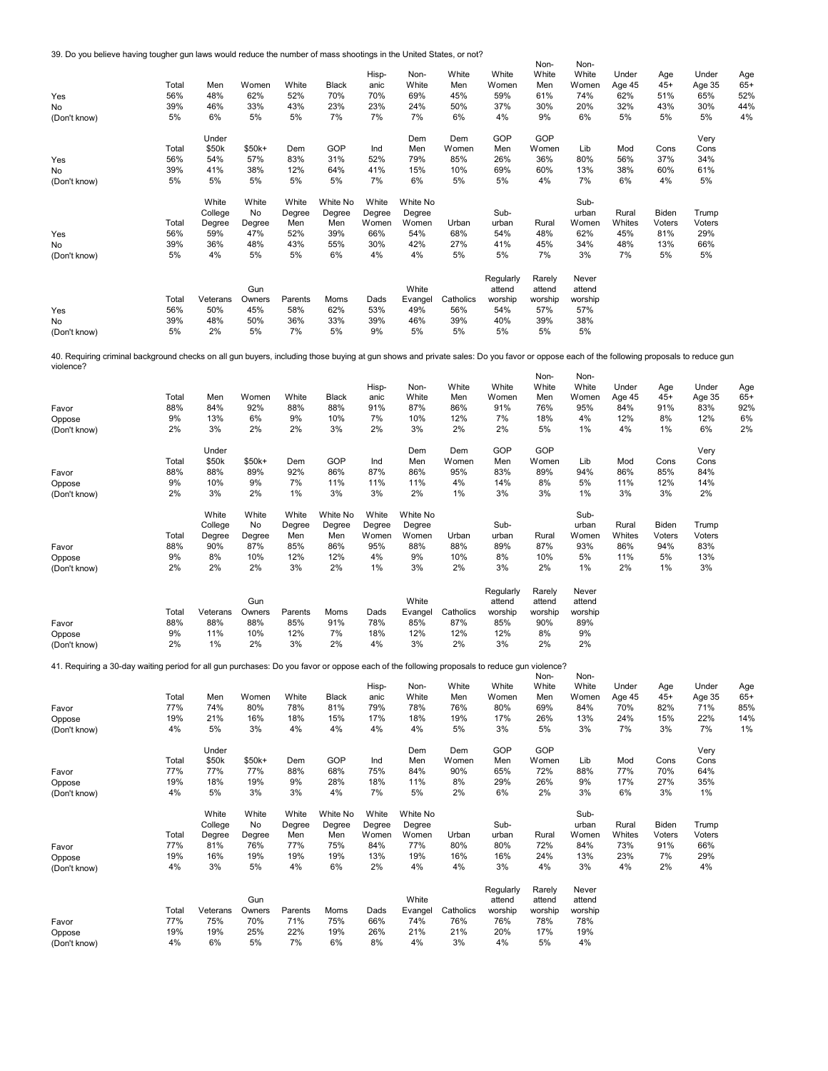39. Do you believe having tougher gun laws would reduce the number of mass shootings in the United States, or not?

|                                                                                                                                                                                         |       |          |        |         |              |        |          |           |           | Non-    | Non-    |        |        |        |       |
|-----------------------------------------------------------------------------------------------------------------------------------------------------------------------------------------|-------|----------|--------|---------|--------------|--------|----------|-----------|-----------|---------|---------|--------|--------|--------|-------|
|                                                                                                                                                                                         |       |          |        |         |              | Hisp-  | Non-     | White     | White     | White   | White   | Under  | Age    | Under  | Age   |
|                                                                                                                                                                                         | Total | Men      | Women  | White   | <b>Black</b> | anic   | White    | Men       | Women     | Men     | Women   | Age 45 | $45+$  | Age 35 | $65+$ |
| Yes                                                                                                                                                                                     | 56%   | 48%      | 62%    | 52%     | 70%          | 70%    | 69%      | 45%       | 59%       | 61%     | 74%     | 62%    | 51%    | 65%    | 52%   |
| <b>No</b>                                                                                                                                                                               | 39%   | 46%      | 33%    | 43%     | 23%          | 23%    | 24%      | 50%       | 37%       | 30%     | 20%     | 32%    | 43%    | 30%    | 44%   |
| (Don't know)                                                                                                                                                                            | 5%    | 6%       | 5%     | 5%      | 7%           | 7%     | 7%       | 6%        | 4%        | 9%      | 6%      | 5%     | 5%     | 5%     | 4%    |
|                                                                                                                                                                                         |       |          |        |         |              |        |          |           |           |         |         |        |        |        |       |
|                                                                                                                                                                                         |       | Under    |        |         |              |        | Dem      | Dem       | GOP       | GOP     |         |        |        | Very   |       |
|                                                                                                                                                                                         | Total | \$50k    | \$50k+ | Dem     | GOP          | Ind    | Men      | Women     | Men       | Women   | Lib     | Mod    | Cons   | Cons   |       |
| Yes                                                                                                                                                                                     | 56%   | 54%      | 57%    | 83%     | 31%          | 52%    | 79%      | 85%       | 26%       | 36%     | 80%     | 56%    | 37%    | 34%    |       |
| No                                                                                                                                                                                      | 39%   | 41%      | 38%    | 12%     | 64%          | 41%    | 15%      | 10%       | 69%       | 60%     | 13%     | 38%    | 60%    | 61%    |       |
| (Don't know)                                                                                                                                                                            | 5%    | 5%       | 5%     | 5%      | 5%           | 7%     | 6%       | 5%        | 5%        | 4%      | 7%      | 6%     | 4%     | 5%     |       |
|                                                                                                                                                                                         |       |          |        |         |              |        |          |           |           |         |         |        |        |        |       |
|                                                                                                                                                                                         |       | White    | White  | White   | White No     | White  | White No |           |           |         | Sub-    |        |        |        |       |
|                                                                                                                                                                                         |       | College  | No     | Degree  | Degree       | Degree | Degree   |           | Sub-      |         | urban   | Rural  | Biden  | Trump  |       |
|                                                                                                                                                                                         | Total | Degree   | Degree | Men     | Men          | Women  | Women    | Urban     | urban     | Rural   | Women   | Whites | Voters | Voters |       |
| Yes                                                                                                                                                                                     | 56%   | 59%      | 47%    | 52%     | 39%          | 66%    | 54%      | 68%       | 54%       | 48%     | 62%     | 45%    | 81%    | 29%    |       |
| No                                                                                                                                                                                      | 39%   | 36%      | 48%    | 43%     | 55%          | 30%    | 42%      | 27%       | 41%       | 45%     | 34%     | 48%    | 13%    | 66%    |       |
| (Don't know)                                                                                                                                                                            | 5%    | 4%       | 5%     | 5%      | 6%           | 4%     | 4%       | 5%        | 5%        | 7%      | 3%      | 7%     | 5%     | 5%     |       |
|                                                                                                                                                                                         |       |          |        |         |              |        |          |           |           |         |         |        |        |        |       |
|                                                                                                                                                                                         |       |          |        |         |              |        |          |           | Regularly | Rarely  | Never   |        |        |        |       |
|                                                                                                                                                                                         |       |          | Gun    |         |              |        | White    |           | attend    | attend  | attend  |        |        |        |       |
|                                                                                                                                                                                         | Total | Veterans | Owners | Parents | Moms         | Dads   | Evangel  | Catholics | worship   | worship | worship |        |        |        |       |
| Yes                                                                                                                                                                                     | 56%   | 50%      | 45%    | 58%     | 62%          | 53%    | 49%      | 56%       | 54%       | 57%     | 57%     |        |        |        |       |
| No                                                                                                                                                                                      | 39%   | 48%      | 50%    | 36%     | 33%          | 39%    | 46%      | 39%       | 40%       | 39%     | 38%     |        |        |        |       |
| (Don't know)                                                                                                                                                                            | 5%    | 2%       | 5%     | 7%      | 5%           | 9%     | 5%       | 5%        | 5%        | 5%      | 5%      |        |        |        |       |
|                                                                                                                                                                                         |       |          |        |         |              |        |          |           |           |         |         |        |        |        |       |
| 40. Requiring criminal background checks on all gun buyers, including those buying at gun shows and private sales: Do you favor or oppose each of the following proposals to reduce gun |       |          |        |         |              |        |          |           |           |         |         |        |        |        |       |
| violence?                                                                                                                                                                               |       |          |        |         |              |        |          |           |           |         |         |        |        |        |       |
|                                                                                                                                                                                         |       |          |        |         |              |        |          |           |           | Non-    | Non-    |        |        |        |       |
|                                                                                                                                                                                         |       |          |        |         |              | Hisp-  | Non-     | White     | White     | White   | White   | Under  | Age    | Under  | Age   |
|                                                                                                                                                                                         | Total | Men      | Women  | White   | <b>Black</b> | anic   | White    | Men       | Women     | Men     | Women   | Age 45 | $45+$  | Age 35 | $65+$ |
| Favor                                                                                                                                                                                   | 88%   | 84%      | 92%    | 88%     | 88%          | 91%    | 87%      | 86%       | 91%       | 76%     | 95%     | 84%    | 91%    | 83%    | 92%   |
| Oppose                                                                                                                                                                                  | 9%    | 13%      | 6%     | 9%      | 10%          | 7%     | 10%      | 12%       | 7%        | 18%     | 4%      | 12%    | 8%     | 12%    | 6%    |
| (Don't know)                                                                                                                                                                            | 2%    | 3%       | 2%     | 2%      | 3%           | 2%     | 3%       | 2%        | 2%        | 5%      | 1%      | 4%     | 1%     | 6%     | 2%    |
|                                                                                                                                                                                         |       |          |        |         |              |        |          |           |           |         |         |        |        |        |       |
|                                                                                                                                                                                         |       | Under    |        |         |              |        | Dem      | Dem       | GOP       | GOP     |         |        |        | Very   |       |
|                                                                                                                                                                                         | Total | \$50k    | \$50k+ | Dem     | GOP          | Ind    | Men      | Women     | Men       | Women   | Lib     | Mod    | Cons   | Cons   |       |
| Favor                                                                                                                                                                                   | 88%   | 88%      | 89%    | 92%     | 86%          | 87%    | 86%      | 95%       | 83%       | 89%     | 94%     | 86%    | 85%    | 84%    |       |
| Oppose                                                                                                                                                                                  | 9%    | 10%      | 9%     | 7%      | 11%          | 11%    | 11%      | 4%        | 14%       | 8%      | 5%      | 11%    | 12%    | 14%    |       |
| (Don't know)                                                                                                                                                                            | 2%    | 3%       | 2%     | 1%      | 3%           | 3%     | 2%       | 1%        | 3%        | 3%      | 1%      | 3%     | 3%     | 2%     |       |
|                                                                                                                                                                                         |       |          |        |         |              |        |          |           |           |         |         |        |        |        |       |

|              | Total | White<br>College<br>Dearee | White<br>No<br>Degree | White<br>Dearee<br>Men | White No<br>Dearee<br>Men | White<br>Dearee<br>Women | White No<br>Dearee<br>Women | Urban | Sub-<br>urban | Rural | Sub-<br>urban<br>Women | Rural<br>Whites | Biden<br>Voters | Trump<br>Voters |
|--------------|-------|----------------------------|-----------------------|------------------------|---------------------------|--------------------------|-----------------------------|-------|---------------|-------|------------------------|-----------------|-----------------|-----------------|
| Favor        | 88%   | 90%                        | 87%                   | 85%                    | 86%                       | 95%                      | 88%                         | 88%   | 89%           | 87%   | 93%                    | 86%             | 94%             | 83%             |
| Oppose       | 9%    | 8%                         | 10%                   | 12%                    | 12%                       | 4%                       | 9%                          | 10%   | 8%            | 10%   | 5%                     | 11%             | 5%              | 13%             |
| (Don't know) | 2%    | 2%                         | 2%                    | 3%                     | 2%                        | 1%                       | 3%                          | 2%    | 3%            | 2%    | $1\%$                  | 2%              | 1%              | 3%              |

|              |       |          |        |         |      |      |         |           | Regularly | Rarely  | Never   |
|--------------|-------|----------|--------|---------|------|------|---------|-----------|-----------|---------|---------|
|              |       |          | Gun    |         |      |      | White   |           | attend    | attend  | attend  |
|              | Total | Veterans | Owners | Parents | Moms | Dads | Evangel | Catholics | worship   | worship | worship |
| Favor        | 88%   | 88%      | 88%    | 85%     | 91%  | 78%  | 85%     | 87%       | 85%       | 90%     | 89%     |
| Oppose       | 9%    | 11%      | 10%    | 12%     | 7%   | 18%  | 12%     | 12%       | 12%       | 8%      | 9%      |
| (Don't know) | 2%    | $1\%$    | 2%     | 3%      | 2%   | 4%   | 3%      | 2%        | 3%        | 2%      | 2%      |

41. Requiring a 30-day waiting period for all gun purchases: Do you favor or oppose each of the following proposals to reduce gun violence?

| Favor<br>Oppose | Total<br>77%<br>19%<br>4% | Men<br>74%<br>21%<br>5% | Women<br>80%<br>16%<br>3% | White<br>78%<br>18%<br>4% | Black<br>81%<br>15%<br>4% | Hisp-<br>anic<br>79%<br>17%<br>4% | Non-<br>White<br>78%<br>18%<br>4% | White<br>Men<br>76%<br>19%<br>5% | White<br>Women<br>80%<br>17%<br>3% | Non-<br>White<br>Men<br>69%<br>26%<br>5% | Non-<br>White<br>Women<br>84%<br>13%<br>3% | Under<br>Age 45<br>70%<br>24%<br>7% | Age<br>$45+$<br>82%<br>15%<br>3% | Under<br>Age 35<br>71%<br>22%<br>7% | Age<br>$65+$<br>85%<br>14%<br>1% |
|-----------------|---------------------------|-------------------------|---------------------------|---------------------------|---------------------------|-----------------------------------|-----------------------------------|----------------------------------|------------------------------------|------------------------------------------|--------------------------------------------|-------------------------------------|----------------------------------|-------------------------------------|----------------------------------|
| (Don't know)    |                           |                         |                           |                           |                           |                                   |                                   |                                  |                                    |                                          |                                            |                                     |                                  |                                     |                                  |
|                 |                           | Under                   |                           |                           |                           |                                   | Dem                               | Dem                              | GOP                                | GOP                                      |                                            |                                     |                                  | Very                                |                                  |
|                 | Total                     | \$50k                   | \$50k+                    | Dem                       | GOP                       | Ind                               | Men                               | Women                            | Men                                | Women                                    | Lib                                        | Mod                                 | Cons                             | Cons                                |                                  |
| Favor           | 77%                       | 77%                     | 77%                       | 88%                       | 68%                       | 75%                               | 84%                               | 90%                              | 65%                                | 72%                                      | 88%                                        | 77%                                 | 70%                              | 64%                                 |                                  |
| Oppose          | 19%                       | 18%                     | 19%                       | 9%                        | 28%                       | 18%                               | 11%                               | 8%                               | 29%                                | 26%                                      | 9%                                         | 17%                                 | 27%                              | 35%                                 |                                  |
| (Don't know)    | 4%                        | 5%                      | 3%                        | 3%                        | 4%                        | 7%                                | 5%                                | 2%                               | 6%                                 | 2%                                       | 3%                                         | 6%                                  | 3%                               | 1%                                  |                                  |
|                 |                           | White                   | White                     | White                     | White No                  | White                             | White No                          |                                  |                                    |                                          | Sub-                                       |                                     |                                  |                                     |                                  |
|                 |                           | College                 | No                        | Degree                    | Degree                    | Degree                            | Degree                            |                                  | Sub-                               |                                          | urban                                      | Rural                               | Biden                            | Trump                               |                                  |
|                 | Total                     | Degree                  | Degree                    | Men                       | Men                       | Women                             | Women                             | Urban                            | urban                              | Rural                                    | Women                                      | Whites                              | Voters                           | Voters                              |                                  |
| Favor           | 77%                       | 81%                     | 76%                       | 77%                       | 75%                       | 84%                               | 77%                               | 80%                              | 80%                                | 72%                                      | 84%                                        | 73%                                 | 91%                              | 66%                                 |                                  |
| Oppose          | 19%                       | 16%                     | 19%                       | 19%                       | 19%                       | 13%                               | 19%                               | 16%                              | 16%                                | 24%                                      | 13%                                        | 23%                                 | 7%                               | 29%                                 |                                  |
| (Don't know)    | 4%                        | 3%                      | 5%                        | 4%                        | 6%                        | 2%                                | 4%                                | 4%                               | 3%                                 | 4%                                       | 3%                                         | 4%                                  | 2%                               | 4%                                  |                                  |
|                 |                           |                         | Gun                       |                           |                           |                                   | White                             |                                  | Regularly<br>attend                | Rarely<br>attend                         | Never<br>attend                            |                                     |                                  |                                     |                                  |
|                 | Total                     | Veterans                | Owners                    | Parents                   | Moms                      | Dads                              | Evangel                           | Catholics                        | worship                            | worship                                  | worship                                    |                                     |                                  |                                     |                                  |
| Favor           | 77%                       | 75%                     | 70%                       | 71%                       | 75%                       | 66%                               | 74%                               | 76%                              | 76%                                | 78%                                      | 78%                                        |                                     |                                  |                                     |                                  |
| Oppose          | 19%                       | 19%                     | 25%                       | 22%                       | 19%                       | 26%                               | 21%                               | 21%                              | 20%                                | 17%                                      | 19%                                        |                                     |                                  |                                     |                                  |
| (Don't know)    | 4%                        | 6%                      | 5%                        | 7%                        | 6%                        | 8%                                | 4%                                | 3%                               | 4%                                 | 5%                                       | 4%                                         |                                     |                                  |                                     |                                  |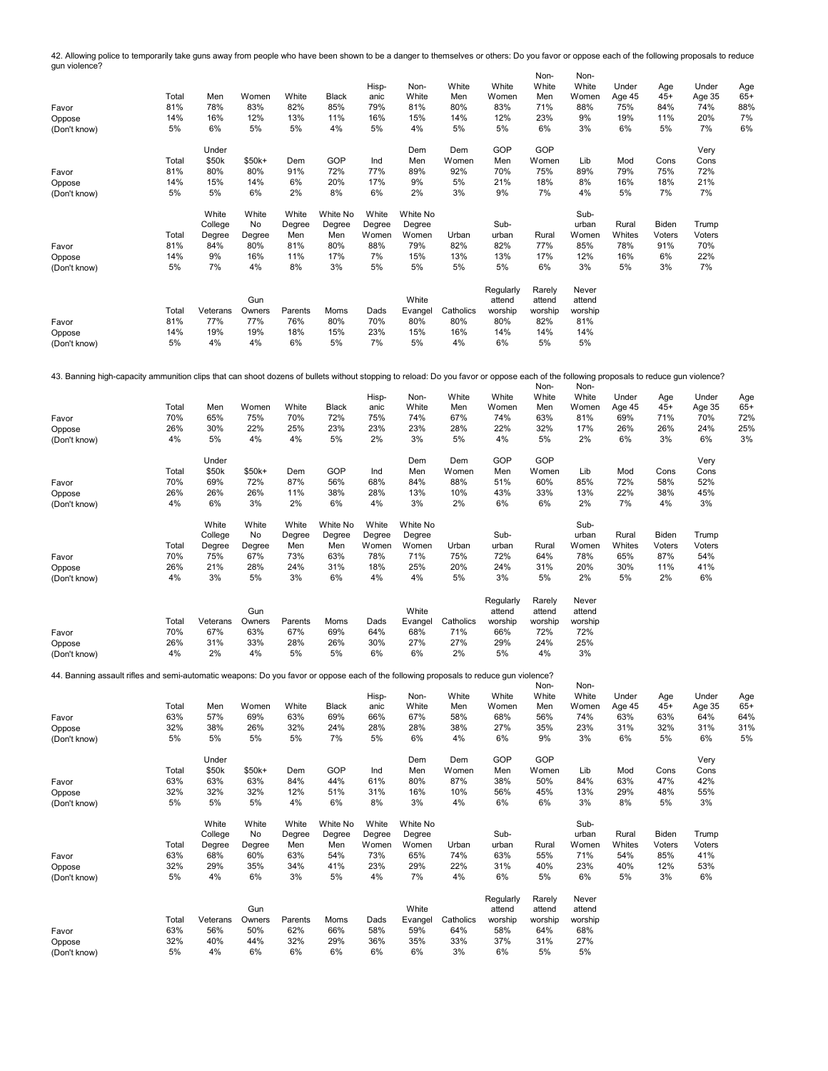Non-Non-42. Allowing police to temporarily take guns away from people who have been shown to be a danger to themselves or others: Do you favor or oppose each of the following proposals to reduce gun violence?

|                                                                                                                                                                                        |       |          |         |         |              |        |          |           | White               | .                | White           |        |        |        |       |
|----------------------------------------------------------------------------------------------------------------------------------------------------------------------------------------|-------|----------|---------|---------|--------------|--------|----------|-----------|---------------------|------------------|-----------------|--------|--------|--------|-------|
|                                                                                                                                                                                        |       |          |         |         |              | Hisp-  | Non-     | White     |                     | White            |                 | Under  | Age    | Under  | Age   |
|                                                                                                                                                                                        | Total | Men      | Women   | White   | <b>Black</b> | anic   | White    | Men       | Women               | Men              | Women           | Age 45 | $45+$  | Age 35 | $65+$ |
| Favor                                                                                                                                                                                  | 81%   | 78%      | 83%     | 82%     | 85%          | 79%    | 81%      | 80%       | 83%                 | 71%              | 88%             | 75%    | 84%    | 74%    | 88%   |
| Oppose                                                                                                                                                                                 | 14%   | 16%      | 12%     | 13%     | 11%          | 16%    | 15%      | 14%       | 12%                 | 23%              | 9%              | 19%    | 11%    | 20%    | 7%    |
| (Don't know)                                                                                                                                                                           | 5%    | 6%       | 5%      | 5%      | 4%           | 5%     | 4%       | 5%        | 5%                  | 6%               | 3%              | 6%     | 5%     | 7%     | 6%    |
|                                                                                                                                                                                        |       | Under    |         |         |              |        | Dem      | Dem       | GOP                 | GOP              |                 |        |        | Very   |       |
|                                                                                                                                                                                        | Total | \$50k    | $$50k+$ | Dem     | GOP          | Ind    | Men      | Women     | Men                 | Women            | Lib             | Mod    | Cons   | Cons   |       |
| Favor                                                                                                                                                                                  | 81%   | 80%      | 80%     | 91%     | 72%          | 77%    | 89%      | 92%       | 70%                 | 75%              | 89%             | 79%    | 75%    | 72%    |       |
| Oppose                                                                                                                                                                                 | 14%   | 15%      | 14%     | 6%      | 20%          | 17%    | 9%       | 5%        | 21%                 | 18%              | 8%              | 16%    | 18%    | 21%    |       |
| (Don't know)                                                                                                                                                                           | 5%    | 5%       | 6%      | 2%      | 8%           | 6%     | 2%       | 3%        | 9%                  | 7%               | 4%              | 5%     | 7%     | 7%     |       |
|                                                                                                                                                                                        |       | White    | White   | White   | White No     | White  | White No |           |                     |                  | Sub-            |        |        |        |       |
|                                                                                                                                                                                        |       | College  | No      | Degree  | Degree       | Degree | Degree   |           | Sub-                |                  | urban           | Rural  | Biden  | Trump  |       |
|                                                                                                                                                                                        | Total | Degree   | Degree  | Men     | Men          | Women  | Women    | Urban     | urban               | Rural            | Women           | Whites | Voters | Voters |       |
| Favor                                                                                                                                                                                  | 81%   | 84%      | 80%     | 81%     | 80%          | 88%    | 79%      | 82%       | 82%                 | 77%              | 85%             | 78%    | 91%    | 70%    |       |
| Oppose                                                                                                                                                                                 | 14%   | 9%       | 16%     | 11%     | 17%          | 7%     | 15%      | 13%       | 13%                 | 17%              | 12%             | 16%    | 6%     | 22%    |       |
| (Don't know)                                                                                                                                                                           | 5%    | 7%       | 4%      | 8%      | 3%           | 5%     | 5%       | 5%        | 5%                  | 6%               | 3%              | 5%     | 3%     | 7%     |       |
|                                                                                                                                                                                        |       |          |         |         |              |        |          |           |                     |                  |                 |        |        |        |       |
|                                                                                                                                                                                        |       |          | Gun     |         |              |        | White    |           | Regularly<br>attend | Rarely<br>attend | Never<br>attend |        |        |        |       |
|                                                                                                                                                                                        | Total | Veterans | Owners  | Parents | Moms         | Dads   | Evangel  | Catholics | worship             | worship          | worship         |        |        |        |       |
|                                                                                                                                                                                        |       | 77%      | 77%     | 76%     | 80%          | 70%    | 80%      | 80%       | 80%                 | 82%              | 81%             |        |        |        |       |
| Favor                                                                                                                                                                                  | 81%   |          |         |         |              |        |          |           |                     |                  |                 |        |        |        |       |
| Oppose                                                                                                                                                                                 | 14%   | 19%      | 19%     | 18%     | 15%          | 23%    | 15%      | 16%       | 14%                 | 14%              | 14%             |        |        |        |       |
| (Don't know)                                                                                                                                                                           | 5%    | 4%       | 4%      | 6%      | 5%           | 7%     | 5%       | 4%        | 6%                  | 5%               | 5%              |        |        |        |       |
|                                                                                                                                                                                        |       |          |         |         |              |        |          |           |                     |                  |                 |        |        |        |       |
| 43. Banning high-capacity ammunition clips that can shoot dozens of bullets without stopping to reload: Do you favor or oppose each of the following proposals to reduce gun violence? |       |          |         |         |              |        |          |           |                     |                  |                 |        |        |        |       |
|                                                                                                                                                                                        |       |          |         |         |              |        |          |           |                     |                  |                 |        |        |        |       |

|              |       |          |         |         |          |        |          |           |           | Non-    | Non-    |        |        |        |       |
|--------------|-------|----------|---------|---------|----------|--------|----------|-----------|-----------|---------|---------|--------|--------|--------|-------|
|              |       |          |         |         |          | Hisp-  | Non-     | White     | White     | White   | White   | Under  | Age    | Under  | Age   |
|              | Total | Men      | Women   | White   | Black    | anic   | White    | Men       | Women     | Men     | Women   | Age 45 | $45+$  | Age 35 | $65+$ |
| Favor        | 70%   | 65%      | 75%     | 70%     | 72%      | 75%    | 74%      | 67%       | 74%       | 63%     | 81%     | 69%    | 71%    | 70%    | 72%   |
| Oppose       | 26%   | 30%      | 22%     | 25%     | 23%      | 23%    | 23%      | 28%       | 22%       | 32%     | 17%     | 26%    | 26%    | 24%    | 25%   |
| (Don't know) | 4%    | 5%       | 4%      | 4%      | 5%       | 2%     | 3%       | 5%        | 4%        | 5%      | 2%      | 6%     | 3%     | 6%     | 3%    |
|              |       | Under    |         |         |          |        | Dem      | Dem       | GOP       | GOP     |         |        |        | Very   |       |
|              | Total | \$50k    | $$50k+$ | Dem     | GOP      | Ind    | Men      | Women     | Men       | Women   | Lib     | Mod    | Cons   | Cons   |       |
| Favor        | 70%   | 69%      | 72%     | 87%     | 56%      | 68%    | 84%      | 88%       | 51%       | 60%     | 85%     | 72%    | 58%    | 52%    |       |
| Oppose       | 26%   | 26%      | 26%     | 11%     | 38%      | 28%    | 13%      | 10%       | 43%       | 33%     | 13%     | 22%    | 38%    | 45%    |       |
| (Don't know) | 4%    | 6%       | 3%      | 2%      | 6%       | 4%     | 3%       | 2%        | 6%        | 6%      | 2%      | 7%     | 4%     | 3%     |       |
|              |       | White    | White   | White   | White No | White  | White No |           |           |         | Sub-    |        |        |        |       |
|              |       | College  | No      | Degree  | Degree   | Degree | Degree   |           | Sub-      |         | urban   | Rural  | Biden  | Trump  |       |
|              | Total | Degree   | Degree  | Men     | Men      | Women  | Women    | Urban     | urban     | Rural   | Women   | Whites | Voters | Voters |       |
| Favor        | 70%   | 75%      | 67%     | 73%     | 63%      | 78%    | 71%      | 75%       | 72%       | 64%     | 78%     | 65%    | 87%    | 54%    |       |
| Oppose       | 26%   | 21%      | 28%     | 24%     | 31%      | 18%    | 25%      | 20%       | 24%       | 31%     | 20%     | 30%    | 11%    | 41%    |       |
| (Don't know) | 4%    | 3%       | 5%      | 3%      | 6%       | 4%     | 4%       | 5%        | 3%        | 5%      | 2%      | 5%     | 2%     | 6%     |       |
|              |       |          |         |         |          |        |          |           | Regularly | Rarely  | Never   |        |        |        |       |
|              |       |          | Gun     |         |          |        | White    |           | attend    | attend  | attend  |        |        |        |       |
|              | Total | Veterans | Owners  | Parents | Moms     | Dads   | Evangel  | Catholics | worship   | worship | worship |        |        |        |       |
| Favor        | 70%   | 67%      | 63%     | 67%     | 69%      | 64%    | 68%      | 71%       | 66%       | 72%     | 72%     |        |        |        |       |
| Oppose       | 26%   | 31%      | 33%     | 28%     | 26%      | 30%    | 27%      | 27%       | 29%       | 24%     | 25%     |        |        |        |       |
| (Don't know) | 4%    | 2%       | 4%      | 5%      | 5%       | 6%     | 6%       | 2%        | 5%        | 4%      | 3%      |        |        |        |       |
|              |       |          |         |         |          |        |          |           |           |         |         |        |        |        |       |

44. Banning assault rifles and semi-automatic weapons: Do you favor or oppose each of the following proposals to reduce gun violence?

| 44. Darlining assault mes and semi-automatic weapons. Do you lavor or oppose each or the lollowing proposals to require gun violence? |       |          |        |         |              |        |          |           |           | Non-    | Non-    |        |        |        |       |
|---------------------------------------------------------------------------------------------------------------------------------------|-------|----------|--------|---------|--------------|--------|----------|-----------|-----------|---------|---------|--------|--------|--------|-------|
|                                                                                                                                       |       |          |        |         |              | Hisp-  | Non-     | White     | White     | White   | White   | Under  | Age    | Under  | Age   |
|                                                                                                                                       | Total | Men      | Women  | White   | <b>Black</b> | anic   | White    | Men       | Women     | Men     | Women   | Age 45 | $45+$  | Age 35 | $65+$ |
| Favor                                                                                                                                 | 63%   | 57%      | 69%    | 63%     | 69%          | 66%    | 67%      | 58%       | 68%       | 56%     | 74%     | 63%    | 63%    | 64%    | 64%   |
| Oppose                                                                                                                                | 32%   | 38%      | 26%    | 32%     | 24%          | 28%    | 28%      | 38%       | 27%       | 35%     | 23%     | 31%    | 32%    | 31%    | 31%   |
| (Don't know)                                                                                                                          | 5%    | 5%       | 5%     | 5%      | 7%           | 5%     | 6%       | 4%        | 6%        | 9%      | 3%      | 6%     | 5%     | 6%     | 5%    |
|                                                                                                                                       |       | Under    |        |         |              |        | Dem      | Dem       | GOP       | GOP     |         |        |        | Very   |       |
|                                                                                                                                       | Total | \$50k    | \$50k+ | Dem     | GOP          | Ind    | Men      | Women     | Men       | Women   | Lib     | Mod    | Cons   | Cons   |       |
| Favor                                                                                                                                 | 63%   | 63%      | 63%    | 84%     | 44%          | 61%    | 80%      | 87%       | 38%       | 50%     | 84%     | 63%    | 47%    | 42%    |       |
| Oppose                                                                                                                                | 32%   | 32%      | 32%    | 12%     | 51%          | 31%    | 16%      | 10%       | 56%       | 45%     | 13%     | 29%    | 48%    | 55%    |       |
| (Don't know)                                                                                                                          | 5%    | 5%       | 5%     | 4%      | 6%           | 8%     | 3%       | 4%        | 6%        | 6%      | 3%      | 8%     | 5%     | 3%     |       |
|                                                                                                                                       |       | White    | White  | White   | White No     | White  | White No |           |           |         | Sub-    |        |        |        |       |
|                                                                                                                                       |       | College  | No     | Degree  | Degree       | Degree | Degree   |           | Sub-      |         | urban   | Rural  | Biden  | Trump  |       |
|                                                                                                                                       | Total | Degree   | Degree | Men     | Men          | Women  | Women    | Urban     | urban     | Rural   | Women   | Whites | Voters | Voters |       |
| Favor                                                                                                                                 | 63%   | 68%      | 60%    | 63%     | 54%          | 73%    | 65%      | 74%       | 63%       | 55%     | 71%     | 54%    | 85%    | 41%    |       |
| Oppose                                                                                                                                | 32%   | 29%      | 35%    | 34%     | 41%          | 23%    | 29%      | 22%       | 31%       | 40%     | 23%     | 40%    | 12%    | 53%    |       |
| (Don't know)                                                                                                                          | 5%    | 4%       | 6%     | 3%      | 5%           | 4%     | 7%       | 4%        | 6%        | 5%      | 6%      | 5%     | 3%     | 6%     |       |
|                                                                                                                                       |       |          |        |         |              |        |          |           | Regularly | Rarely  | Never   |        |        |        |       |
|                                                                                                                                       |       |          | Gun    |         |              |        | White    |           | attend    | attend  | attend  |        |        |        |       |
|                                                                                                                                       | Total | Veterans | Owners | Parents | Moms         | Dads   | Evangel  | Catholics | worship   | worship | worship |        |        |        |       |
| Favor                                                                                                                                 | 63%   | 56%      | 50%    | 62%     | 66%          | 58%    | 59%      | 64%       | 58%       | 64%     | 68%     |        |        |        |       |
| Oppose                                                                                                                                | 32%   | 40%      | 44%    | 32%     | 29%          | 36%    | 35%      | 33%       | 37%       | 31%     | 27%     |        |        |        |       |
| (Don't know)                                                                                                                          | 5%    | 4%       | 6%     | 6%      | 6%           | 6%     | 6%       | 3%        | 6%        | 5%      | 5%      |        |        |        |       |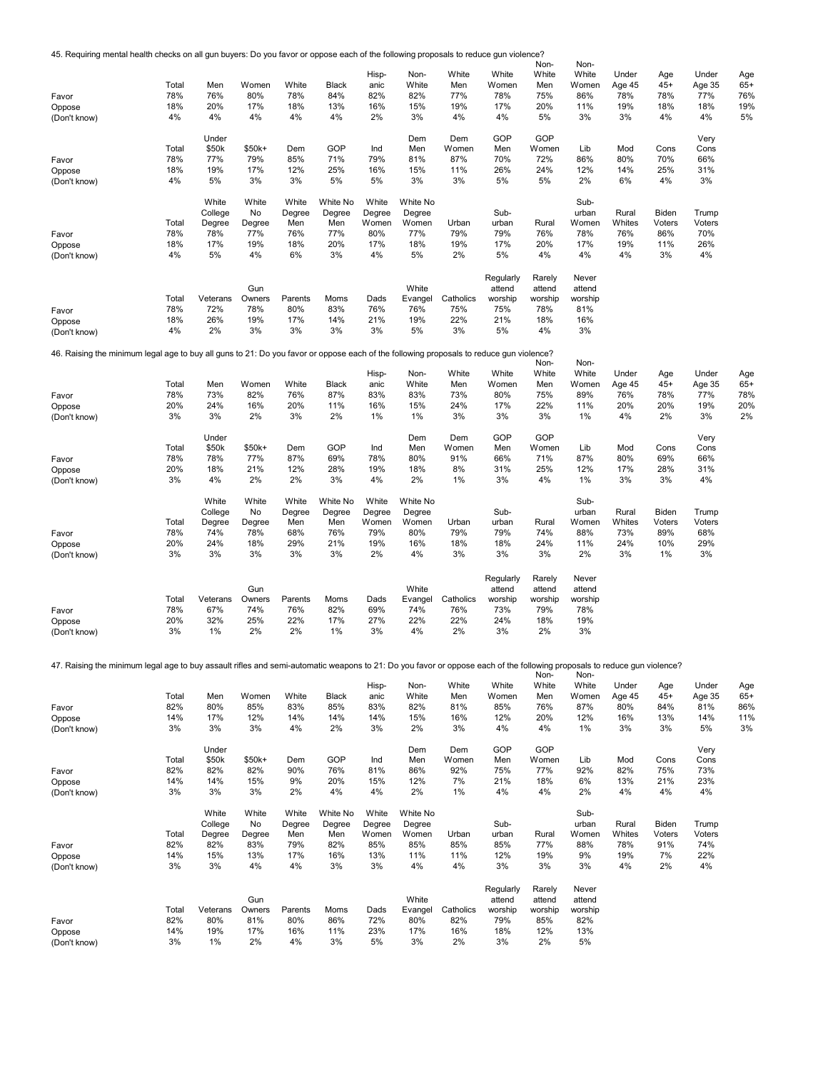45. Requiring mental health checks on all gun buyers: Do you favor or oppose each of the following proposals to reduce gun violence?

| 45. Requiring mental health checks on all gun buyers: Do you favor or oppose each of the following proposals to reduce gun violence?                                     |              |                 |               |                |              |              |                |              |                | Non-           | Non-           |               |               |               |              |
|--------------------------------------------------------------------------------------------------------------------------------------------------------------------------|--------------|-----------------|---------------|----------------|--------------|--------------|----------------|--------------|----------------|----------------|----------------|---------------|---------------|---------------|--------------|
|                                                                                                                                                                          |              |                 |               |                |              | Hisp-        | Non-           | White        | White          | White          | White          | Under         | Age           | Under         | Age          |
|                                                                                                                                                                          | Total        | Men             | Women         | White          | <b>Black</b> | anic         | White          | Men          | Women          | Men            | Women          | Age 45        | $45+$         | Age 35        | $65+$        |
| Favor                                                                                                                                                                    | 78%          | 76%             | 80%           | 78%            | 84%          | 82%          | 82%            | 77%          | 78%            | 75%            | 86%            | 78%           | 78%           | 77%           | 76%          |
| Oppose                                                                                                                                                                   | 18%          | 20%             | 17%           | 18%            | 13%          | 16%          | 15%            | 19%          | 17%            | 20%            | 11%            | 19%           | 18%           | 18%           | 19%          |
| (Don't know)                                                                                                                                                             | 4%           | 4%              | 4%            | 4%             | 4%           | 2%           | 3%             | 4%           | 4%             | 5%             | 3%             | 3%            | 4%            | 4%            | 5%           |
|                                                                                                                                                                          |              |                 |               |                |              |              |                |              | GOP            | GOP            |                |               |               |               |              |
|                                                                                                                                                                          | Total        | Under<br>\$50k  | \$50k+        | Dem            | GOP          | Ind          | Dem<br>Men     | Dem<br>Women | Men            | Women          | Lib            | Mod           | Cons          | Very<br>Cons  |              |
| Favor                                                                                                                                                                    | 78%          | 77%             | 79%           | 85%            | 71%          | 79%          | 81%            | 87%          | 70%            | 72%            | 86%            | 80%           | 70%           | 66%           |              |
| Oppose                                                                                                                                                                   | 18%          | 19%             | 17%           | 12%            | 25%          | 16%          | 15%            | 11%          | 26%            | 24%            | 12%            | 14%           | 25%           | 31%           |              |
| (Don't know)                                                                                                                                                             | 4%           | 5%              | 3%            | 3%             | 5%           | 5%           | 3%             | 3%           | 5%             | 5%             | 2%             | 6%            | 4%            | 3%            |              |
|                                                                                                                                                                          |              |                 |               |                |              |              |                |              |                |                |                |               |               |               |              |
|                                                                                                                                                                          |              | White           | White         | White          | White No     | White        | White No       |              |                |                | Sub-           |               |               |               |              |
|                                                                                                                                                                          |              | College         | No            | Degree         | Degree       | Degree       | Degree         |              | Sub-           |                | urban          | Rural         | Biden         | Trump         |              |
|                                                                                                                                                                          | Total<br>78% | Degree<br>78%   | Degree<br>77% | Men<br>76%     | Men<br>77%   | Women<br>80% | Women<br>77%   | Urban<br>79% | urban<br>79%   | Rural<br>76%   | Women<br>78%   | Whites<br>76% | Voters<br>86% | Voters<br>70% |              |
| Favor<br>Oppose                                                                                                                                                          | 18%          | 17%             | 19%           | 18%            | 20%          | 17%          | 18%            | 19%          | 17%            | 20%            | 17%            | 19%           | 11%           | 26%           |              |
| (Don't know)                                                                                                                                                             | 4%           | 5%              | 4%            | 6%             | 3%           | 4%           | 5%             | 2%           | 5%             | 4%             | 4%             | 4%            | 3%            | 4%            |              |
|                                                                                                                                                                          |              |                 |               |                |              |              |                |              |                |                |                |               |               |               |              |
|                                                                                                                                                                          |              |                 |               |                |              |              |                |              | Regularly      | Rarely         | Never          |               |               |               |              |
|                                                                                                                                                                          |              |                 | Gun           |                |              |              | White          |              | attend         | attend         | attend         |               |               |               |              |
|                                                                                                                                                                          | Total        | Veterans        | Owners        | Parents        | Moms         | Dads         | Evangel        | Catholics    | worship        | worship        | worship        |               |               |               |              |
| Favor                                                                                                                                                                    | 78%          | 72%             | 78%           | 80%            | 83%          | 76%          | 76%            | 75%          | 75%            | 78%            | 81%            |               |               |               |              |
| Oppose                                                                                                                                                                   | 18%          | 26%             | 19%           | 17%            | 14%          | 21%          | 19%            | 22%          | 21%            | 18%            | 16%            |               |               |               |              |
| (Don't know)                                                                                                                                                             | 4%           | 2%              | 3%            | 3%             | 3%           | 3%           | 5%             | 3%           | 5%             | 4%             | 3%             |               |               |               |              |
| 46. Raising the minimum legal age to buy all guns to 21: Do you favor or oppose each of the following proposals to reduce gun violence?                                  |              |                 |               |                |              |              |                |              |                |                |                |               |               |               |              |
|                                                                                                                                                                          |              |                 |               |                |              |              |                |              |                | Non-           | Non-           |               |               |               |              |
|                                                                                                                                                                          |              |                 |               |                |              | Hisp-        | Non-           | White        | White          | White          | White          | Under         | Age           | Under         | Age          |
|                                                                                                                                                                          | Total        | Men             | Women         | White          | <b>Black</b> | anic         | White          | Men          | Women          | Men            | Women          | Age 45        | $45+$         | Age 35        | $65+$        |
| Favor                                                                                                                                                                    | 78%<br>20%   | 73%<br>24%      | 82%<br>16%    | 76%<br>20%     | 87%<br>11%   | 83%<br>16%   | 83%<br>15%     | 73%<br>24%   | 80%<br>17%     | 75%<br>22%     | 89%<br>11%     | 76%<br>20%    | 78%<br>20%    | 77%<br>19%    | 78%<br>20%   |
| Oppose<br>(Don't know)                                                                                                                                                   | 3%           | 3%              | 2%            | 3%             | 2%           | 1%           | 1%             | 3%           | 3%             | 3%             | 1%             | 4%            | 2%            | 3%            | 2%           |
|                                                                                                                                                                          |              |                 |               |                |              |              |                |              |                |                |                |               |               |               |              |
|                                                                                                                                                                          |              | Under           |               |                |              |              | Dem            | Dem          | GOP            | GOP            |                |               |               | Very          |              |
|                                                                                                                                                                          | Total        | \$50k           | \$50k+        | Dem            | GOP          | Ind          | Men            | Women        | Men            | Women          | Lib            | Mod           | Cons          | Cons          |              |
| Favor                                                                                                                                                                    | 78%          | 78%             | 77%           | 87%            | 69%          | 78%          | 80%            | 91%          | 66%            | 71%            | 87%            | 80%           | 69%           | 66%           |              |
| Oppose                                                                                                                                                                   | 20%          | 18%             | 21%           | 12%            | 28%          | 19%          | 18%            | 8%           | 31%            | 25%            | 12%            | 17%           | 28%           | 31%           |              |
| (Don't know)                                                                                                                                                             | 3%           | 4%              | 2%            | 2%             | 3%           | 4%           | 2%             | 1%           | 3%             | 4%             | 1%             | 3%            | 3%            | 4%            |              |
|                                                                                                                                                                          |              | White           | White         | White          | White No     | White        | White No       |              |                |                | Sub-           |               |               |               |              |
|                                                                                                                                                                          |              | College         | No            | Degree         | Degree       | Degree       | Degree         |              | Sub-           |                | urban          | Rural         | Biden         | Trump         |              |
|                                                                                                                                                                          | Total        | Degree          | Degree        | Men            | Men          | Women        | Women          | Urban        | urban          | Rural          | Women          | Whites        | Voters        | Voters        |              |
| Favor                                                                                                                                                                    | 78%          | 74%             | 78%           | 68%            | 76%          | 79%          | 80%            | 79%          | 79%            | 74%            | 88%            | 73%           | 89%           | 68%           |              |
| Oppose                                                                                                                                                                   | 20%          | 24%             | 18%           | 29%            | 21%          | 19%          | 16%            | 18%          | 18%            | 24%            | 11%            | 24%           | 10%           | 29%           |              |
| (Don't know)                                                                                                                                                             | 3%           | 3%              | 3%            | 3%             | 3%           | 2%           | 4%             | 3%           | 3%             | 3%             | 2%             | 3%            | 1%            | 3%            |              |
|                                                                                                                                                                          |              |                 |               |                |              |              |                |              |                |                |                |               |               |               |              |
|                                                                                                                                                                          |              |                 |               |                |              |              |                |              | Regularly      | Rarely         | Never          |               |               |               |              |
|                                                                                                                                                                          |              |                 | Gun           |                |              |              | White          | Catholics    | attend         | attend         | attend         |               |               |               |              |
|                                                                                                                                                                          | Total<br>78% | Veterans<br>67% | Owners<br>74% | Parents<br>76% | Moms<br>82%  | Dads<br>69%  | Evangel<br>74% | 76%          | worship<br>73% | worship<br>79% | worship<br>78% |               |               |               |              |
| Favor<br>Oppose                                                                                                                                                          | 20%          | 32%             | 25%           | 22%            | 17%          | 27%          | 22%            | 22%          | 24%            | 18%            | 19%            |               |               |               |              |
| (Don't know)                                                                                                                                                             | 3%           | 1%              | 2%            | 2%             | 1%           | 3%           | 4%             | 2%           | 3%             | 2%             | 3%             |               |               |               |              |
|                                                                                                                                                                          |              |                 |               |                |              |              |                |              |                |                |                |               |               |               |              |
|                                                                                                                                                                          |              |                 |               |                |              |              |                |              |                |                |                |               |               |               |              |
| 47. Raising the minimum legal age to buy assault rifles and semi-automatic weapons to 21: Do you favor or oppose each of the following proposals to reduce gun violence? |              |                 |               |                |              |              |                |              |                |                |                |               |               |               |              |
|                                                                                                                                                                          |              |                 |               |                |              | Hisp-        | Non-           | White        | White          | Non-<br>White  | Non-<br>White  | Under         | Age           | Under         |              |
|                                                                                                                                                                          | Total        | Men             | Women         | White          | <b>Black</b> | anic         | White          | Men          | Women          | Men            | Women          | Age 45        | $45+$         | Age 35        | Age<br>$65+$ |
| Favor                                                                                                                                                                    | 82%          | 80%             | 85%           | 83%            | 85%          | 83%          | 82%            | 81%          | 85%            | 76%            | 87%            | 80%           | 84%           | 81%           | 86%          |
| Oppose                                                                                                                                                                   | 14%          | 17%             | 12%           | 14%            | 14%          | 14%          | 15%            | 16%          | 12%            | 20%            | 12%            | 16%           | 13%           | 14%           | 11%          |
| (Don't know)                                                                                                                                                             | 3%           | 3%              | 3%            | 4%             | 2%           | 3%           | 2%             | 3%           | 4%             | 4%             | 1%             | 3%            | 3%            | 5%            | 3%           |
|                                                                                                                                                                          |              |                 |               |                |              |              |                |              |                |                |                |               |               |               |              |
|                                                                                                                                                                          |              | Under           |               |                |              |              | Dem            | Dem          | GOP            | GOP            |                |               |               | Very          |              |
|                                                                                                                                                                          | Total        | \$50k           | \$50k+        | Dem            | GOP          | Ind          | Men            | Women        | Men            | Women          | Lib            | Mod           | Cons          | Cons          |              |
| Favor<br>Oppose                                                                                                                                                          | 82%<br>14%   | 82%<br>14%      | 82%<br>15%    | 90%<br>9%      | 76%<br>20%   | 81%<br>15%   | 86%<br>12%     | 92%<br>7%    | 75%<br>21%     | 77%<br>18%     | 92%<br>6%      | 82%<br>13%    | 75%<br>21%    | 73%<br>23%    |              |
| (Don't know)                                                                                                                                                             | 3%           | 3%              | 3%            | 2%             | 4%           | 4%           | 2%             | 1%           | 4%             | 4%             | 2%             | 4%            | 4%            | 4%            |              |
|                                                                                                                                                                          |              |                 |               |                |              |              |                |              |                |                |                |               |               |               |              |
|                                                                                                                                                                          |              | White           | White         | White          | White No     | White        | White No       |              |                |                | Sub-           |               |               |               |              |
|                                                                                                                                                                          |              | College         | No            | Degree         | Degree       | Degree       | Degree         |              | Sub-           |                | urban          | Rural         | Biden         | Trump         |              |
|                                                                                                                                                                          | Total        | Degree          | Degree        | Men            | Men          | Women        | Women          | Urban        | urban          | Rural          | Women          | Whites        | Voters        | Voters        |              |
| Favor                                                                                                                                                                    | 82%          | 82%             | 83%           | 79%            | 82%          | 85%          | 85%            | 85%          | 85%            | 77%            | 88%            | 78%           | 91%           | 74%           |              |
| Oppose                                                                                                                                                                   | 14%          | 15%             | 13%           | 17%            | 16%          | 13%          | 11%            | 11%          | 12%            | 19%            | 9%             | 19%           | 7%            | 22%           |              |
| (Don't know)                                                                                                                                                             | 3%           | 3%              | 4%            | 4%             | 3%           | 3%           | 4%             | 4%           | 3%             | 3%             | 3%             | 4%            | 2%            | 4%            |              |
|                                                                                                                                                                          |              |                 |               |                |              |              |                |              | Regularly      | Rarely         | Never          |               |               |               |              |
|                                                                                                                                                                          |              |                 | Gun           |                |              |              | White          |              | attend         | attend         | attend         |               |               |               |              |
|                                                                                                                                                                          | Total        | Veterans        | Owners        | Parents        | Moms         | Dads         | Evangel        | Catholics    | worship        | worship        | worship        |               |               |               |              |
| Favor                                                                                                                                                                    | 82%          | 80%             | 81%           | 80%            | 86%          | 72%          | 80%            | 82%          | 79%            | 85%            | 82%            |               |               |               |              |
| Oppose                                                                                                                                                                   | 14%          | 19%             | 17%           | 16%            | 11%          | 23%          | 17%            | 16%          | 18%            | 12%            | 13%            |               |               |               |              |
| (Don't know)                                                                                                                                                             | 3%           | 1%              | 2%            | 4%             | 3%           | 5%           | 3%             | 2%           | 3%             | 2%             | 5%             |               |               |               |              |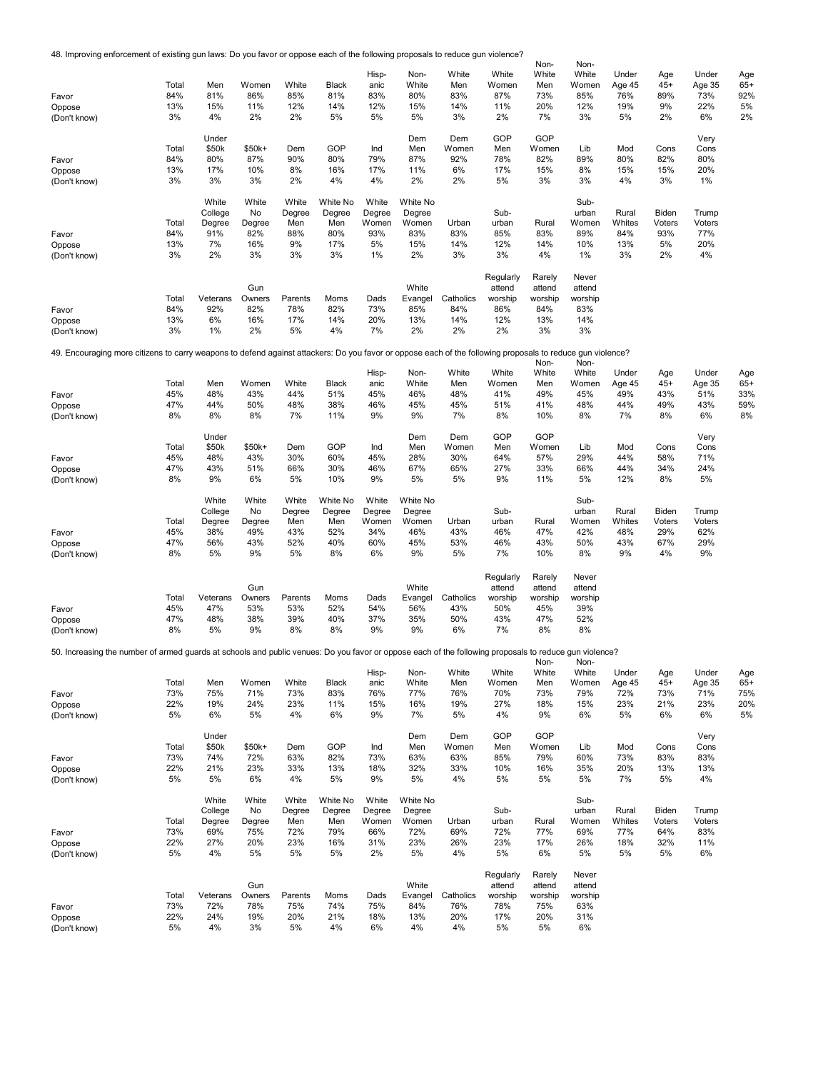48. Improving enforcement of existing gun laws: Do you favor or oppose each of the following proposals to reduce gun violence?

|                                                                                                                                                            |              |                |               |               |               |                 |                 |              |                   | Non-           | Non-              |                 |                 |                 |       |
|------------------------------------------------------------------------------------------------------------------------------------------------------------|--------------|----------------|---------------|---------------|---------------|-----------------|-----------------|--------------|-------------------|----------------|-------------------|-----------------|-----------------|-----------------|-------|
|                                                                                                                                                            |              |                |               |               |               | Hisp-           | Non-            | White        | White             | White          | White             | Under           | Age             | Under           | Age   |
|                                                                                                                                                            | Total        | Men            | Women         | White         | <b>Black</b>  | anic            | White           | Men          | Women             | Men            | Women             | Age 45          | $45+$           | Age 35          | $65+$ |
| Favor                                                                                                                                                      | 84%          | 81%            | 86%           | 85%           | 81%           | 83%             | 80%             | 83%          | 87%               | 73%            | 85%               | 76%             | 89%             | 73%             | 92%   |
| Oppose                                                                                                                                                     | 13%          | 15%            | 11%           | 12%           | 14%           | 12%             | 15%             | 14%          | 11%               | 20%            | 12%               | 19%             | 9%              | 22%             | 5%    |
| (Don't know)                                                                                                                                               | 3%           | 4%             | 2%            | 2%            | 5%            | 5%              | 5%              | 3%           | 2%                | 7%             | 3%                | 5%              | 2%              | 6%              | 2%    |
|                                                                                                                                                            |              |                |               |               |               |                 |                 |              |                   |                |                   |                 |                 |                 |       |
|                                                                                                                                                            | Total        | Under<br>\$50k | \$50k+        | Dem           | GOP           | Ind             | Dem             | Dem          | GOP<br>Men        | GOP<br>Women   | Lib               | Mod             | Cons            | Very            |       |
| Favor                                                                                                                                                      | 84%          | 80%            | 87%           | 90%           | 80%           | 79%             | Men<br>87%      | Women<br>92% | 78%               | 82%            | 89%               | 80%             | 82%             | Cons<br>80%     |       |
| Oppose                                                                                                                                                     | 13%          | 17%            | 10%           | 8%            | 16%           | 17%             | 11%             | 6%           | 17%               | 15%            | 8%                | 15%             | 15%             | 20%             |       |
| (Don't know)                                                                                                                                               | 3%           | 3%             | 3%            | 2%            | 4%            | 4%              | 2%              | 2%           | 5%                | 3%             | 3%                | 4%              | 3%              | 1%              |       |
|                                                                                                                                                            |              |                |               |               |               |                 |                 |              |                   |                |                   |                 |                 |                 |       |
|                                                                                                                                                            |              | White          | White         | White         | White No      | White           | White No        |              |                   |                | Sub-              |                 |                 |                 |       |
|                                                                                                                                                            |              | College        | No            | Degree        | Degree        | Degree          | Degree          |              | Sub-              |                | urban             | Rural           | Biden           | Trump           |       |
|                                                                                                                                                            | Total        | Degree         | Degree        | Men           | Men           | Women           | Women           | Urban        | urban             | Rural          | Women             | Whites          | Voters          | Voters          |       |
| Favor                                                                                                                                                      | 84%          | 91%            | 82%           | 88%           | 80%           | 93%             | 83%             | 83%          | 85%               | 83%            | 89%               | 84%             | 93%             | 77%             |       |
| Oppose                                                                                                                                                     | 13%          | 7%             | 16%           | 9%            | 17%           | 5%              | 15%             | 14%          | 12%               | 14%            | 10%               | 13%             | 5%              | 20%             |       |
| (Don't know)                                                                                                                                               | 3%           | 2%             | 3%            | 3%            | 3%            | 1%              | 2%              | 3%           | 3%                | 4%             | 1%                | 3%              | 2%              | 4%              |       |
|                                                                                                                                                            |              |                |               |               |               |                 |                 |              |                   |                |                   |                 |                 |                 |       |
|                                                                                                                                                            |              |                |               |               |               |                 |                 |              | Regularly         | Rarely         | Never             |                 |                 |                 |       |
|                                                                                                                                                            | Total        | Veterans       | Gun<br>Owners | Parents       | Moms          | Dads            | White           | Catholics    | attend<br>worship | attend         | attend<br>worship |                 |                 |                 |       |
|                                                                                                                                                            | 84%          | 92%            | 82%           | 78%           | 82%           | 73%             | Evangel<br>85%  | 84%          | 86%               | worship<br>84% | 83%               |                 |                 |                 |       |
| Favor<br>Oppose                                                                                                                                            | 13%          | 6%             | 16%           | 17%           | 14%           | 20%             | 13%             | 14%          | 12%               | 13%            | 14%               |                 |                 |                 |       |
| (Don't know)                                                                                                                                               | 3%           | 1%             | 2%            | 5%            | 4%            | 7%              | 2%              | 2%           | 2%                | 3%             | 3%                |                 |                 |                 |       |
|                                                                                                                                                            |              |                |               |               |               |                 |                 |              |                   |                |                   |                 |                 |                 |       |
| 49. Encouraging more citizens to carry weapons to defend against attackers: Do you favor or oppose each of the following proposals to reduce gun violence? |              |                |               |               |               |                 |                 |              |                   |                |                   |                 |                 |                 |       |
|                                                                                                                                                            |              |                |               |               |               |                 |                 |              |                   | Non-           | Non-              |                 |                 |                 |       |
|                                                                                                                                                            |              |                |               |               |               | Hisp-           | Non-            | White        | White             | White          | White             | Under           | Age             | Under           | Age   |
|                                                                                                                                                            | Total        | Men            | Women         | White         | Black         | anic            | White           | Men          | Women             | Men            | Women             | Age 45          | $45+$           | Age 35          | $65+$ |
| Favor                                                                                                                                                      | 45%          | 48%            | 43%           | 44%           | 51%           | 45%             | 46%             | 48%          | 41%               | 49%            | 45%               | 49%             | 43%             | 51%             | 33%   |
| Oppose                                                                                                                                                     | 47%          | 44%            | 50%           | 48%           | 38%           | 46%             | 45%             | 45%          | 51%               | 41%            | 48%               | 44%             | 49%             | 43%             | 59%   |
| (Don't know)                                                                                                                                               | 8%           | 8%             | 8%            | 7%            | 11%           | 9%              | 9%              | 7%           | 8%                | 10%            | 8%                | 7%              | 8%              | 6%              | 8%    |
|                                                                                                                                                            |              |                |               |               |               |                 |                 |              |                   |                |                   |                 |                 |                 |       |
|                                                                                                                                                            |              | Under          |               |               |               |                 | Dem             | Dem<br>Women | GOP               | GOP<br>Women   |                   |                 |                 | Very            |       |
|                                                                                                                                                            | Total<br>45% | \$50k<br>48%   | \$50k+<br>43% | Dem<br>30%    | GOP<br>60%    | Ind<br>45%      | Men<br>28%      | 30%          | Men<br>64%        | 57%            | Lib<br>29%        | Mod<br>44%      | Cons<br>58%     | Cons<br>71%     |       |
| Favor                                                                                                                                                      | 47%          | 43%            | 51%           | 66%           | 30%           | 46%             | 67%             | 65%          | 27%               | 33%            | 66%               | 44%             | 34%             | 24%             |       |
| Oppose<br>(Don't know)                                                                                                                                     | 8%           | 9%             | 6%            | 5%            | 10%           | 9%              | 5%              | 5%           | 9%                | 11%            | 5%                | 12%             | 8%              | 5%              |       |
|                                                                                                                                                            |              |                |               |               |               |                 |                 |              |                   |                |                   |                 |                 |                 |       |
|                                                                                                                                                            |              | White          | White         | White         | White No      | White           | White No        |              |                   |                | Sub-              |                 |                 |                 |       |
|                                                                                                                                                            |              | College        | No            | Degree        | Degree        | Degree          | Degree          |              | Sub-              |                | urban             | Rural           | Biden           | Trump           |       |
|                                                                                                                                                            | Total        | Degree         | Degree        | Men           | Men           | Women           | Women           | Urban        | urban             | Rural          | Women             | Whites          | Voters          | Voters          |       |
| Favor                                                                                                                                                      | 45%          | 38%            | 49%           | 43%           | 52%           | 34%             | 46%             | 43%          | 46%               | 47%            | 42%               | 48%             | 29%             | 62%             |       |
| Oppose                                                                                                                                                     | 47%          | 56%            | 43%           | 52%           | 40%           | 60%             | 45%             | 53%          | 46%               | 43%            | 50%               | 43%             | 67%             | 29%             |       |
| (Don't know)                                                                                                                                               | 8%           | 5%             | 9%            | 5%            | 8%            | 6%              | 9%              | 5%           | 7%                | 10%            | 8%                | 9%              | 4%              | 9%              |       |
|                                                                                                                                                            |              |                |               |               |               |                 |                 |              |                   |                |                   |                 |                 |                 |       |
|                                                                                                                                                            |              |                |               |               |               |                 |                 |              | Regularly         | Rarely         | Never             |                 |                 |                 |       |
|                                                                                                                                                            |              |                | Gun           |               |               |                 | White           |              | attend            | attend         | attend            |                 |                 |                 |       |
|                                                                                                                                                            | Total        | Veterans       | Owners        | Parents       | Moms          | Dads            | Evangel         | Catholics    | worship           | worship        | worship           |                 |                 |                 |       |
| Favor                                                                                                                                                      | 45%          | 47%            | 53%           | 53%           | 52%           | 54%             | 56%             | 43%          | 50%               | 45%            | 39%               |                 |                 |                 |       |
| Oppose                                                                                                                                                     | 47%          | 48%            | 38%           | 39%           | 40%           | 37%             | 35%             | 50%          | 43%               | 47%            | 52%               |                 |                 |                 |       |
| (Don't know)                                                                                                                                               | 8%           | 5%             | 9%            | 8%            | 8%            | 9%              | 9%              | 6%           | 7%                | 8%             | 8%                |                 |                 |                 |       |
|                                                                                                                                                            |              |                |               |               |               |                 |                 |              |                   |                |                   |                 |                 |                 |       |
| 50. Increasing the number of armed quards at schools and public venues: Do you favor or oppose each of the following proposals to reduce qun violence?     |              |                |               |               |               |                 |                 |              |                   |                |                   |                 |                 |                 |       |
|                                                                                                                                                            |              |                |               |               |               | Hisp-           | Non-            | White        | White             | Non-<br>White  | Non-<br>White     | Under           | Age             | Under           | Age   |
|                                                                                                                                                            | Total        | Men            | Women         | White         | <b>Black</b>  | anic            | White           | Men          | Women             | Men            | Women             | Age 45          | $45+$           | Age 35          | $65+$ |
| Favor                                                                                                                                                      | 73%          | 75%            | 71%           | 73%           | 83%           | 76%             | 77%             | 76%          | 70%               | 73%            | 79%               | 72%             | 73%             | 71%             | 75%   |
| Oppose                                                                                                                                                     | 22%          | 19%            | 24%           | 23%           | 11%           | 15%             | 16%             | 19%          | 27%               | 18%            | 15%               | 23%             | 21%             | 23%             | 20%   |
| (Don't know)                                                                                                                                               | 5%           | 6%             | 5%            | 4%            | 6%            | 9%              | 7%              | 5%           | 4%                | 9%             | 6%                | 5%              | 6%              | 6%              | 5%    |
|                                                                                                                                                            |              |                |               |               |               |                 |                 |              |                   |                |                   |                 |                 |                 |       |
|                                                                                                                                                            |              | Under          |               |               |               |                 | Dem             | Dem          | GOP               | GOP            |                   |                 |                 | Very            |       |
|                                                                                                                                                            | Total        | \$50k          | \$50k+        | Dem           | GOP           | Ind             | Men             | Women        | Men               | Women          | Lib               | Mod             | Cons            | Cons            |       |
| Favor                                                                                                                                                      | 73%          | 74%            | 72%           | 63%           | 82%           | 73%             | 63%             | 63%          | 85%               | 79%            | 60%               | 73%             | 83%             | 83%             |       |
| Oppose                                                                                                                                                     | 22%          | 21%            | 23%           | 33%           | 13%           | 18%             | 32%             | 33%          | 10%               | 16%            | 35%               | 20%             | 13%             | 13%             |       |
| (Don't know)                                                                                                                                               | 5%           | 5%             | 6%            | 4%            | 5%            | 9%              | 5%              | 4%           | 5%                | 5%             | 5%                | 7%              | 5%              | 4%              |       |
|                                                                                                                                                            |              |                |               |               |               |                 |                 |              |                   |                |                   |                 |                 |                 |       |
|                                                                                                                                                            |              | White          | White         | White         | White No      | White           | White No        |              |                   |                | Sub-              |                 |                 |                 |       |
|                                                                                                                                                            | Total        | College        | No            | Degree<br>Men | Degree<br>Men | Degree<br>Women | Degree<br>Women | Urban        | Sub-<br>urban     | Rural          | urban<br>Women    | Rural<br>Whites | Biden<br>Voters | Trump<br>Voters |       |
|                                                                                                                                                            | 73%          | Degree<br>69%  | Degree<br>75% | 72%           | 79%           | 66%             | 72%             | 69%          | 72%               | 77%            | 69%               | 77%             | 64%             | 83%             |       |
| Favor                                                                                                                                                      | 22%          | 27%            | 20%           | 23%           | 16%           | 31%             | 23%             | 26%          | 23%               | 17%            | 26%               | 18%             | 32%             | 11%             |       |
| Oppose<br>(Don't know)                                                                                                                                     | 5%           | 4%             | 5%            | 5%            | 5%            | 2%              | 5%              | 4%           | 5%                | 6%             | 5%                | 5%              | 5%              | 6%              |       |
|                                                                                                                                                            |              |                |               |               |               |                 |                 |              |                   |                |                   |                 |                 |                 |       |
|                                                                                                                                                            |              |                |               |               |               |                 |                 |              | Regularly         | Rarely         | Never             |                 |                 |                 |       |
|                                                                                                                                                            |              |                | Gun           |               |               |                 | White           |              | attend            | attend         | attend            |                 |                 |                 |       |
|                                                                                                                                                            | Total        | Veterans       | Owners        | Parents       | Moms          | Dads            | Evangel         | Catholics    | worship           | worship        | worship           |                 |                 |                 |       |
| Favor                                                                                                                                                      | 73%          | 72%            | 78%           | 75%           | 74%           | 75%             | 84%             | 76%          | 78%               | 75%            | 63%               |                 |                 |                 |       |
| Oppose                                                                                                                                                     | 22%          | 24%            | 19%           | 20%           | 21%           | 18%             | 13%             | 20%          | 17%               | 20%            | 31%               |                 |                 |                 |       |
| (Don't know)                                                                                                                                               | 5%           | 4%             | 3%            | 5%            | 4%            | 6%              | 4%              | 4%           | 5%                | 5%             | 6%                |                 |                 |                 |       |
|                                                                                                                                                            |              |                |               |               |               |                 |                 |              |                   |                |                   |                 |                 |                 |       |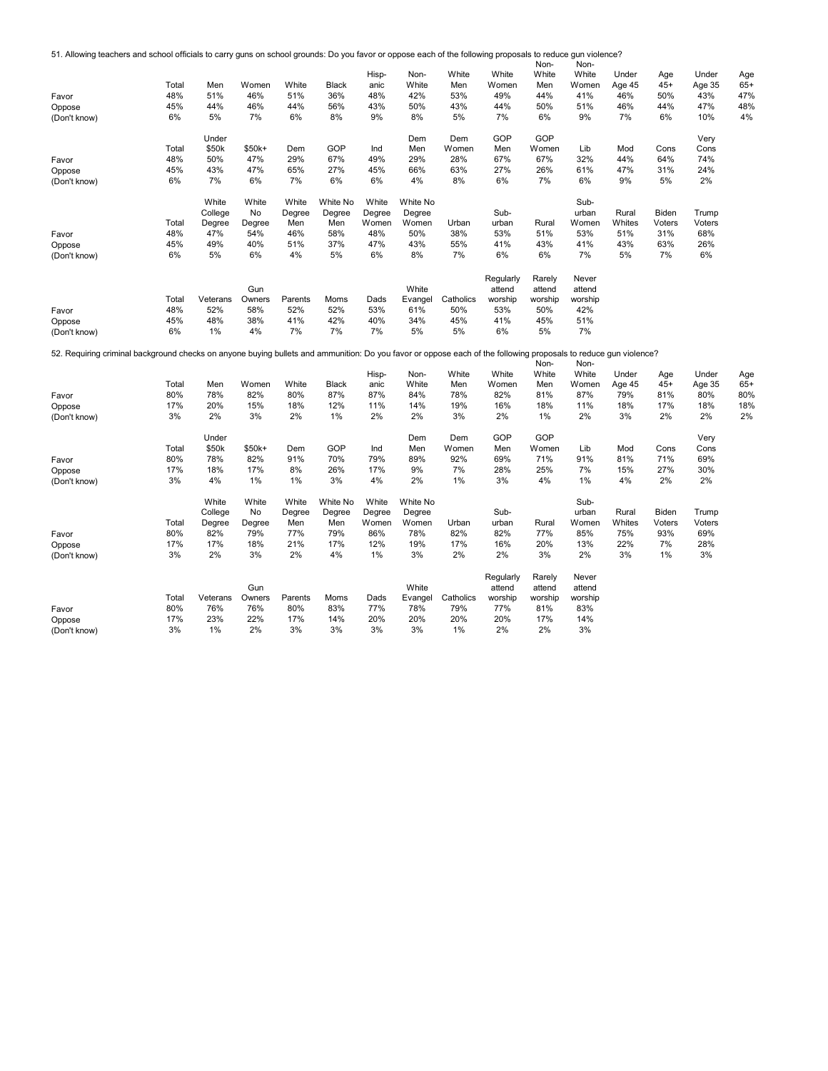51. Allowing teachers and school officials to carry guns on school grounds: Do you favor or oppose each of the following proposals to reduce gun violence? Non-Non-

| Favor<br>Oppose<br>(Don't know)<br>Favor<br>Oppose<br>(Don't know)                                                                                               | Total<br>48%<br>45%<br>6%<br>Total<br>48%<br>45%<br>6% | Men<br>51%<br>44%<br>5%<br>Under<br>\$50k<br>50%<br>43%<br>7% | Women<br>46%<br>46%<br>7%<br>\$50k+<br>47%<br>47%<br>6% | White<br>51%<br>44%<br>6%<br>Dem<br>29%<br>65%<br>7% | <b>Black</b><br>36%<br>56%<br>8%<br>GOP<br>67%<br>27%<br>6% | Hisp-<br>anic<br>48%<br>43%<br>9%<br>Ind<br>49%<br>45%<br>6% | Non-<br>White<br>42%<br>50%<br>8%<br>Dem<br>Men<br>29%<br>66%<br>4% | White<br>Men<br>53%<br>43%<br>5%<br>Dem<br>Women<br>28%<br>63%<br>8% | White<br>Women<br>49%<br>44%<br>7%<br>GOP<br>Men<br>67%<br>27%<br>6% | <b>NOLI-</b><br>White<br>Men<br>44%<br>50%<br>6%<br>GOP<br>Women<br>67%<br>26%<br>7% | <b>INOH-</b><br>White<br>Women<br>41%<br>51%<br>9%<br>Lib<br>32%<br>61%<br>6% | Under<br>Age 45<br>46%<br>46%<br>7%<br>Mod<br>44%<br>47%<br>9% | Age<br>$45+$<br>50%<br>44%<br>6%<br>Cons<br>64%<br>31%<br>5% | Under<br>Age 35<br>43%<br>47%<br>10%<br>Very<br>Cons<br>74%<br>24%<br>2% | Age<br>$65+$<br>47%<br>48%<br>4% |
|------------------------------------------------------------------------------------------------------------------------------------------------------------------|--------------------------------------------------------|---------------------------------------------------------------|---------------------------------------------------------|------------------------------------------------------|-------------------------------------------------------------|--------------------------------------------------------------|---------------------------------------------------------------------|----------------------------------------------------------------------|----------------------------------------------------------------------|--------------------------------------------------------------------------------------|-------------------------------------------------------------------------------|----------------------------------------------------------------|--------------------------------------------------------------|--------------------------------------------------------------------------|----------------------------------|
| Favor<br>Oppose<br>(Don't know)                                                                                                                                  | Total<br>48%<br>45%<br>6%                              | White<br>College<br>Degree<br>47%<br>49%<br>5%                | White<br>No<br>Degree<br>54%<br>40%<br>6%               | White<br>Degree<br>Men<br>46%<br>51%<br>4%           | White No<br>Degree<br>Men<br>58%<br>37%<br>5%               | White<br>Degree<br>Women<br>48%<br>47%<br>6%                 | White No<br>Degree<br>Women<br>50%<br>43%<br>8%                     | Urban<br>38%<br>55%<br>7%                                            | Sub-<br>urban<br>53%<br>41%<br>6%                                    | Rural<br>51%<br>43%<br>6%                                                            | Sub-<br>urban<br>Women<br>53%<br>41%<br>7%                                    | Rural<br>Whites<br>51%<br>43%<br>5%                            | Biden<br>Voters<br>31%<br>63%<br>7%                          | Trump<br>Voters<br>68%<br>26%<br>6%                                      |                                  |
| Favor<br>Oppose<br>(Don't know)                                                                                                                                  | Total<br>48%<br>45%<br>6%                              | Veterans<br>52%<br>48%<br>1%                                  | Gun<br>Owners<br>58%<br>38%<br>4%                       | Parents<br>52%<br>41%<br>7%                          | Moms<br>52%<br>42%<br>7%                                    | Dads<br>53%<br>40%<br>7%                                     | White<br>Evangel<br>61%<br>34%<br>5%                                | Catholics<br>50%<br>45%<br>5%                                        | Regularly<br>attend<br>worship<br>53%<br>41%<br>6%                   | Rarely<br>attend<br>worship<br>50%<br>45%<br>5%                                      | Never<br>attend<br>worship<br>42%<br>51%<br>7%                                |                                                                |                                                              |                                                                          |                                  |
| 52. Requiring criminal background checks on anyone buying bullets and ammunition: Do you favor or oppose each of the following proposals to reduce gun violence? |                                                        |                                                               |                                                         |                                                      |                                                             |                                                              |                                                                     |                                                                      |                                                                      |                                                                                      |                                                                               |                                                                |                                                              |                                                                          |                                  |
| Favor<br>Oppose<br>(Don't know)                                                                                                                                  | Total<br>80%<br>17%<br>3%                              | Men<br>78%<br>20%<br>2%                                       | Women<br>82%<br>15%<br>3%                               | White<br>80%<br>18%<br>2%                            | <b>Black</b><br>87%<br>12%<br>1%                            | Hisp-<br>anic<br>87%<br>11%<br>2%                            | Non-<br>White<br>84%<br>14%<br>2%                                   | White<br>Men<br>78%<br>19%<br>3%                                     | White<br>Women<br>82%<br>16%<br>2%                                   | Non-<br>White<br>Men<br>81%<br>18%<br>1%                                             | Non-<br>White<br>Women<br>87%<br>11%<br>2%                                    | Under<br>Age 45<br>79%<br>18%<br>3%                            | Age<br>$45+$<br>81%<br>17%<br>2%                             | Under<br>Age 35<br>80%<br>18%<br>2%                                      | Age<br>$65+$<br>80%<br>18%<br>2% |
| Favor<br>Oppose<br>(Don't know)                                                                                                                                  | Total<br>80%<br>17%<br>3%                              | Under<br>\$50k<br>78%<br>18%<br>4%                            | \$50k+<br>82%<br>17%<br>1%                              | Dem<br>91%<br>8%<br>1%                               | GOP<br>70%<br>26%<br>3%                                     | Ind<br>79%<br>17%<br>4%                                      | Dem<br>Men<br>89%<br>9%<br>2%                                       | Dem<br>Women<br>92%<br>7%<br>1%                                      | GOP<br>Men<br>69%<br>28%<br>3%                                       | GOP<br>Women<br>71%<br>25%<br>4%                                                     | Lib<br>91%<br>7%<br>1%                                                        | Mod<br>81%<br>15%<br>4%                                        | Cons<br>71%<br>27%<br>2%                                     | Very<br>Cons<br>69%<br>30%<br>2%                                         |                                  |
| Favor<br>Oppose<br>(Don't know)                                                                                                                                  | Total<br>80%<br>17%<br>3%                              | White<br>College<br>Degree<br>82%<br>17%<br>2%                | White<br>No<br>Degree<br>79%<br>18%<br>3%               | White<br>Degree<br>Men<br>77%<br>21%<br>2%           | <b>White No</b><br>Degree<br>Men<br>79%<br>17%<br>4%        | White<br>Degree<br>Women<br>86%<br>12%<br>1%                 | White No<br>Degree<br>Women<br>78%<br>19%<br>3%                     | Urban<br>82%<br>17%<br>2%                                            | Sub-<br>urban<br>82%<br>16%<br>2%                                    | Rural<br>77%<br>20%<br>3%                                                            | Sub-<br>urban<br>Women<br>85%<br>13%<br>2%                                    | Rural<br>Whites<br>75%<br>22%<br>3%                            | Biden<br>Voters<br>93%<br>7%<br>1%                           | Trump<br>Voters<br>69%<br>28%<br>3%                                      |                                  |
| Favor<br>Oppose<br>(Don't know)                                                                                                                                  | Total<br>80%<br>17%<br>3%                              | Veterans<br>76%<br>23%<br>$1\%$                               | Gun<br>Owners<br>76%<br>22%<br>2%                       | Parents<br>80%<br>17%<br>3%                          | Moms<br>83%<br>14%<br>3%                                    | Dads<br>77%<br>20%<br>3%                                     | White<br>Evangel<br>78%<br>20%<br>3%                                | Catholics<br>79%<br>20%<br>1%                                        | Regularly<br>attend<br>worship<br>77%<br>20%<br>2%                   | Rarely<br>attend<br>worship<br>81%<br>17%<br>2%                                      | Never<br>attend<br>worship<br>83%<br>14%<br>3%                                |                                                                |                                                              |                                                                          |                                  |